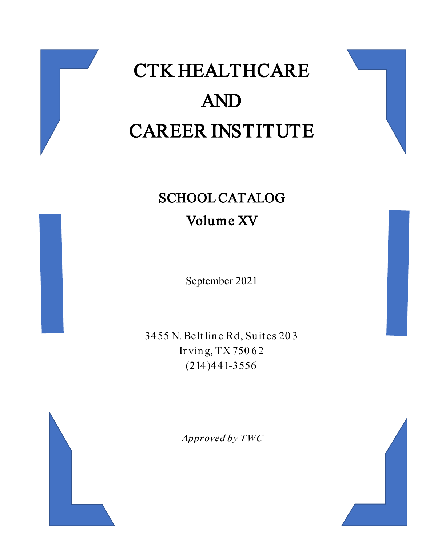

# CTK HEALTHCARE AND CAREER INSTITUTE

# SCHOOL CATALOG Volume XV

September 2021

3455 N. Beltline Rd, Suites 20 3 Ir ving, TX 750 62 (214)441-3556



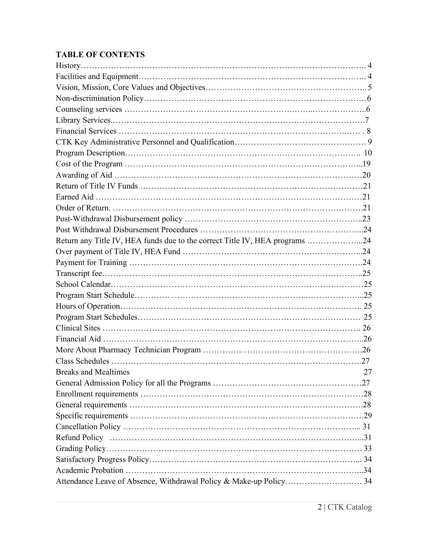# **TABLE OF CONTENTS**

| Return any Title IV, HEA funds due to the correct Title IV, HEA programs 24 |    |
|-----------------------------------------------------------------------------|----|
|                                                                             |    |
|                                                                             |    |
|                                                                             |    |
|                                                                             |    |
|                                                                             |    |
|                                                                             |    |
|                                                                             |    |
|                                                                             |    |
|                                                                             |    |
|                                                                             |    |
|                                                                             |    |
| Breaks and Mealtimes                                                        | 27 |
|                                                                             |    |
|                                                                             |    |
|                                                                             |    |
|                                                                             |    |
|                                                                             |    |
|                                                                             |    |
|                                                                             |    |
|                                                                             |    |
|                                                                             |    |
| Attendance Leave of Absence, Withdrawal Policy & Make-up Policy 34          |    |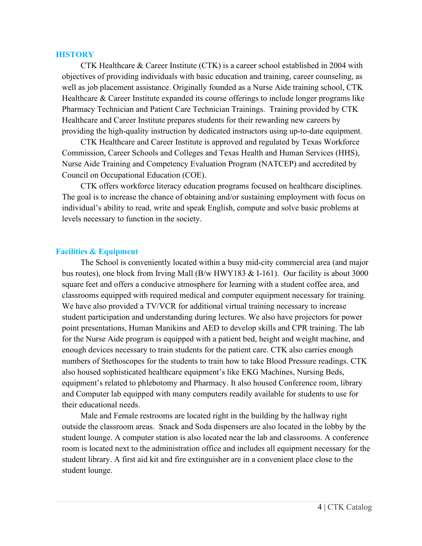#### **HISTORY**

CTK Healthcare & Career Institute (CTK) is a career school established in 2004 with objectives of providing individuals with basic education and training, career counseling, as well as job placement assistance. Originally founded as a Nurse Aide training school, CTK Healthcare & Career Institute expanded its course offerings to include longer programs like Pharmacy Technician and Patient Care Technician Trainings. Training provided by CTK Healthcare and Career Institute prepares students for their rewarding new careers by providing the high-quality instruction by dedicated instructors using up-to-date equipment.

CTK Healthcare and Career Institute is approved and regulated by Texas Workforce Commission, Career Schools and Colleges and Texas Health and Human Services (HHS), Nurse Aide Training and Competency Evaluation Program (NATCEP) and accredited by Council on Occupational Education (COE).

CTK offers workforce literacy education programs focused on healthcare disciplines. The goal is to increase the chance of obtaining and/or sustaining employment with focus on individual's ability to read, write and speak English, compute and solve basic problems at levels necessary to function in the society.

#### **Facilities & Equipment**

The School is conveniently located within a busy mid-city commercial area (and major bus routes), one block from Irving Mall (B/w HWY183 & I-161). Our facility is about 3000 square feet and offers a conducive atmosphere for learning with a student coffee area, and classrooms equipped with required medical and computer equipment necessary for training. We have also provided a TV/VCR for additional virtual training necessary to increase student participation and understanding during lectures. We also have projectors for power point presentations, Human Manikins and AED to develop skills and CPR training. The lab for the Nurse Aide program is equipped with a patient bed, height and weight machine, and enough devices necessary to train students for the patient care. CTK also carries enough numbers of Stethoscopes for the students to train how to take Blood Pressure readings. CTK also housed sophisticated healthcare equipment's like EKG Machines, Nursing Beds, equipment's related to phlebotomy and Pharmacy. It also housed Conference room, library and Computer lab equipped with many computers readily available for students to use for their educational needs.

Male and Female restrooms are located right in the building by the hallway right outside the classroom areas. Snack and Soda dispensers are also located in the lobby by the student lounge. A computer station is also located near the lab and classrooms. A conference room is located next to the administration office and includes all equipment necessary for the student library. A first aid kit and fire extinguisher are in a convenient place close to the student lounge.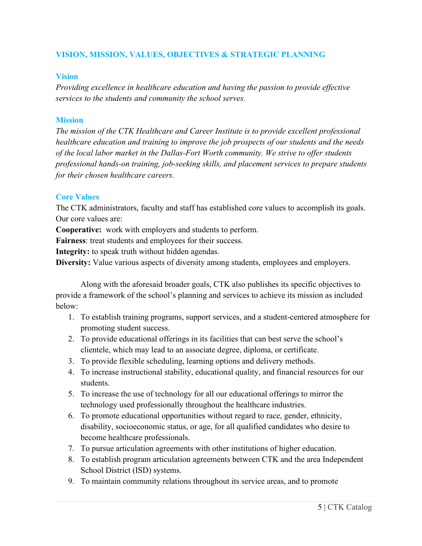# **VISION, MISSION, VALUES, OBJECTIVES & STRATEGIC PLANNING**

#### **Vision**

*Providing excellence in healthcare education and having the passion to provide effective services to the students and community the school serves.*

#### **Mission**

*The mission of the CTK Healthcare and Career Institute is to provide excellent professional healthcare education and training to improve the job prospects of our students and the needs of the local labor market in the Dallas-Fort Worth community. We strive to offer students professional hands-on training, job-seeking skills, and placement services to prepare students for their chosen healthcare careers.*

#### **Core Values**

The CTK administrators, faculty and staff has established core values to accomplish its goals. Our core values are:

**Cooperative:** work with employers and students to perform.

**Fairness**: treat students and employees for their success.

**Integrity:** to speak truth without hidden agendas.

**Diversity:** Value various aspects of diversity among students, employees and employers.

Along with the aforesaid broader goals, CTK also publishes its specific objectives to provide a framework of the school's planning and services to achieve its mission as included below:

- 1. To establish training programs, support services, and a student-centered atmosphere for promoting student success.
- 2. To provide educational offerings in its facilities that can best serve the school's clientele, which may lead to an associate degree, diploma, or certificate.
- 3. To provide flexible scheduling, learning options and delivery methods.
- 4. To increase instructional stability, educational quality, and financial resources for our students.
- 5. To increase the use of technology for all our educational offerings to mirror the technology used professionally throughout the healthcare industries.
- 6. To promote educational opportunities without regard to race, gender, ethnicity, disability, socioeconomic status, or age, for all qualified candidates who desire to become healthcare professionals.
- 7. To pursue articulation agreements with other institutions of higher education.
- 8. To establish program articulation agreements between CTK and the area Independent School District (ISD) systems.
- 9. To maintain community relations throughout its service areas, and to promote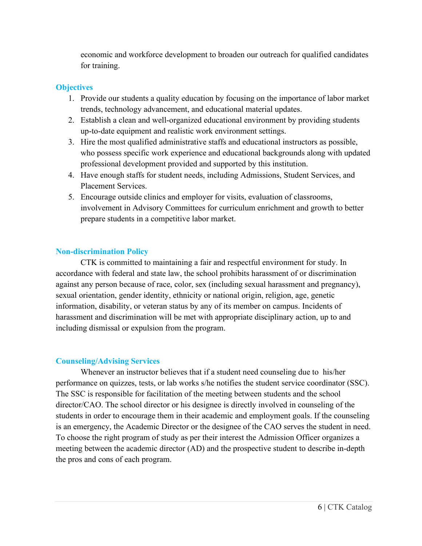economic and workforce development to broaden our outreach for qualified candidates for training.

# **Objectives**

- 1. Provide our students a quality education by focusing on the importance of labor market trends, technology advancement, and educational material updates.
- 2. Establish a clean and well-organized educational environment by providing students up-to-date equipment and realistic work environment settings.
- 3. Hire the most qualified administrative staffs and educational instructors as possible, who possess specific work experience and educational backgrounds along with updated professional development provided and supported by this institution.
- 4. Have enough staffs for student needs, including Admissions, Student Services, and Placement Services.
- 5. Encourage outside clinics and employer for visits, evaluation of classrooms, involvement in Advisory Committees for curriculum enrichment and growth to better prepare students in a competitive labor market.

# **Non-discrimination Policy**

CTK is committed to maintaining a fair and respectful environment for study. In accordance with federal and state law, the school prohibits harassment of or discrimination against any person because of race, color, sex (including sexual harassment and pregnancy), sexual orientation, gender identity, ethnicity or national origin, religion, age, genetic information, disability, or veteran status by any of its member on campus. Incidents of harassment and discrimination will be met with appropriate disciplinary action, up to and including dismissal or expulsion from the program.

# **Counseling/Advising Services**

Whenever an instructor believes that if a student need counseling due to his/her performance on quizzes, tests, or lab works s/he notifies the student service coordinator (SSC). The SSC is responsible for facilitation of the meeting between students and the school director/CAO. The school director or his designee is directly involved in counseling of the students in order to encourage them in their academic and employment goals. If the counseling is an emergency, the Academic Director or the designee of the CAO serves the student in need. To choose the right program of study as per their interest the Admission Officer organizes a meeting between the academic director (AD) and the prospective student to describe in-depth the pros and cons of each program.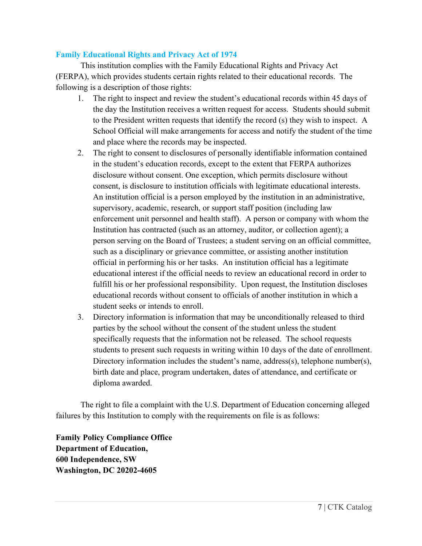# **Family Educational Rights and Privacy Act of 1974**

This institution complies with the Family Educational Rights and Privacy Act (FERPA), which provides students certain rights related to their educational records. The following is a description of those rights:

- 1. The right to inspect and review the student's educational records within 45 days of the day the Institution receives a written request for access. Students should submit to the President written requests that identify the record (s) they wish to inspect. A School Official will make arrangements for access and notify the student of the time and place where the records may be inspected.
- 2. The right to consent to disclosures of personally identifiable information contained in the student's education records, except to the extent that FERPA authorizes disclosure without consent. One exception, which permits disclosure without consent, is disclosure to institution officials with legitimate educational interests. An institution official is a person employed by the institution in an administrative, supervisory, academic, research, or support staff position (including law enforcement unit personnel and health staff). A person or company with whom the Institution has contracted (such as an attorney, auditor, or collection agent); a person serving on the Board of Trustees; a student serving on an official committee, such as a disciplinary or grievance committee, or assisting another institution official in performing his or her tasks. An institution official has a legitimate educational interest if the official needs to review an educational record in order to fulfill his or her professional responsibility. Upon request, the Institution discloses educational records without consent to officials of another institution in which a student seeks or intends to enroll.
- 3. Directory information is information that may be unconditionally released to third parties by the school without the consent of the student unless the student specifically requests that the information not be released. The school requests students to present such requests in writing within 10 days of the date of enrollment. Directory information includes the student's name, address(s), telephone number(s), birth date and place, program undertaken, dates of attendance, and certificate or diploma awarded.

The right to file a complaint with the U.S. Department of Education concerning alleged failures by this Institution to comply with the requirements on file is as follows:

**Family Policy Compliance Office Department of Education, 600 Independence, SW Washington, DC 20202-4605**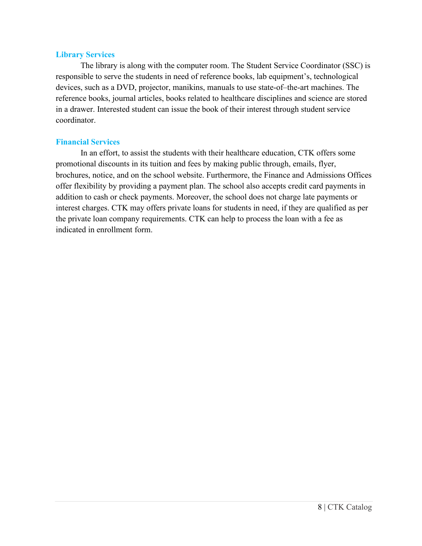#### **Library Services**

The library is along with the computer room. The Student Service Coordinator (SSC) is responsible to serve the students in need of reference books, lab equipment's, technological devices, such as a DVD, projector, manikins, manuals to use state-of–the-art machines. The reference books, journal articles, books related to healthcare disciplines and science are stored in a drawer. Interested student can issue the book of their interest through student service coordinator.

# **Financial Services**

In an effort, to assist the students with their healthcare education, CTK offers some promotional discounts in its tuition and fees by making public through, emails, flyer, brochures, notice, and on the school website. Furthermore, the Finance and Admissions Offices offer flexibility by providing a payment plan. The school also accepts credit card payments in addition to cash or check payments. Moreover, the school does not charge late payments or interest charges. CTK may offers private loans for students in need, if they are qualified as per the private loan company requirements. CTK can help to process the loan with a fee as indicated in enrollment form.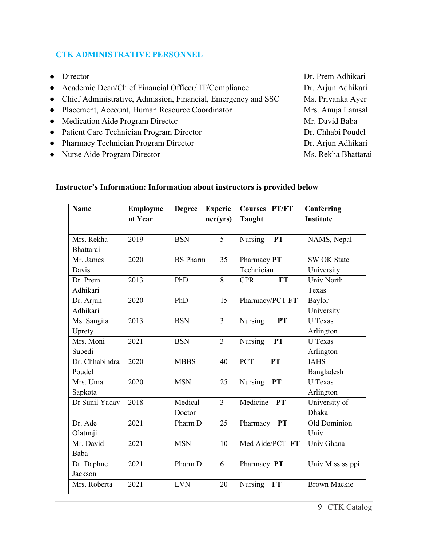# **CTK ADMINISTRATIVE PERSONNEL**

- Director Dr. Prem Adhikari ● Academic Dean/Chief Financial Officer/ IT/Compliance Dr. Arjun Adhikari • Chief Administrative, Admission, Financial, Emergency and SSC Ms. Priyanka Ayer ● Placement, Account, Human Resource Coordinator Mrs. Anuja Lamsal • Medication Aide Program Director Mr. David Baba ● Patient Care Technician Program Director Dr. Chhabi Poudel • Pharmacy Technician Program Director Dr. Arjun Adhikari ● Nurse Aide Program Director Ms. Rekha Bhattarai
	- **Instructor's Information: Information about instructors is provided below**

| <b>Name</b>                    | <b>Employme</b><br>nt Year | <b>Degree</b>     | <b>Experie</b><br>nce(yrs) | <b>Courses PT/FT</b><br><b>Taught</b> | Conferring<br><b>Institute</b>   |
|--------------------------------|----------------------------|-------------------|----------------------------|---------------------------------------|----------------------------------|
| Mrs. Rekha<br><b>Bhattarai</b> | 2019                       | <b>BSN</b>        | 5                          | Nursing<br><b>PT</b>                  | NAMS, Nepal                      |
| Mr. James<br>Davis             | 2020                       | <b>BS</b> Pharm   | 35                         | Pharmacy PT<br>Technician             | <b>SW OK State</b><br>University |
| Dr. Prem<br>Adhikari           | 2013                       | PhD               | 8                          | <b>FT</b><br><b>CPR</b>               | Univ North<br>Texas              |
| Dr. Arjun<br>Adhikari          | 2020                       | PhD               | 15                         | Pharmacy/PCT FT                       | Baylor<br>University             |
| Ms. Sangita<br>Uprety          | 2013                       | <b>BSN</b>        | $\overline{3}$             | Nursing<br><b>PT</b>                  | <b>U</b> Texas<br>Arlington      |
| Mrs. Moni<br>Subedi            | 2021                       | <b>BSN</b>        | $\overline{3}$             | Nursing<br>PT                         | <b>U</b> Texas<br>Arlington      |
| Dr. Chhabindra<br>Poudel       | 2020                       | <b>MBBS</b>       | 40                         | PCT<br>PT                             | <b>IAHS</b><br>Bangladesh        |
| Mrs. Uma<br>Sapkota            | 2020                       | <b>MSN</b>        | 25                         | <b>Nursing</b><br><b>PT</b>           | <b>U</b> Texas<br>Arlington      |
| Dr Sunil Yadav                 | 2018                       | Medical<br>Doctor | 3                          | Medicine<br><b>PT</b>                 | University of<br><b>Dhaka</b>    |
| Dr. Ade<br>Olatunji            | 2021                       | Pharm D           | 25                         | Pharmacy PT                           | Old Dominion<br>Univ             |
| Mr. David<br>Baba              | 2021                       | <b>MSN</b>        | 10                         | Med Aide/PCT FT                       | Univ Ghana                       |
| Dr. Daphne<br>Jackson          | 2021                       | Pharm D           | 6                          | Pharmacy PT                           | Univ Mississippi                 |
| Mrs. Roberta                   | 2021                       | <b>LVN</b>        | 20                         | Nursing<br>FT                         | <b>Brown Mackie</b>              |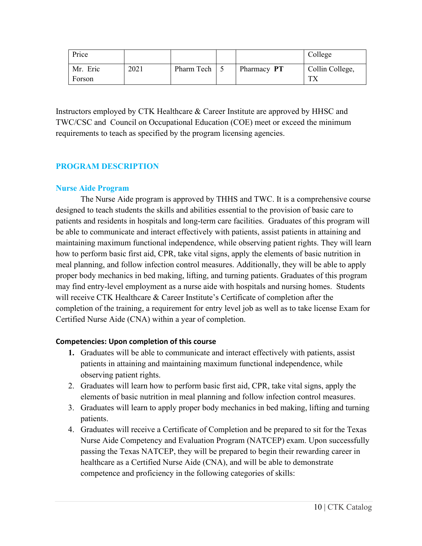| Price    |      |              |             | College         |
|----------|------|--------------|-------------|-----------------|
| Mr. Eric | 2021 | Pharm Tech 5 | Pharmacy PT | Collin College, |
| Forson   |      |              |             | <b>TV</b>       |

Instructors employed by CTK Healthcare & Career Institute are approved by HHSC and TWC/CSC and Council on Occupational Education (COE) meet or exceed the minimum requirements to teach as specified by the program licensing agencies.

# **PROGRAM DESCRIPTION**

# **Nurse Aide Program**

The Nurse Aide program is approved by THHS and TWC. It is a comprehensive course designed to teach students the skills and abilities essential to the provision of basic care to patients and residents in hospitals and long-term care facilities. Graduates of this program will be able to communicate and interact effectively with patients, assist patients in attaining and maintaining maximum functional independence, while observing patient rights. They will learn how to perform basic first aid, CPR, take vital signs, apply the elements of basic nutrition in meal planning, and follow infection control measures. Additionally, they will be able to apply proper body mechanics in bed making, lifting, and turning patients. Graduates of this program may find entry-level employment as a nurse aide with hospitals and nursing homes. Students will receive CTK Healthcare & Career Institute's Certificate of completion after the completion of the training, a requirement for entry level job as well as to take license Exam for Certified Nurse Aide (CNA) within a year of completion.

# **Competencies: Upon completion of this course**

- **1.** Graduates will be able to communicate and interact effectively with patients, assist patients in attaining and maintaining maximum functional independence, while observing patient rights.
- 2. Graduates will learn how to perform basic first aid, CPR, take vital signs, apply the elements of basic nutrition in meal planning and follow infection control measures.
- 3. Graduates will learn to apply proper body mechanics in bed making, lifting and turning patients.
- 4. Graduates will receive a Certificate of Completion and be prepared to sit for the Texas Nurse Aide Competency and Evaluation Program (NATCEP) exam. Upon successfully passing the Texas NATCEP, they will be prepared to begin their rewarding career in healthcare as a Certified Nurse Aide (CNA), and will be able to demonstrate competence and proficiency in the following categories of skills: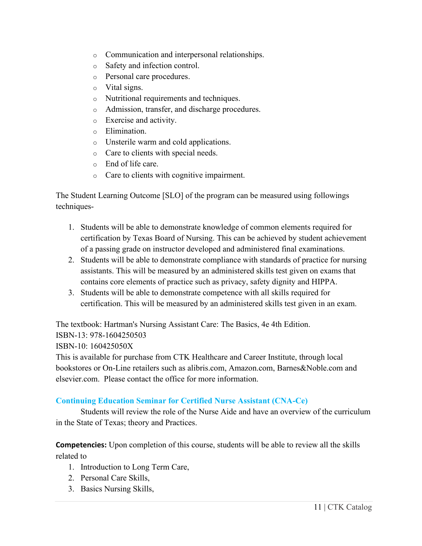- o Communication and interpersonal relationships.
- o Safety and infection control.
- o Personal care procedures.
- o Vital signs.
- o Nutritional requirements and techniques.
- o Admission, transfer, and discharge procedures.
- o Exercise and activity.
- o Elimination.
- o Unsterile warm and cold applications.
- o Care to clients with special needs.
- o End of life care.
- o Care to clients with cognitive impairment.

The Student Learning Outcome [SLO] of the program can be measured using followings techniques-

- 1. Students will be able to demonstrate knowledge of common elements required for certification by Texas Board of Nursing. This can be achieved by student achievement of a passing grade on instructor developed and administered final examinations.
- 2. Students will be able to demonstrate compliance with standards of practice for nursing assistants. This will be measured by an administered skills test given on exams that contains core elements of practice such as privacy, safety dignity and HIPPA.
- 3. Students will be able to demonstrate competence with all skills required for certification. This will be measured by an administered skills test given in an exam.

The textbook: Hartman's Nursing Assistant Care: The Basics, 4e 4th Edition.

ISBN-13: 978-1604250503

ISBN-10: 160425050X

This is available for purchase from CTK Healthcare and Career Institute, through local bookstores or On-Line retailers such as alibris.com, Amazon.com, Barnes&Noble.com and elsevier.com. Please contact the office for more information.

# **Continuing Education Seminar for Certified Nurse Assistant (CNA-Ce)**

Students will review the role of the Nurse Aide and have an overview of the curriculum in the State of Texas; theory and Practices.

**Competencies:** Upon completion of this course, students will be able to review all the skills related to

- 1. Introduction to Long Term Care,
- 2. Personal Care Skills,
- 3. Basics Nursing Skills,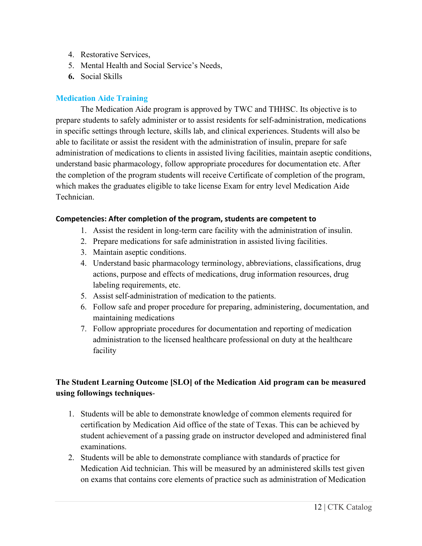- 4. Restorative Services,
- 5. Mental Health and Social Service's Needs,
- **6.** Social Skills

# **Medication Aide Training**

The Medication Aide program is approved by TWC and THHSC. Its objective is to prepare students to safely administer or to assist residents for self-administration, medications in specific settings through lecture, skills lab, and clinical experiences. Students will also be able to facilitate or assist the resident with the administration of insulin, prepare for safe administration of medications to clients in assisted living facilities, maintain aseptic conditions, understand basic pharmacology, follow appropriate procedures for documentation etc. After the completion of the program students will receive Certificate of completion of the program, which makes the graduates eligible to take license Exam for entry level Medication Aide Technician.

# **Competencies: After completion of the program, students are competent to**

- 1. Assist the resident in long-term care facility with the administration of insulin.
- 2. Prepare medications for safe administration in assisted living facilities.
- 3. Maintain aseptic conditions.
- 4. Understand basic pharmacology terminology, abbreviations, classifications, drug actions, purpose and effects of medications, drug information resources, drug labeling requirements, etc.
- 5. Assist self-administration of medication to the patients.
- 6. Follow safe and proper procedure for preparing, administering, documentation, and maintaining medications
- 7. Follow appropriate procedures for documentation and reporting of medication administration to the licensed healthcare professional on duty at the healthcare facility

# **The Student Learning Outcome [SLO] of the Medication Aid program can be measured using followings techniques**-

- 1. Students will be able to demonstrate knowledge of common elements required for certification by Medication Aid office of the state of Texas. This can be achieved by student achievement of a passing grade on instructor developed and administered final examinations.
- 2. Students will be able to demonstrate compliance with standards of practice for Medication Aid technician. This will be measured by an administered skills test given on exams that contains core elements of practice such as administration of Medication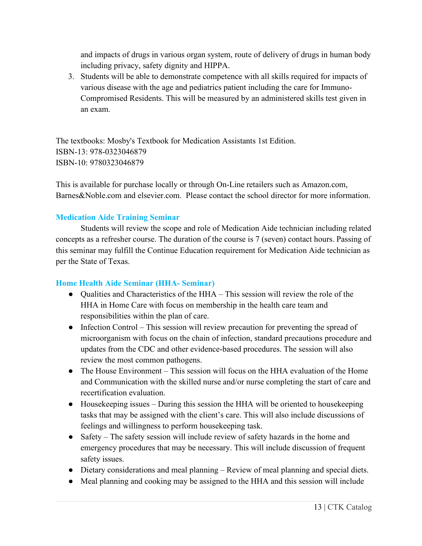and impacts of drugs in various organ system, route of delivery of drugs in human body including privacy, safety dignity and HIPPA.

3. Students will be able to demonstrate competence with all skills required for impacts of various disease with the age and pediatrics patient including the care for Immuno-Compromised Residents. This will be measured by an administered skills test given in an exam.

The textbooks: Mosby's Textbook for Medication Assistants 1st Edition. ISBN-13: 978-0323046879 ISBN-10: 9780323046879

This is available for purchase locally or through On-Line retailers such as Amazon.com, Barnes&Noble.com and elsevier.com. Please contact the school director for more information.

# **Medication Aide Training Seminar**

Students will review the scope and role of Medication Aide technician including related concepts as a refresher course. The duration of the course is 7 (seven) contact hours. Passing of this seminar may fulfill the Continue Education requirement for Medication Aide technician as per the State of Texas.

# **Home Health Aide Seminar (HHA- Seminar)**

- Qualities and Characteristics of the HHA This session will review the role of the HHA in Home Care with focus on membership in the health care team and responsibilities within the plan of care.
- Infection Control This session will review precaution for preventing the spread of microorganism with focus on the chain of infection, standard precautions procedure and updates from the CDC and other evidence-based procedures. The session will also review the most common pathogens.
- The House Environment This session will focus on the HHA evaluation of the Home and Communication with the skilled nurse and/or nurse completing the start of care and recertification evaluation.
- Housekeeping issues During this session the HHA will be oriented to housekeeping tasks that may be assigned with the client's care. This will also include discussions of feelings and willingness to perform housekeeping task.
- Safety The safety session will include review of safety hazards in the home and emergency procedures that may be necessary. This will include discussion of frequent safety issues.
- Dietary considerations and meal planning Review of meal planning and special diets.
- Meal planning and cooking may be assigned to the HHA and this session will include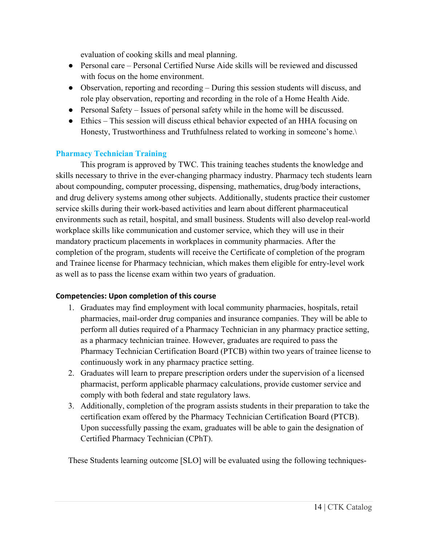evaluation of cooking skills and meal planning.

- Personal care Personal Certified Nurse Aide skills will be reviewed and discussed with focus on the home environment.
- Observation, reporting and recording During this session students will discuss, and role play observation, reporting and recording in the role of a Home Health Aide.
- Personal Safety Issues of personal safety while in the home will be discussed.
- Ethics This session will discuss ethical behavior expected of an HHA focusing on Honesty, Trustworthiness and Truthfulness related to working in someone's home.\

# **Pharmacy Technician Training**

This program is approved by TWC. This training teaches students the knowledge and skills necessary to thrive in the ever-changing pharmacy industry. Pharmacy tech students learn about compounding, computer processing, dispensing, mathematics, drug/body interactions, and drug delivery systems among other subjects. Additionally, students practice their customer service skills during their work-based activities and learn about different pharmaceutical environments such as retail, hospital, and small business. Students will also develop real-world workplace skills like communication and customer service, which they will use in their mandatory practicum placements in workplaces in community pharmacies. After the completion of the program, students will receive the Certificate of completion of the program and Trainee license for Pharmacy technician, which makes them eligible for entry-level work as well as to pass the license exam within two years of graduation.

# **Competencies: Upon completion of this course**

- 1. Graduates may find employment with local community pharmacies, hospitals, retail pharmacies, mail-order drug companies and insurance companies. They will be able to perform all duties required of a Pharmacy Technician in any pharmacy practice setting, as a pharmacy technician trainee. However, graduates are required to pass the Pharmacy Technician Certification Board (PTCB) within two years of trainee license to continuously work in any pharmacy practice setting.
- 2. Graduates will learn to prepare prescription orders under the supervision of a licensed pharmacist, perform applicable pharmacy calculations, provide customer service and comply with both federal and state regulatory laws.
- 3. Additionally, completion of the program assists students in their preparation to take the certification exam offered by the Pharmacy Technician Certification Board (PTCB). Upon successfully passing the exam, graduates will be able to gain the designation of Certified Pharmacy Technician (CPhT).

These Students learning outcome [SLO] will be evaluated using the following techniques-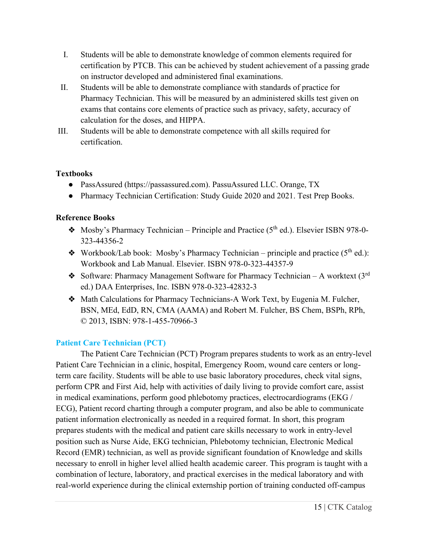- I. Students will be able to demonstrate knowledge of common elements required for certification by PTCB. This can be achieved by student achievement of a passing grade on instructor developed and administered final examinations.
- II. Students will be able to demonstrate compliance with standards of practice for Pharmacy Technician. This will be measured by an administered skills test given on exams that contains core elements of practice such as privacy, safety, accuracy of calculation for the doses, and HIPPA.
- III. Students will be able to demonstrate competence with all skills required for certification.

# **Textbooks**

- PassAssured (https://passassured.com). PassuAssured LLC. Orange, TX
- Pharmacy Technician Certification: Study Guide 2020 and 2021. Test Prep Books.

# **Reference Books**

- $\bullet$  Mosby's Pharmacy Technician Principle and Practice (5<sup>th</sup> ed.). Elsevier ISBN 978-0-323-44356-2
- $\bullet$  Workbook/Lab book: Mosby's Pharmacy Technician principle and practice (5<sup>th</sup> ed.): Workbook and Lab Manual. Elsevier. ISBN 978-0-323-44357-9
- $\bullet$  Software: Pharmacy Management Software for Pharmacy Technician A worktext (3<sup>rd</sup>) ed.) DAA Enterprises, Inc. ISBN 978-0-323-42832-3
- ❖ Math Calculations for Pharmacy Technicians-A Work Text, by Eugenia M. Fulcher, BSN, MEd, EdD, RN, CMA (AAMA) and Robert M. Fulcher, BS Chem, BSPh, RPh, © 2013, ISBN: 978-1-455-70966-3

# **Patient Care Technician (PCT)**

The Patient Care Technician (PCT) Program prepares students to work as an entry-level Patient Care Technician in a clinic, hospital, Emergency Room, wound care centers or longterm care facility. Students will be able to use basic laboratory procedures, check vital signs, perform CPR and First Aid, help with activities of daily living to provide comfort care, assist in medical examinations, perform good phlebotomy practices, electrocardiograms (EKG / ECG), Patient record charting through a computer program, and also be able to communicate patient information electronically as needed in a required format. In short, this program prepares students with the medical and patient care skills necessary to work in entry-level position such as Nurse Aide, EKG technician, Phlebotomy technician, Electronic Medical Record (EMR) technician, as well as provide significant foundation of Knowledge and skills necessary to enroll in higher level allied health academic career. This program is taught with a combination of lecture, laboratory, and practical exercises in the medical laboratory and with real-world experience during the clinical externship portion of training conducted off-campus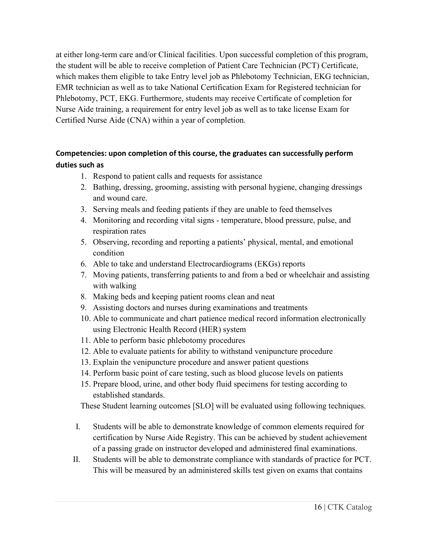at either long-term care and/or Clinical facilities. Upon successful completion of this program, the student will be able to receive completion of Patient Care Technician (PCT) Certificate, which makes them eligible to take Entry level job as Phlebotomy Technician, EKG technician, EMR technician as well as to take National Certification Exam for Registered technician for Phlebotomy, PCT, EKG. Furthermore, students may receive Certificate of completion for Nurse Aide training, a requirement for entry level job as well as to take license Exam for Certified Nurse Aide (CNA) within a year of completion.

# **Competencies: upon completion of this course, the graduates can successfully perform duties such as**

- 1. Respond to patient calls and requests for assistance
- 2. Bathing, dressing, grooming, assisting with personal hygiene, changing dressings and wound care.
- 3. Serving meals and feeding patients if they are unable to feed themselves
- 4. Monitoring and recording vital signs temperature, blood pressure, pulse, and respiration rates
- 5. Observing, recording and reporting a patients' physical, mental, and emotional condition
- 6. Able to take and understand Electrocardiograms (EKGs) reports
- 7. Moving patients, transferring patients to and from a bed or wheelchair and assisting with walking
- 8. Making beds and keeping patient rooms clean and neat
- 9. Assisting doctors and nurses during examinations and treatments
- 10. Able to communicate and chart patience medical record information electronically using Electronic Health Record (HER) system
- 11. Able to perform basic phlebotomy procedures
- 12. Able to evaluate patients for ability to withstand venipuncture procedure
- 13. Explain the venipuncture procedure and answer patient questions
- 14. Perform basic point of care testing, such as blood glucose levels on patients
- 15. Prepare blood, urine, and other body fluid specimens for testing according to established standards.

These Student learning outcomes [SLO] will be evaluated using following techniques.

- I. Students will be able to demonstrate knowledge of common elements required for certification by Nurse Aide Registry. This can be achieved by student achievement of a passing grade on instructor developed and administered final examinations.
- II. Students will be able to demonstrate compliance with standards of practice for PCT. This will be measured by an administered skills test given on exams that contains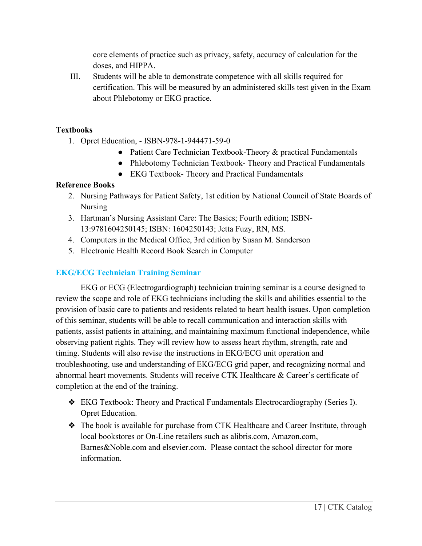core elements of practice such as privacy, safety, accuracy of calculation for the doses, and HIPPA.

III. Students will be able to demonstrate competence with all skills required for certification. This will be measured by an administered skills test given in the Exam about Phlebotomy or EKG practice.

# **Textbooks**

- 1. Opret Education, ISBN-978-1-944471-59-0
	- Patient Care Technician Textbook-Theory & practical Fundamentals
	- Phlebotomy Technician Textbook- Theory and Practical Fundamentals
	- EKG Textbook- Theory and Practical Fundamentals

# **Reference Books**

- 2. Nursing Pathways for Patient Safety, 1st edition by National Council of State Boards of Nursing
- 3. Hartman's Nursing Assistant Care: The Basics; Fourth edition; ISBN-13:9781604250145; ISBN: 1604250143; Jetta Fuzy, RN, MS.
- 4. Computers in the Medical Office, 3rd edition by Susan M. Sanderson
- 5. Electronic Health Record Book Search in Computer

# **EKG/ECG Technician Training Seminar**

EKG or ECG (Electrogardiograph) technician training seminar is a course designed to review the scope and role of EKG technicians including the skills and abilities essential to the provision of basic care to patients and residents related to heart health issues. Upon completion of this seminar, students will be able to recall communication and interaction skills with patients, assist patients in attaining, and maintaining maximum functional independence, while observing patient rights. They will review how to assess heart rhythm, strength, rate and timing. Students will also revise the instructions in EKG/ECG unit operation and troubleshooting, use and understanding of EKG/ECG grid paper, and recognizing normal and abnormal heart movements. Students will receive CTK Healthcare & Career's certificate of completion at the end of the training.

- ❖ EKG Textbook: Theory and Practical Fundamentals Electrocardiography (Series I). Opret Education.
- ❖ The book is available for purchase from CTK Healthcare and Career Institute, through local bookstores or On-Line retailers such as alibris.com, Amazon.com, Barnes&Noble.com and elsevier.com. Please contact the school director for more information.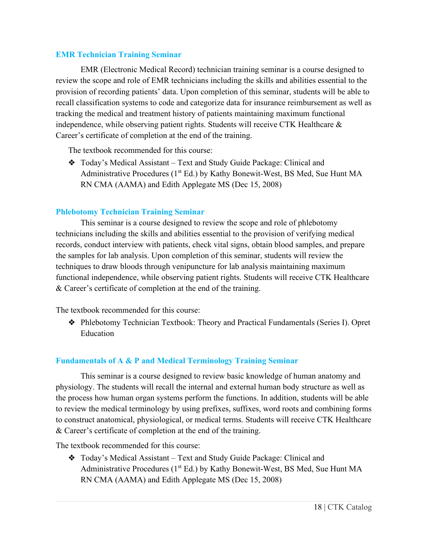#### **EMR Technician Training Seminar**

EMR (Electronic Medical Record) technician training seminar is a course designed to review the scope and role of EMR technicians including the skills and abilities essential to the provision of recording patients' data. Upon completion of this seminar, students will be able to recall classification systems to code and categorize data for insurance reimbursement as well as tracking the medical and treatment history of patients maintaining maximum functional independence, while observing patient rights. Students will receive CTK Healthcare & Career's certificate of completion at the end of the training.

The textbook recommended for this course:

❖ Today's Medical Assistant – Text and Study Guide Package: Clinical and Administrative Procedures ( $1<sup>st</sup> Ed$ .) by Kathy Bonewit-West, BS Med, Sue Hunt MA RN CMA (AAMA) and Edith Applegate MS (Dec 15, 2008)

# **Phlebotomy Technician Training Seminar**

This seminar is a course designed to review the scope and role of phlebotomy technicians including the skills and abilities essential to the provision of verifying medical records, conduct interview with patients, check vital signs, obtain blood samples, and prepare the samples for lab analysis. Upon completion of this seminar, students will review the techniques to draw bloods through venipuncture for lab analysis maintaining maximum functional independence, while observing patient rights. Students will receive CTK Healthcare & Career's certificate of completion at the end of the training.

The textbook recommended for this course:

❖ Phlebotomy Technician Textbook: Theory and Practical Fundamentals (Series I). Opret Education

# **Fundamentals of A & P and Medical Terminology Training Seminar**

This seminar is a course designed to review basic knowledge of human anatomy and physiology. The students will recall the internal and external human body structure as well as the process how human organ systems perform the functions. In addition, students will be able to review the medical terminology by using prefixes, suffixes, word roots and combining forms to construct anatomical, physiological, or medical terms. Students will receive CTK Healthcare & Career's certificate of completion at the end of the training.

The textbook recommended for this course:

❖ Today's Medical Assistant – Text and Study Guide Package: Clinical and Administrative Procedures (1<sup>st</sup> Ed.) by Kathy Bonewit-West, BS Med, Sue Hunt MA RN CMA (AAMA) and Edith Applegate MS (Dec 15, 2008)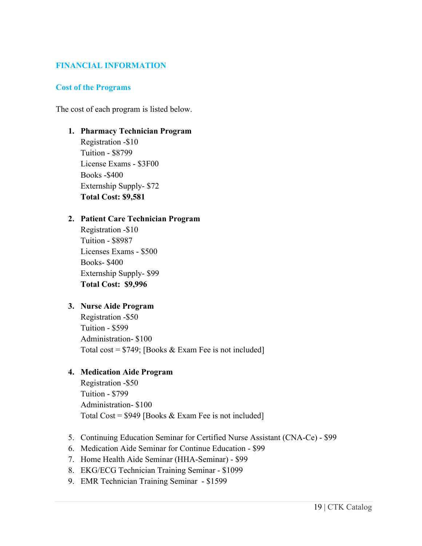# **FINANCIAL INFORMATION**

#### **Cost of the Programs**

The cost of each program is listed below.

**1. Pharmacy Technician Program**  Registration -\$10 Tuition - \$8799

License Exams - \$3F00 Books -\$400 Externship Supply- \$72 **Total Cost: \$9,581**

#### **2. Patient Care Technician Program**

Registration -\$10 Tuition - \$8987 Licenses Exams - \$500 Books- \$400 Externship Supply- \$99 **Total Cost: \$9,996**

#### **3. Nurse Aide Program**

Registration -\$50 Tuition - \$599 Administration- \$100 Total cost =  $$749$ ; [Books & Exam Fee is not included]

# **4. Medication Aide Program**

Registration -\$50 Tuition - \$799 Administration- \$100 Total Cost =  $$949$  [Books & Exam Fee is not included]

- 5. Continuing Education Seminar for Certified Nurse Assistant (CNA-Ce) \$99
- 6. Medication Aide Seminar for Continue Education \$99
- 7. Home Health Aide Seminar (HHA-Seminar) \$99
- 8. EKG/ECG Technician Training Seminar \$1099
- 9. EMR Technician Training Seminar \$1599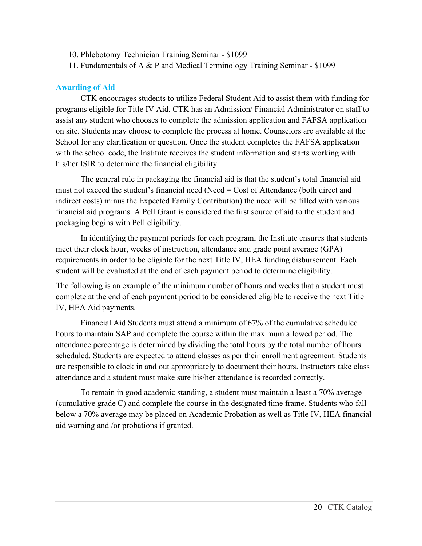- 10. Phlebotomy Technician Training Seminar \$1099
- 11. Fundamentals of A & P and Medical Terminology Training Seminar \$1099

# **Awarding of Aid**

CTK encourages students to utilize Federal Student Aid to assist them with funding for programs eligible for Title IV Aid. CTK has an Admission/ Financial Administrator on staff to assist any student who chooses to complete the admission application and FAFSA application on site. Students may choose to complete the process at home. Counselors are available at the School for any clarification or question. Once the student completes the FAFSA application with the school code, the Institute receives the student information and starts working with his/her ISIR to determine the financial eligibility.

The general rule in packaging the financial aid is that the student's total financial aid must not exceed the student's financial need (Need = Cost of Attendance (both direct and indirect costs) minus the Expected Family Contribution) the need will be filled with various financial aid programs. A Pell Grant is considered the first source of aid to the student and packaging begins with Pell eligibility.

In identifying the payment periods for each program, the Institute ensures that students meet their clock hour, weeks of instruction, attendance and grade point average (GPA) requirements in order to be eligible for the next Title IV, HEA funding disbursement. Each student will be evaluated at the end of each payment period to determine eligibility.

The following is an example of the minimum number of hours and weeks that a student must complete at the end of each payment period to be considered eligible to receive the next Title IV, HEA Aid payments.

Financial Aid Students must attend a minimum of 67% of the cumulative scheduled hours to maintain SAP and complete the course within the maximum allowed period. The attendance percentage is determined by dividing the total hours by the total number of hours scheduled. Students are expected to attend classes as per their enrollment agreement. Students are responsible to clock in and out appropriately to document their hours. Instructors take class attendance and a student must make sure his/her attendance is recorded correctly.

To remain in good academic standing, a student must maintain a least a 70% average (cumulative grade C) and complete the course in the designated time frame. Students who fall below a 70% average may be placed on Academic Probation as well as Title IV, HEA financial aid warning and /or probations if granted.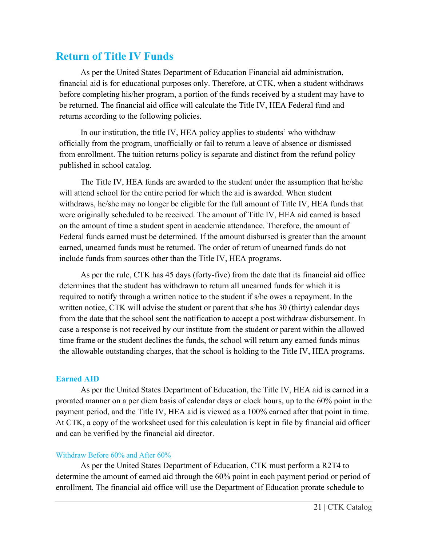# **Return of Title IV Funds**

As per the United States Department of Education Financial aid administration, financial aid is for educational purposes only. Therefore, at CTK, when a student withdraws before completing his/her program, a portion of the funds received by a student may have to be returned. The financial aid office will calculate the Title IV, HEA Federal fund and returns according to the following policies.

In our institution, the title IV, HEA policy applies to students' who withdraw officially from the program, unofficially or fail to return a leave of absence or dismissed from enrollment. The tuition returns policy is separate and distinct from the refund policy published in school catalog.

The Title IV, HEA funds are awarded to the student under the assumption that he/she will attend school for the entire period for which the aid is awarded. When student withdraws, he/she may no longer be eligible for the full amount of Title IV, HEA funds that were originally scheduled to be received. The amount of Title IV, HEA aid earned is based on the amount of time a student spent in academic attendance. Therefore, the amount of Federal funds earned must be determined. If the amount disbursed is greater than the amount earned, unearned funds must be returned. The order of return of unearned funds do not include funds from sources other than the Title IV, HEA programs.

As per the rule, CTK has 45 days (forty-five) from the date that its financial aid office determines that the student has withdrawn to return all unearned funds for which it is required to notify through a written notice to the student if s/he owes a repayment. In the written notice, CTK will advise the student or parent that s/he has 30 (thirty) calendar days from the date that the school sent the notification to accept a post withdraw disbursement. In case a response is not received by our institute from the student or parent within the allowed time frame or the student declines the funds, the school will return any earned funds minus the allowable outstanding charges, that the school is holding to the Title IV, HEA programs.

# **Earned AID**

As per the United States Department of Education, the Title IV, HEA aid is earned in a prorated manner on a per diem basis of calendar days or clock hours, up to the 60% point in the payment period, and the Title IV, HEA aid is viewed as a 100% earned after that point in time. At CTK, a copy of the worksheet used for this calculation is kept in file by financial aid officer and can be verified by the financial aid director.

# Withdraw Before 60% and After 60%

As per the United States Department of Education, CTK must perform a R2T4 to determine the amount of earned aid through the 60% point in each payment period or period of enrollment. The financial aid office will use the Department of Education prorate schedule to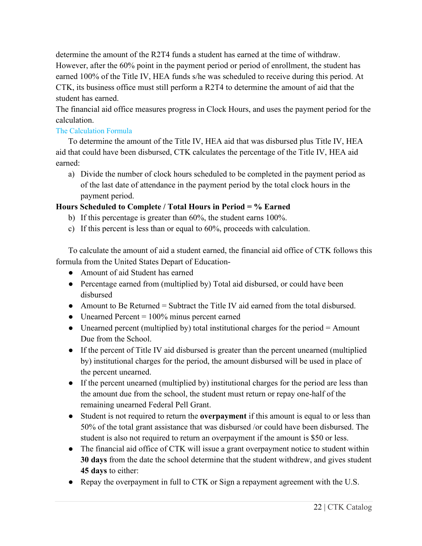determine the amount of the R2T4 funds a student has earned at the time of withdraw. However, after the 60% point in the payment period or period of enrollment, the student has earned 100% of the Title IV, HEA funds s/he was scheduled to receive during this period. At CTK, its business office must still perform a R2T4 to determine the amount of aid that the student has earned.

The financial aid office measures progress in Clock Hours, and uses the payment period for the calculation.

# The Calculation Formula

To determine the amount of the Title IV, HEA aid that was disbursed plus Title IV, HEA aid that could have been disbursed, CTK calculates the percentage of the Title IV, HEA aid earned:

a) Divide the number of clock hours scheduled to be completed in the payment period as of the last date of attendance in the payment period by the total clock hours in the payment period.

# **Hours Scheduled to Complete / Total Hours in Period = % Earned**

- b) If this percentage is greater than 60%, the student earns 100%.
- c) If this percent is less than or equal to 60%, proceeds with calculation.

To calculate the amount of aid a student earned, the financial aid office of CTK follows this formula from the United States Depart of Education-

- Amount of aid Student has earned
- Percentage earned from (multiplied by) Total aid disbursed, or could have been disbursed
- Amount to Be Returned = Subtract the Title IV aid earned from the total disbursed.
- Unearned Percent  $= 100\%$  minus percent earned
- Unearned percent (multiplied by) total institutional charges for the period  $=$  Amount Due from the School.
- If the percent of Title IV aid disbursed is greater than the percent unearned (multiplied by) institutional charges for the period, the amount disbursed will be used in place of the percent unearned.
- If the percent unearned (multiplied by) institutional charges for the period are less than the amount due from the school, the student must return or repay one-half of the remaining unearned Federal Pell Grant.
- Student is not required to return the **overpayment** if this amount is equal to or less than 50% of the total grant assistance that was disbursed /or could have been disbursed. The student is also not required to return an overpayment if the amount is \$50 or less.
- The financial aid office of CTK will issue a grant overpayment notice to student within **30 days** from the date the school determine that the student withdrew, and gives student **45 days** to either:
- Repay the overpayment in full to CTK or Sign a repayment agreement with the U.S.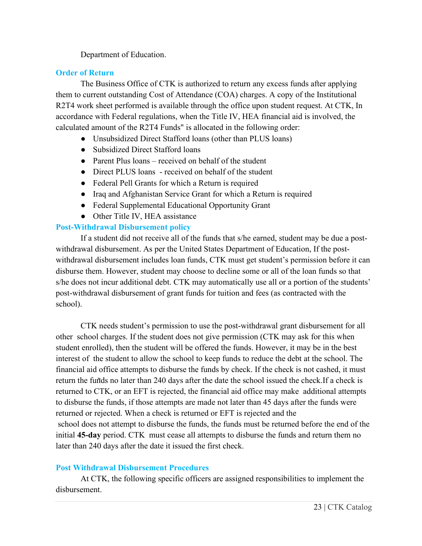Department of Education.

# **Order of Return**

The Business Office of CTK is authorized to return any excess funds after applying them to current outstanding Cost of Attendance (COA) charges. A copy of the Institutional R2T4 work sheet performed is available through the office upon student request. At CTK, In accordance with Federal regulations, when the Title IV, HEA financial aid is involved, the calculated amount of the R2T4 Funds" is allocated in the following order:

- Unsubsidized Direct Stafford loans (other than PLUS loans)
- Subsidized Direct Stafford loans
- Parent Plus loans received on behalf of the student
- Direct PLUS loans received on behalf of the student
- Federal Pell Grants for which a Return is required
- Iraq and Afghanistan Service Grant for which a Return is required
- Federal Supplemental Educational Opportunity Grant
- Other Title IV, HEA assistance

# **Post-Withdrawal Disbursement policy**

If a student did not receive all of the funds that s/he earned, student may be due a postwithdrawal disbursement. As per the United States Department of Education, If the postwithdrawal disbursement includes loan funds, CTK must get student's permission before it can disburse them. However, student may choose to decline some or all of the loan funds so that s/he does not incur additional debt. CTK may automatically use all or a portion of the students' post-withdrawal disbursement of grant funds for tuition and fees (as contracted with the school).

CTK needs student's permission to use the post-withdrawal grant disbursement for all other school charges. If the student does not give permission (CTK may ask for this when student enrolled), then the student will be offered the funds. However, it may be in the best interest of the student to allow the school to keep funds to reduce the debt at the school. The financial aid office attempts to disburse the funds by check. If the check is not cashed, it must return the funds no later than 240 days after the date the school issued the check.If a check is returned to CTK, or an EFT is rejected, the financial aid office may make additional attempts to disburse the funds, if those attempts are made not later than 45 days after the funds were returned or rejected. When a check is returned or EFT is rejected and the school does not attempt to disburse the funds, the funds must be returned before the end of the initial **45-day** period. CTK must cease all attempts to disburse the funds and return them no later than 240 days after the date it issued the first check.

# **Post Withdrawal Disbursement Procedures**

At CTK, the following specific officers are assigned responsibilities to implement the disbursement.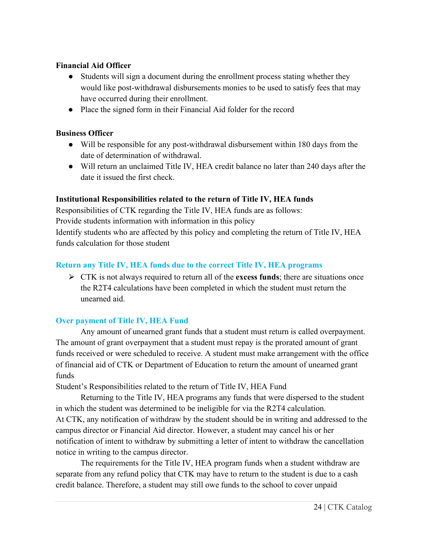# **Financial Aid Officer**

- Students will sign a document during the enrollment process stating whether they would like post-withdrawal disbursements monies to be used to satisfy fees that may have occurred during their enrollment.
- Place the signed form in their Financial Aid folder for the record

# **Business Officer**

- Will be responsible for any post-withdrawal disbursement within 180 days from the date of determination of withdrawal.
- Will return an unclaimed Title IV, HEA credit balance no later than 240 days after the date it issued the first check.

# **Institutional Responsibilities related to the return of Title IV, HEA funds**

Responsibilities of CTK regarding the Title IV, HEA funds are as follows: Provide students information with information in this policy Identify students who are affected by this policy and completing the return of Title IV, HEA funds calculation for those student

# **Return any Title IV, HEA funds due to the correct Title IV, HEA programs**

⮚ CTK is not always required to return all of the **excess funds**; there are situations once the R2T4 calculations have been completed in which the student must return the unearned aid.

# **Over payment of Title IV, HEA Fund**

Any amount of unearned grant funds that a student must return is called overpayment. The amount of grant overpayment that a student must repay is the prorated amount of grant funds received or were scheduled to receive. A student must make arrangement with the office of financial aid of CTK or Department of Education to return the amount of unearned grant funds

Student's Responsibilities related to the return of Title IV, HEA Fund

Returning to the Title IV, HEA programs any funds that were dispersed to the student in which the student was determined to be ineligible for via the R2T4 calculation. At CTK, any notification of withdraw by the student should be in writing and addressed to the campus director or Financial Aid director. However, a student may cancel his or her notification of intent to withdraw by submitting a letter of intent to withdraw the cancellation notice in writing to the campus director.

The requirements for the Title IV, HEA program funds when a student withdraw are separate from any refund policy that CTK may have to return to the student is due to a cash credit balance. Therefore, a student may still owe funds to the school to cover unpaid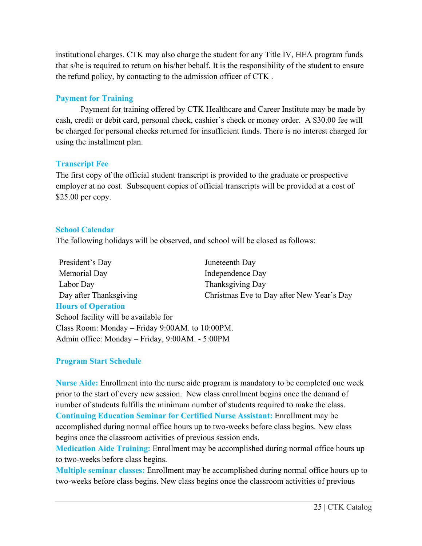institutional charges. CTK may also charge the student for any Title IV, HEA program funds that s/he is required to return on his/her behalf. It is the responsibility of the student to ensure the refund policy, by contacting to the admission officer of CTK .

# **Payment for Training**

Payment for training offered by CTK Healthcare and Career Institute may be made by cash, credit or debit card, personal check, cashier's check or money order. A \$30.00 fee will be charged for personal checks returned for insufficient funds. There is no interest charged for using the installment plan.

# **Transcript Fee**

The first copy of the official student transcript is provided to the graduate or prospective employer at no cost. Subsequent copies of official transcripts will be provided at a cost of \$25.00 per copy.

# **School Calendar**

The following holidays will be observed, and school will be closed as follows:

| President's Day        | Juneteenth Day                            |
|------------------------|-------------------------------------------|
| Memorial Day           | Independence Day                          |
| Labor Day              | Thanksgiving Day                          |
| Day after Thanksgiving | Christmas Eve to Day after New Year's Day |
|                        |                                           |

#### **Hours of Operation**

School facility will be available for Class Room: Monday – Friday 9:00AM. to 10:00PM. Admin office: Monday – Friday, 9:00AM. - 5:00PM

# **Program Start Schedule**

**Nurse Aide:** Enrollment into the nurse aide program is mandatory to be completed one week prior to the start of every new session. New class enrollment begins once the demand of number of students fulfills the minimum number of students required to make the class. **Continuing Education Seminar for Certified Nurse Assistant:** Enrollment may be accomplished during normal office hours up to two-weeks before class begins. New class begins once the classroom activities of previous session ends.

**Medication Aide Training:** Enrollment may be accomplished during normal office hours up to two-weeks before class begins.

**Multiple seminar classes:** Enrollment may be accomplished during normal office hours up to two-weeks before class begins. New class begins once the classroom activities of previous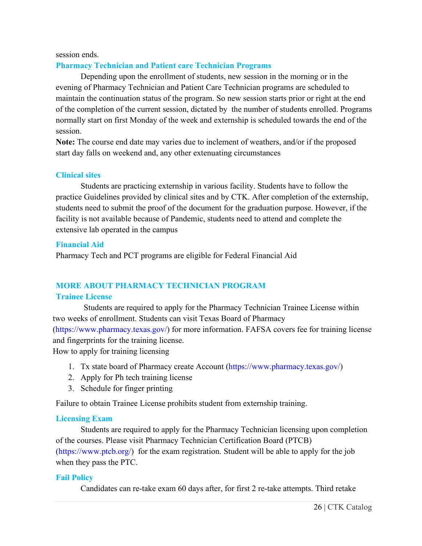#### session ends.

# **Pharmacy Technician and Patient care Technician Programs**

Depending upon the enrollment of students, new session in the morning or in the evening of Pharmacy Technician and Patient Care Technician programs are scheduled to maintain the continuation status of the program. So new session starts prior or right at the end of the completion of the current session, dictated by the number of students enrolled. Programs normally start on first Monday of the week and externship is scheduled towards the end of the session.

**Note:** The course end date may varies due to inclement of weathers, and/or if the proposed start day falls on weekend and, any other extenuating circumstances

# **Clinical sites**

Students are practicing externship in various facility. Students have to follow the practice Guidelines provided by clinical sites and by CTK. After completion of the externship, students need to submit the proof of the document for the graduation purpose. However, if the facility is not available because of Pandemic, students need to attend and complete the extensive lab operated in the campus

#### **Financial Aid**

Pharmacy Tech and PCT programs are eligible for Federal Financial Aid

# **MORE ABOUT PHARMACY TECHNICIAN PROGRAM**

# **Trainee License**

Students are required to apply for the Pharmacy Technician Trainee License within two weeks of enrollment. Students can visit Texas Board of Pharmacy [\(https://www.pharmacy.texas.gov/\)](https://www.pharmacy.texas.gov/) for more information. FAFSA covers fee for training license and fingerprints for the training license.

How to apply for training licensing

- 1. Tx state board of Pharmacy create Account [\(https://www.pharmacy.texas.gov/\)](https://www.pharmacy.texas.gov/)
- 2. Apply for Ph tech training license
- 3. Schedule for finger printing

Failure to obtain Trainee License prohibits student from externship training.

# **Licensing Exam**

Students are required to apply for the Pharmacy Technician licensing upon completion of the courses. Please visit Pharmacy Technician Certification Board (PTCB) [\(https://www.ptcb.org/\)](https://www.ptcb.org/) for the exam registration. Student will be able to apply for the job when they pass the PTC.

# **Fail Policy**

Candidates can re-take exam 60 days after, for first 2 re-take attempts. Third retake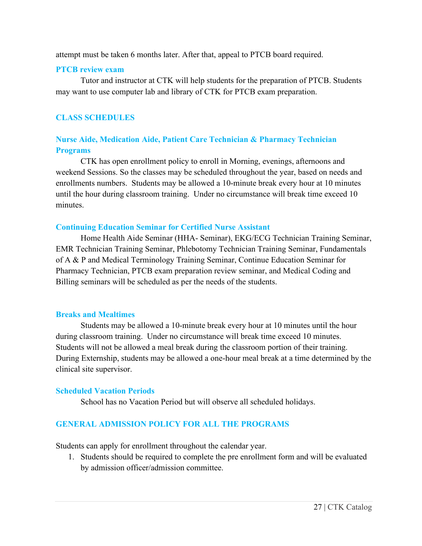attempt must be taken 6 months later. After that, appeal to PTCB board required.

#### **PTCB review exam**

Tutor and instructor at CTK will help students for the preparation of PTCB. Students may want to use computer lab and library of CTK for PTCB exam preparation.

# **CLASS SCHEDULES**

# **Nurse Aide, Medication Aide, Patient Care Technician & Pharmacy Technician Programs**

CTK has open enrollment policy to enroll in Morning, evenings, afternoons and weekend Sessions. So the classes may be scheduled throughout the year, based on needs and enrollments numbers. Students may be allowed a 10-minute break every hour at 10 minutes until the hour during classroom training. Under no circumstance will break time exceed 10 minutes.

#### **Continuing Education Seminar for Certified Nurse Assistant**

Home Health Aide Seminar (HHA- Seminar), EKG/ECG Technician Training Seminar, EMR Technician Training Seminar, Phlebotomy Technician Training Seminar, Fundamentals of A & P and Medical Terminology Training Seminar, Continue Education Seminar for Pharmacy Technician, PTCB exam preparation review seminar, and Medical Coding and Billing seminars will be scheduled as per the needs of the students.

# **Breaks and Mealtimes**

Students may be allowed a 10-minute break every hour at 10 minutes until the hour during classroom training. Under no circumstance will break time exceed 10 minutes. Students will not be allowed a meal break during the classroom portion of their training. During Externship, students may be allowed a one-hour meal break at a time determined by the clinical site supervisor.

# **Scheduled Vacation Periods**

School has no Vacation Period but will observe all scheduled holidays.

# **GENERAL ADMISSION POLICY FOR ALL THE PROGRAMS**

Students can apply for enrollment throughout the calendar year.

1. Students should be required to complete the pre enrollment form and will be evaluated by admission officer/admission committee.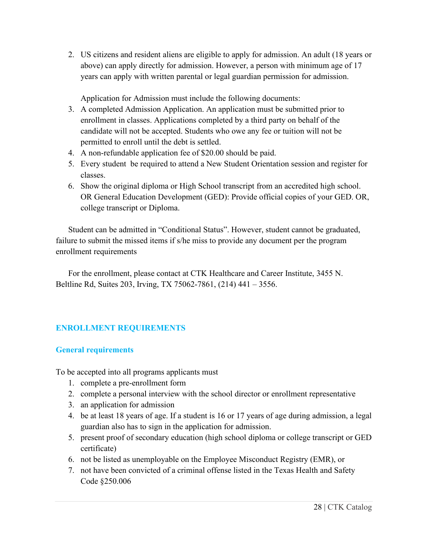2. US citizens and resident aliens are eligible to apply for admission. An adult (18 years or above) can apply directly for admission. However, a person with minimum age of 17 years can apply with written parental or legal guardian permission for admission.

Application for Admission must include the following documents:

- 3. A completed Admission Application. An application must be submitted prior to enrollment in classes. Applications completed by a third party on behalf of the candidate will not be accepted. Students who owe any fee or tuition will not be permitted to enroll until the debt is settled.
- 4. A non-refundable application fee of \$20.00 should be paid.
- 5. Every student be required to attend a New Student Orientation session and register for classes.
- 6. Show the original diploma or High School transcript from an accredited high school. OR General Education Development (GED): Provide official copies of your GED. OR, college transcript or Diploma.

Student can be admitted in "Conditional Status". However, student cannot be graduated, failure to submit the missed items if s/he miss to provide any document per the program enrollment requirements

For the enrollment, please contact at CTK Healthcare and Career Institute, 3455 N. Beltline Rd, Suites 203, Irving, TX 75062-7861, (214) 441 – 3556.

# **ENROLLMENT REQUIREMENTS**

# **General requirements**

To be accepted into all programs applicants must

- 1. complete a pre-enrollment form
- 2. complete a personal interview with the school director or enrollment representative
- 3. an application for admission
- 4. be at least 18 years of age. If a student is 16 or 17 years of age during admission, a legal guardian also has to sign in the application for admission.
- 5. present proof of secondary education (high school diploma or college transcript or GED certificate)
- 6. not be listed as unemployable on the Employee Misconduct Registry (EMR), or
- 7. not have been convicted of a criminal offense listed in the Texas Health and Safety Code §250.006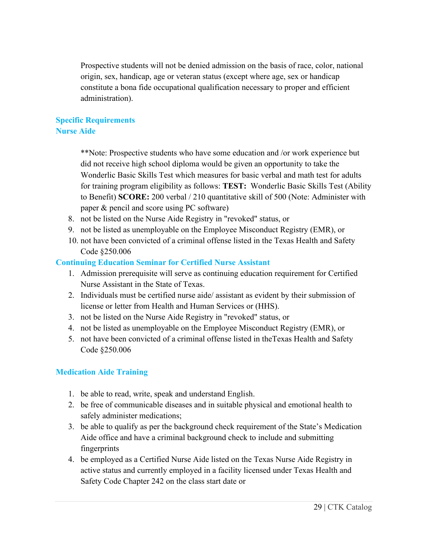Prospective students will not be denied admission on the basis of race, color, national origin, sex, handicap, age or veteran status (except where age, sex or handicap constitute a bona fide occupational qualification necessary to proper and efficient administration).

# **Specific Requirements Nurse Aide**

\*\*Note: Prospective students who have some education and /or work experience but did not receive high school diploma would be given an opportunity to take the Wonderlic Basic Skills Test which measures for basic verbal and math test for adults for training program eligibility as follows: **TEST:** Wonderlic Basic Skills Test (Ability to Benefit) **SCORE:** 200 verbal / 210 quantitative skill of 500 (Note: Administer with paper & pencil and score using PC software)

- 8. not be listed on the Nurse Aide Registry in "revoked" status, or
- 9. not be listed as unemployable on the Employee Misconduct Registry (EMR), or
- 10. not have been convicted of a criminal offense listed in the Texas Health and Safety Code §250.006

# **Continuing Education Seminar for Certified Nurse Assistant**

- 1. Admission prerequisite will serve as continuing education requirement for Certified Nurse Assistant in the State of Texas.
- 2. Individuals must be certified nurse aide/ assistant as evident by their submission of license or letter from Health and Human Services or (HHS).
- 3. not be listed on the Nurse Aide Registry in "revoked" status, or
- 4. not be listed as unemployable on the Employee Misconduct Registry (EMR), or
- 5. not have been convicted of a criminal offense listed in theTexas Health and Safety Code §250.006

# **Medication Aide Training**

- 1. be able to read, write, speak and understand English.
- 2. be free of communicable diseases and in suitable physical and emotional health to safely administer medications;
- 3. be able to qualify as per the background check requirement of the State's Medication Aide office and have a criminal background check to include and submitting fingerprints
- 4. be employed as a Certified Nurse Aide listed on the Texas Nurse Aide Registry in active status and currently employed in a facility licensed under Texas Health and Safety Code Chapter 242 on the class start date or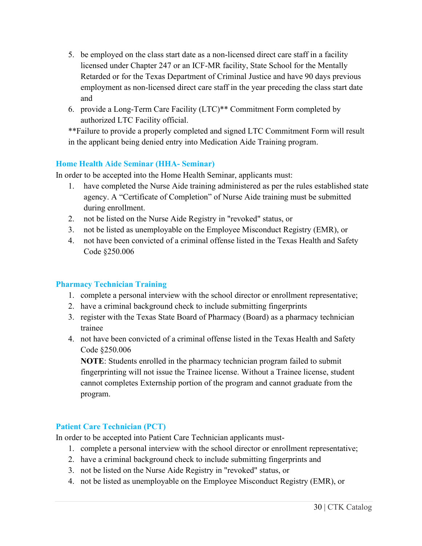- 5. be employed on the class start date as a non-licensed direct care staff in a facility licensed under Chapter 247 or an ICF-MR facility, State School for the Mentally Retarded or for the Texas Department of Criminal Justice and have 90 days previous employment as non-licensed direct care staff in the year preceding the class start date and
- 6. provide a Long-Term Care Facility (LTC)\*\* Commitment Form completed by authorized LTC Facility official.

\*\*Failure to provide a properly completed and signed LTC Commitment Form will result in the applicant being denied entry into Medication Aide Training program.

# **Home Health Aide Seminar (HHA- Seminar)**

In order to be accepted into the Home Health Seminar, applicants must:

- 1. have completed the Nurse Aide training administered as per the rules established state agency. A "Certificate of Completion" of Nurse Aide training must be submitted during enrollment.
- 2. not be listed on the Nurse Aide Registry in "revoked" status, or
- 3. not be listed as unemployable on the Employee Misconduct Registry (EMR), or
- 4. not have been convicted of a criminal offense listed in the Texas Health and Safety Code §250.006

# **Pharmacy Technician Training**

- 1. complete a personal interview with the school director or enrollment representative;
- 2. have a criminal background check to include submitting fingerprints
- 3. register with the Texas State Board of Pharmacy (Board) as a pharmacy technician trainee
- 4. not have been convicted of a criminal offense listed in the Texas Health and Safety Code §250.006

**NOTE**: Students enrolled in the pharmacy technician program failed to submit fingerprinting will not issue the Trainee license. Without a Trainee license, student cannot completes Externship portion of the program and cannot graduate from the program.

# **Patient Care Technician (PCT)**

In order to be accepted into Patient Care Technician applicants must-

- 1. complete a personal interview with the school director or enrollment representative;
- 2. have a criminal background check to include submitting fingerprints and
- 3. not be listed on the Nurse Aide Registry in "revoked" status, or
- 4. not be listed as unemployable on the Employee Misconduct Registry (EMR), or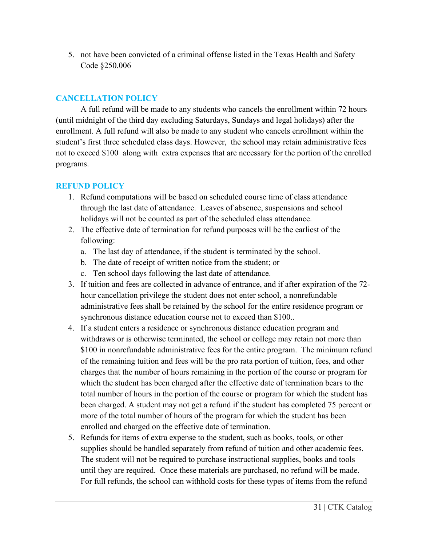5. not have been convicted of a criminal offense listed in the Texas Health and Safety Code §250.006

# **CANCELLATION POLICY**

A full refund will be made to any students who cancels the enrollment within 72 hours (until midnight of the third day excluding Saturdays, Sundays and legal holidays) after the enrollment. A full refund will also be made to any student who cancels enrollment within the student's first three scheduled class days. However, the school may retain administrative fees not to exceed \$100 along with extra expenses that are necessary for the portion of the enrolled programs.

# **REFUND POLICY**

- 1. Refund computations will be based on scheduled course time of class attendance through the last date of attendance. Leaves of absence, suspensions and school holidays will not be counted as part of the scheduled class attendance.
- 2. The effective date of termination for refund purposes will be the earliest of the following:
	- a. The last day of attendance, if the student is terminated by the school.
	- b. The date of receipt of written notice from the student; or
	- c. Ten school days following the last date of attendance.
- 3. If tuition and fees are collected in advance of entrance, and if after expiration of the 72 hour cancellation privilege the student does not enter school, a nonrefundable administrative fees shall be retained by the school for the entire residence program or synchronous distance education course not to exceed than \$100..
- 4. If a student enters a residence or synchronous distance education program and withdraws or is otherwise terminated, the school or college may retain not more than \$100 in nonrefundable administrative fees for the entire program. The minimum refund of the remaining tuition and fees will be the pro rata portion of tuition, fees, and other charges that the number of hours remaining in the portion of the course or program for which the student has been charged after the effective date of termination bears to the total number of hours in the portion of the course or program for which the student has been charged. A student may not get a refund if the student has completed 75 percent or more of the total number of hours of the program for which the student has been enrolled and charged on the effective date of termination.
- 5. Refunds for items of extra expense to the student, such as books, tools, or other supplies should be handled separately from refund of tuition and other academic fees. The student will not be required to purchase instructional supplies, books and tools until they are required. Once these materials are purchased, no refund will be made. For full refunds, the school can withhold costs for these types of items from the refund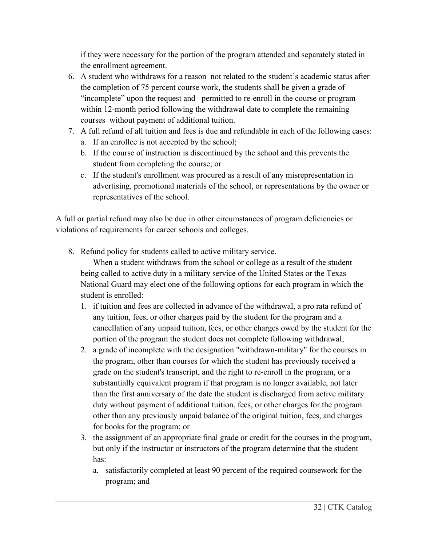if they were necessary for the portion of the program attended and separately stated in the enrollment agreement.

- 6. A student who withdraws for a reason not related to the student's academic status after the completion of 75 percent course work, the students shall be given a grade of "incomplete" upon the request and permitted to re-enroll in the course or program within 12-month period following the withdrawal date to complete the remaining courses without payment of additional tuition.
- 7. A full refund of all tuition and fees is due and refundable in each of the following cases:
	- a. If an enrollee is not accepted by the school;
	- b. If the course of instruction is discontinued by the school and this prevents the student from completing the course; or
	- c. If the student's enrollment was procured as a result of any misrepresentation in advertising, promotional materials of the school, or representations by the owner or representatives of the school.

A full or partial refund may also be due in other circumstances of program deficiencies or violations of requirements for career schools and colleges.

8. Refund policy for students called to active military service.

When a student withdraws from the school or college as a result of the student being called to active duty in a military service of the United States or the Texas National Guard may elect one of the following options for each program in which the student is enrolled:

- 1. if tuition and fees are collected in advance of the withdrawal, a pro rata refund of any tuition, fees, or other charges paid by the student for the program and a cancellation of any unpaid tuition, fees, or other charges owed by the student for the portion of the program the student does not complete following withdrawal;
- 2. a grade of incomplete with the designation "withdrawn-military" for the courses in the program, other than courses for which the student has previously received a grade on the student's transcript, and the right to re-enroll in the program, or a substantially equivalent program if that program is no longer available, not later than the first anniversary of the date the student is discharged from active military duty without payment of additional tuition, fees, or other charges for the program other than any previously unpaid balance of the original tuition, fees, and charges for books for the program; or
- 3. the assignment of an appropriate final grade or credit for the courses in the program, but only if the instructor or instructors of the program determine that the student has:
	- a. satisfactorily completed at least 90 percent of the required coursework for the program; and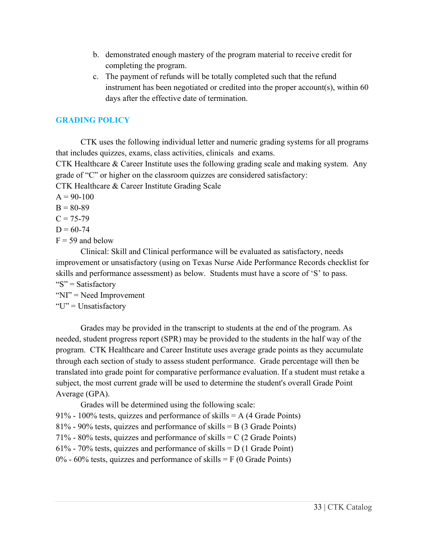- b. demonstrated enough mastery of the program material to receive credit for completing the program.
- c. The payment of refunds will be totally completed such that the refund instrument has been negotiated or credited into the proper account(s), within 60 days after the effective date of termination.

# **GRADING POLICY**

CTK uses the following individual letter and numeric grading systems for all programs that includes quizzes, exams, class activities, clinicals and exams.

CTK Healthcare & Career Institute uses the following grading scale and making system. Any grade of "C" or higher on the classroom quizzes are considered satisfactory:

CTK Healthcare & Career Institute Grading Scale

- $A = 90-100$
- $B = 80-89$
- $C = 75 79$
- $D = 60 74$
- $F = 59$  and below

Clinical: Skill and Clinical performance will be evaluated as satisfactory, needs improvement or unsatisfactory (using on Texas Nurse Aide Performance Records checklist for skills and performance assessment) as below. Students must have a score of 'S' to pass. " $S$ " = Satisfactory

- "NI" = Need Improvement
- " $U$ " = Unsatisfactory"

Grades may be provided in the transcript to students at the end of the program. As needed, student progress report (SPR) may be provided to the students in the half way of the program. CTK Healthcare and Career Institute uses average grade points as they accumulate through each section of study to assess student performance. Grade percentage will then be translated into grade point for comparative performance evaluation. If a student must retake a subject, the most current grade will be used to determine the student's overall Grade Point Average (GPA).

Grades will be determined using the following scale:

91% - 100% tests, quizzes and performance of skills  $= A (4 \text{ Grade Points})$ 

```
81% - 90% tests, quizzes and performance of skills = B (3 Grade Points)
```
71% - 80% tests, quizzes and performance of skills  $= C (2 \text{ Grade Points})$ 

```
61% - 70% tests, quizzes and performance of skills = D (1 \text{ Grade Point})
```
 $0\%$  - 60% tests, quizzes and performance of skills = F (0 Grade Points)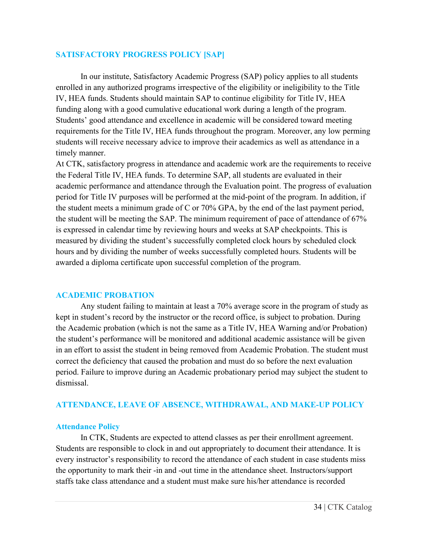#### **SATISFACTORY PROGRESS POLICY [SAP]**

In our institute, Satisfactory Academic Progress (SAP) policy applies to all students enrolled in any authorized programs irrespective of the eligibility or ineligibility to the Title IV, HEA funds. Students should maintain SAP to continue eligibility for Title IV, HEA funding along with a good cumulative educational work during a length of the program. Students' good attendance and excellence in academic will be considered toward meeting requirements for the Title IV, HEA funds throughout the program. Moreover, any low perming students will receive necessary advice to improve their academics as well as attendance in a timely manner.

At CTK, satisfactory progress in attendance and academic work are the requirements to receive the Federal Title IV, HEA funds. To determine SAP, all students are evaluated in their academic performance and attendance through the Evaluation point. The progress of evaluation period for Title IV purposes will be performed at the mid-point of the program. In addition, if the student meets a minimum grade of C or 70% GPA, by the end of the last payment period, the student will be meeting the SAP. The minimum requirement of pace of attendance of 67% is expressed in calendar time by reviewing hours and weeks at SAP checkpoints. This is measured by dividing the student's successfully completed clock hours by scheduled clock hours and by dividing the number of weeks successfully completed hours. Students will be awarded a diploma certificate upon successful completion of the program.

#### **ACADEMIC PROBATION**

Any student failing to maintain at least a 70% average score in the program of study as kept in student's record by the instructor or the record office, is subject to probation. During the Academic probation (which is not the same as a Title IV, HEA Warning and/or Probation) the student's performance will be monitored and additional academic assistance will be given in an effort to assist the student in being removed from Academic Probation. The student must correct the deficiency that caused the probation and must do so before the next evaluation period. Failure to improve during an Academic probationary period may subject the student to dismissal.

# **ATTENDANCE, LEAVE OF ABSENCE, WITHDRAWAL, AND MAKE-UP POLICY**

# **Attendance Policy**

In CTK, Students are expected to attend classes as per their enrollment agreement. Students are responsible to clock in and out appropriately to document their attendance. It is every instructor's responsibility to record the attendance of each student in case students miss the opportunity to mark their -in and -out time in the attendance sheet. Instructors/support staffs take class attendance and a student must make sure his/her attendance is recorded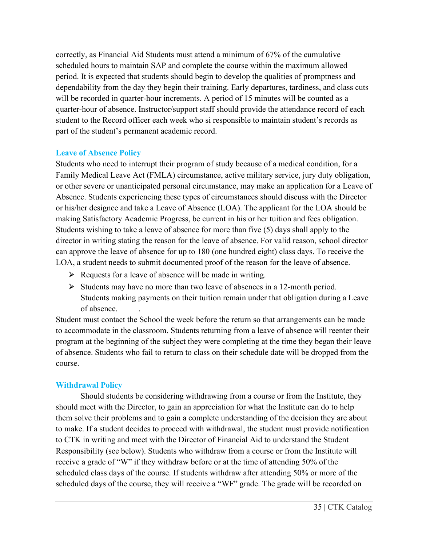correctly, as Financial Aid Students must attend a minimum of 67% of the cumulative scheduled hours to maintain SAP and complete the course within the maximum allowed period. It is expected that students should begin to develop the qualities of promptness and dependability from the day they begin their training. Early departures, tardiness, and class cuts will be recorded in quarter-hour increments. A period of 15 minutes will be counted as a quarter-hour of absence. Instructor/support staff should provide the attendance record of each student to the Record officer each week who si responsible to maintain student's records as part of the student's permanent academic record.

# **Leave of Absence Policy**

Students who need to interrupt their program of study because of a medical condition, for a Family Medical Leave Act (FMLA) circumstance, active military service, jury duty obligation, or other severe or unanticipated personal circumstance, may make an application for a Leave of Absence. Students experiencing these types of circumstances should discuss with the Director or his/her designee and take a Leave of Absence (LOA). The applicant for the LOA should be making Satisfactory Academic Progress, be current in his or her tuition and fees obligation. Students wishing to take a leave of absence for more than five (5) days shall apply to the director in writing stating the reason for the leave of absence. For valid reason, school director can approve the leave of absence for up to 180 (one hundred eight) class days. To receive the LOA, a student needs to submit documented proof of the reason for the leave of absence.

- $\triangleright$  Requests for a leave of absence will be made in writing.
- $\triangleright$  Students may have no more than two leave of absences in a 12-month period. Students making payments on their tuition remain under that obligation during a Leave of absence. .

Student must contact the School the week before the return so that arrangements can be made to accommodate in the classroom. Students returning from a leave of absence will reenter their program at the beginning of the subject they were completing at the time they began their leave of absence. Students who fail to return to class on their schedule date will be dropped from the course.

# **Withdrawal Policy**

Should students be considering withdrawing from a course or from the Institute, they should meet with the Director, to gain an appreciation for what the Institute can do to help them solve their problems and to gain a complete understanding of the decision they are about to make. If a student decides to proceed with withdrawal, the student must provide notification to CTK in writing and meet with the Director of Financial Aid to understand the Student Responsibility (see below). Students who withdraw from a course or from the Institute will receive a grade of "W" if they withdraw before or at the time of attending 50% of the scheduled class days of the course. If students withdraw after attending 50% or more of the scheduled days of the course, they will receive a "WF" grade. The grade will be recorded on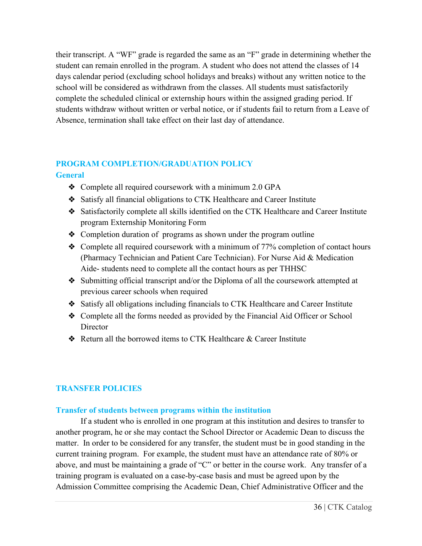their transcript. A "WF" grade is regarded the same as an "F" grade in determining whether the student can remain enrolled in the program. A student who does not attend the classes of 14 days calendar period (excluding school holidays and breaks) without any written notice to the school will be considered as withdrawn from the classes. All students must satisfactorily complete the scheduled clinical or externship hours within the assigned grading period. If students withdraw without written or verbal notice, or if students fail to return from a Leave of Absence, termination shall take effect on their last day of attendance.

# **PROGRAM COMPLETION/GRADUATION POLICY General**

- ❖ Complete all required coursework with a minimum 2.0 GPA
- ❖ Satisfy all financial obligations to CTK Healthcare and Career Institute
- ❖ Satisfactorily complete all skills identified on the CTK Healthcare and Career Institute program Externship Monitoring Form
- ❖ Completion duration of programs as shown under the program outline
- ❖ Complete all required coursework with a minimum of 77% completion of contact hours (Pharmacy Technician and Patient Care Technician). For Nurse Aid & Medication Aide- students need to complete all the contact hours as per THHSC
- ❖ Submitting official transcript and/or the Diploma of all the coursework attempted at previous career schools when required
- ❖ Satisfy all obligations including financials to CTK Healthcare and Career Institute
- ❖ Complete all the forms needed as provided by the Financial Aid Officer or School **Director**
- ❖ Return all the borrowed items to CTK Healthcare & Career Institute

# **TRANSFER POLICIES**

# **Transfer of students between programs within the institution**

If a student who is enrolled in one program at this institution and desires to transfer to another program, he or she may contact the School Director or Academic Dean to discuss the matter. In order to be considered for any transfer, the student must be in good standing in the current training program. For example, the student must have an attendance rate of 80% or above, and must be maintaining a grade of "C" or better in the course work. Any transfer of a training program is evaluated on a case-by-case basis and must be agreed upon by the Admission Committee comprising the Academic Dean, Chief Administrative Officer and the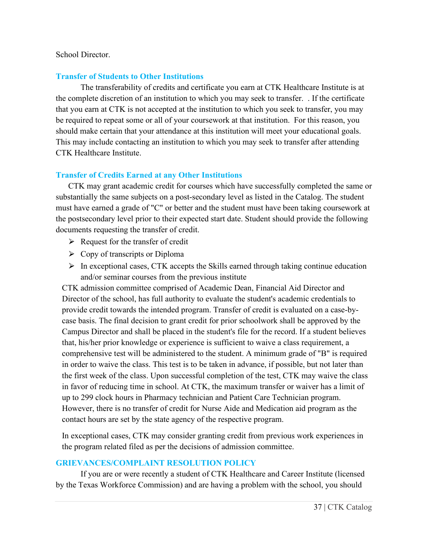#### School Director.

#### **Transfer of Students to Other Institutions**

The transferability of credits and certificate you earn at CTK Healthcare Institute is at the complete discretion of an institution to which you may seek to transfer. . If the certificate that you earn at CTK is not accepted at the institution to which you seek to transfer, you may be required to repeat some or all of your coursework at that institution. For this reason, you should make certain that your attendance at this institution will meet your educational goals. This may include contacting an institution to which you may seek to transfer after attending CTK Healthcare Institute.

#### **Transfer of Credits Earned at any Other Institutions**

CTK may grant academic credit for courses which have successfully completed the same or substantially the same subjects on a post-secondary level as listed in the Catalog. The student must have earned a grade of "C" or better and the student must have been taking coursework at the postsecondary level prior to their expected start date. Student should provide the following documents requesting the transfer of credit.

- $\triangleright$  Request for the transfer of credit
- $\triangleright$  Copy of transcripts or Diploma
- $\triangleright$  In exceptional cases, CTK accepts the Skills earned through taking continue education and/or seminar courses from the previous institute

CTK admission committee comprised of Academic Dean, Financial Aid Director and Director of the school, has full authority to evaluate the student's academic credentials to provide credit towards the intended program. Transfer of credit is evaluated on a case-bycase basis. The final decision to grant credit for prior schoolwork shall be approved by the Campus Director and shall be placed in the student's file for the record. If a student believes that, his/her prior knowledge or experience is sufficient to waive a class requirement, a comprehensive test will be administered to the student. A minimum grade of "B" is required in order to waive the class. This test is to be taken in advance, if possible, but not later than the first week of the class. Upon successful completion of the test, CTK may waive the class in favor of reducing time in school. At CTK, the maximum transfer or waiver has a limit of up to 299 clock hours in Pharmacy technician and Patient Care Technician program. However, there is no transfer of credit for Nurse Aide and Medication aid program as the contact hours are set by the state agency of the respective program.

In exceptional cases, CTK may consider granting credit from previous work experiences in the program related filed as per the decisions of admission committee.

#### **GRIEVANCES/COMPLAINT RESOLUTION POLICY**

If you are or were recently a student of CTK Healthcare and Career Institute (licensed by the Texas Workforce Commission) and are having a problem with the school, you should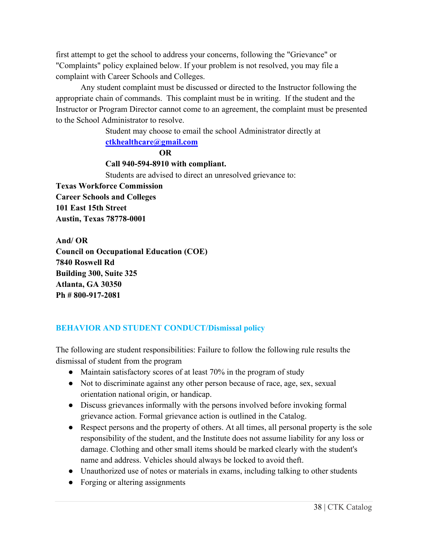first attempt to get the school to address your concerns, following the "Grievance" or "Complaints" policy explained below. If your problem is not resolved, you may file a complaint with Career Schools and Colleges.

Any student complaint must be discussed or directed to the Instructor following the appropriate chain of commands. This complaint must be in writing. If the student and the Instructor or Program Director cannot come to an agreement, the complaint must be presented to the School Administrator to resolve.

> Student may choose to email the school Administrator directly at **[ctkhealthcare@gmail.com](mailto:ctkhealthcare@gmail.com)**

> > **OR**

#### **Call 940-594-8910 with compliant.**

Students are advised to direct an unresolved grievance to:

**Texas Workforce Commission Career Schools and Colleges 101 East 15th Street Austin, Texas 78778-0001**

**And/ OR Council on Occupational Education (COE) 7840 Roswell Rd Building 300, Suite 325 Atlanta, GA 30350 Ph # 800-917-2081**

# **BEHAVIOR AND STUDENT CONDUCT/Dismissal policy**

The following are student responsibilities: Failure to follow the following rule results the dismissal of student from the program

- Maintain satisfactory scores of at least 70% in the program of study
- Not to discriminate against any other person because of race, age, sex, sexual orientation national origin, or handicap.
- Discuss grievances informally with the persons involved before invoking formal grievance action. Formal grievance action is outlined in the Catalog.
- Respect persons and the property of others. At all times, all personal property is the sole responsibility of the student, and the Institute does not assume liability for any loss or damage. Clothing and other small items should be marked clearly with the student's name and address. Vehicles should always be locked to avoid theft.
- Unauthorized use of notes or materials in exams, including talking to other students
- Forging or altering assignments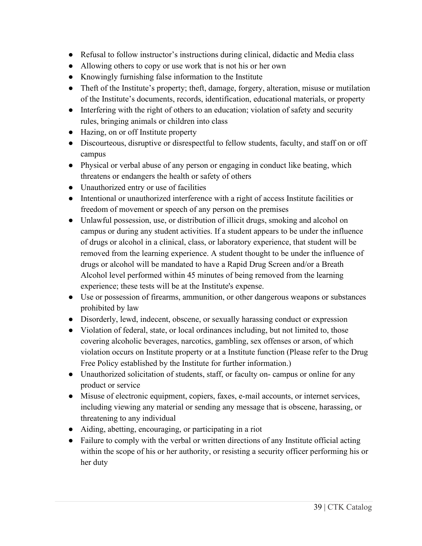- Refusal to follow instructor's instructions during clinical, didactic and Media class
- Allowing others to copy or use work that is not his or her own
- Knowingly furnishing false information to the Institute
- Theft of the Institute's property; theft, damage, forgery, alteration, misuse or mutilation of the Institute's documents, records, identification, educational materials, or property
- Interfering with the right of others to an education; violation of safety and security rules, bringing animals or children into class
- Hazing, on or off Institute property
- Discourteous, disruptive or disrespectful to fellow students, faculty, and staff on or off campus
- Physical or verbal abuse of any person or engaging in conduct like beating, which threatens or endangers the health or safety of others
- Unauthorized entry or use of facilities
- Intentional or unauthorized interference with a right of access Institute facilities or freedom of movement or speech of any person on the premises
- Unlawful possession, use, or distribution of illicit drugs, smoking and alcohol on campus or during any student activities. If a student appears to be under the influence of drugs or alcohol in a clinical, class, or laboratory experience, that student will be removed from the learning experience. A student thought to be under the influence of drugs or alcohol will be mandated to have a Rapid Drug Screen and/or a Breath Alcohol level performed within 45 minutes of being removed from the learning experience; these tests will be at the Institute's expense.
- Use or possession of firearms, ammunition, or other dangerous weapons or substances prohibited by law
- Disorderly, lewd, indecent, obscene, or sexually harassing conduct or expression
- Violation of federal, state, or local ordinances including, but not limited to, those covering alcoholic beverages, narcotics, gambling, sex offenses or arson, of which violation occurs on Institute property or at a Institute function (Please refer to the Drug Free Policy established by the Institute for further information.)
- Unauthorized solicitation of students, staff, or faculty on-campus or online for any product or service
- Misuse of electronic equipment, copiers, faxes, e-mail accounts, or internet services, including viewing any material or sending any message that is obscene, harassing, or threatening to any individual
- Aiding, abetting, encouraging, or participating in a riot
- Failure to comply with the verbal or written directions of any Institute official acting within the scope of his or her authority, or resisting a security officer performing his or her duty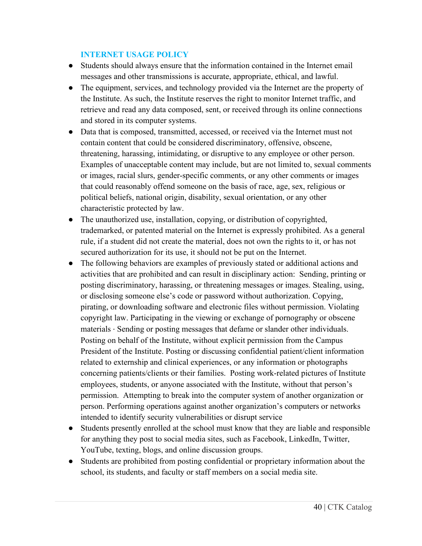### **INTERNET USAGE POLICY**

- Students should always ensure that the information contained in the Internet email messages and other transmissions is accurate, appropriate, ethical, and lawful.
- The equipment, services, and technology provided via the Internet are the property of the Institute. As such, the Institute reserves the right to monitor Internet traffic, and retrieve and read any data composed, sent, or received through its online connections and stored in its computer systems.
- Data that is composed, transmitted, accessed, or received via the Internet must not contain content that could be considered discriminatory, offensive, obscene, threatening, harassing, intimidating, or disruptive to any employee or other person. Examples of unacceptable content may include, but are not limited to, sexual comments or images, racial slurs, gender-specific comments, or any other comments or images that could reasonably offend someone on the basis of race, age, sex, religious or political beliefs, national origin, disability, sexual orientation, or any other characteristic protected by law.
- The unauthorized use, installation, copying, or distribution of copyrighted, trademarked, or patented material on the Internet is expressly prohibited. As a general rule, if a student did not create the material, does not own the rights to it, or has not secured authorization for its use, it should not be put on the Internet.
- The following behaviors are examples of previously stated or additional actions and activities that are prohibited and can result in disciplinary action: Sending, printing or posting discriminatory, harassing, or threatening messages or images. Stealing, using, or disclosing someone else's code or password without authorization. Copying, pirating, or downloading software and electronic files without permission. Violating copyright law. Participating in the viewing or exchange of pornography or obscene materials ∙ Sending or posting messages that defame or slander other individuals. Posting on behalf of the Institute, without explicit permission from the Campus President of the Institute. Posting or discussing confidential patient/client information related to externship and clinical experiences, or any information or photographs concerning patients/clients or their families. Posting work-related pictures of Institute employees, students, or anyone associated with the Institute, without that person's permission. Attempting to break into the computer system of another organization or person. Performing operations against another organization's computers or networks intended to identify security vulnerabilities or disrupt service
- Students presently enrolled at the school must know that they are liable and responsible for anything they post to social media sites, such as Facebook, LinkedIn, Twitter, YouTube, texting, blogs, and online discussion groups.
- Students are prohibited from posting confidential or proprietary information about the school, its students, and faculty or staff members on a social media site.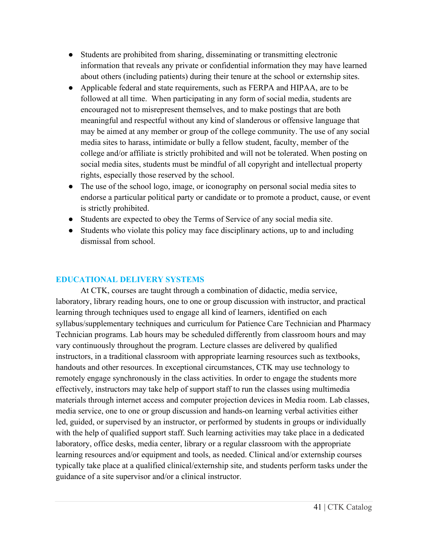- Students are prohibited from sharing, disseminating or transmitting electronic information that reveals any private or confidential information they may have learned about others (including patients) during their tenure at the school or externship sites.
- Applicable federal and state requirements, such as FERPA and HIPAA, are to be followed at all time. When participating in any form of social media, students are encouraged not to misrepresent themselves, and to make postings that are both meaningful and respectful without any kind of slanderous or offensive language that may be aimed at any member or group of the college community. The use of any social media sites to harass, intimidate or bully a fellow student, faculty, member of the college and/or affiliate is strictly prohibited and will not be tolerated. When posting on social media sites, students must be mindful of all copyright and intellectual property rights, especially those reserved by the school.
- The use of the school logo, image, or iconography on personal social media sites to endorse a particular political party or candidate or to promote a product, cause, or event is strictly prohibited.
- Students are expected to obey the Terms of Service of any social media site.
- Students who violate this policy may face disciplinary actions, up to and including dismissal from school.

# **EDUCATIONAL DELIVERY SYSTEMS**

At CTK, courses are taught through a combination of didactic, media service, laboratory, library reading hours, one to one or group discussion with instructor, and practical learning through techniques used to engage all kind of learners, identified on each syllabus/supplementary techniques and curriculum for Patience Care Technician and Pharmacy Technician programs. Lab hours may be scheduled differently from classroom hours and may vary continuously throughout the program. Lecture classes are delivered by qualified instructors, in a traditional classroom with appropriate learning resources such as textbooks, handouts and other resources. In exceptional circumstances, CTK may use technology to remotely engage synchronously in the class activities. In order to engage the students more effectively, instructors may take help of support staff to run the classes using multimedia materials through internet access and computer projection devices in Media room. Lab classes, media service, one to one or group discussion and hands-on learning verbal activities either led, guided, or supervised by an instructor, or performed by students in groups or individually with the help of qualified support staff. Such learning activities may take place in a dedicated laboratory, office desks, media center, library or a regular classroom with the appropriate learning resources and/or equipment and tools, as needed. Clinical and/or externship courses typically take place at a qualified clinical/externship site, and students perform tasks under the guidance of a site supervisor and/or a clinical instructor.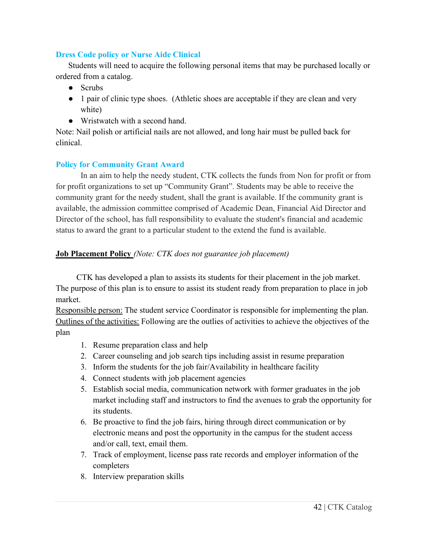### **Dress Code policy or Nurse Aide Clinical**

Students will need to acquire the following personal items that may be purchased locally or ordered from a catalog.

- Scrubs
- 1 pair of clinic type shoes. (Athletic shoes are acceptable if they are clean and very white)
- Wristwatch with a second hand.

Note: Nail polish or artificial nails are not allowed, and long hair must be pulled back for clinical.

# **Policy for Community Grant Award**

In an aim to help the needy student, CTK collects the funds from Non for profit or from for profit organizations to set up "Community Grant". Students may be able to receive the community grant for the needy student, shall the grant is available. If the community grant is available, the admission committee comprised of Academic Dean, Financial Aid Director and Director of the school, has full responsibility to evaluate the student's financial and academic status to award the grant to a particular student to the extend the fund is available.

# **Job Placement Policy** *(Note: CTK does not guarantee job placement)*

 CTK has developed a plan to assists its students for their placement in the job market. The purpose of this plan is to ensure to assist its student ready from preparation to place in job market.

Responsible person: The student service Coordinator is responsible for implementing the plan. Outlines of the activities: Following are the outlies of activities to achieve the objectives of the plan

- 1. Resume preparation class and help
- 2. Career counseling and job search tips including assist in resume preparation
- 3. Inform the students for the job fair/Availability in healthcare facility
- 4. Connect students with job placement agencies
- 5. Establish social media, communication network with former graduates in the job market including staff and instructors to find the avenues to grab the opportunity for its students.
- 6. Be proactive to find the job fairs, hiring through direct communication or by electronic means and post the opportunity in the campus for the student access and/or call, text, email them.
- 7. Track of employment, license pass rate records and employer information of the completers
- 8. Interview preparation skills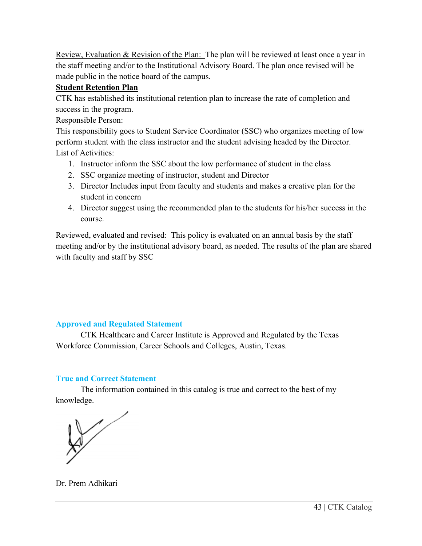Review, Evaluation & Revision of the Plan:The plan will be reviewed at least once a year in the staff meeting and/or to the Institutional Advisory Board. The plan once revised will be made public in the notice board of the campus.

### **Student Retention Plan**

CTK has established its institutional retention plan to increase the rate of completion and success in the program.

Responsible Person:

This responsibility goes to Student Service Coordinator (SSC) who organizes meeting of low perform student with the class instructor and the student advising headed by the Director. List of Activities:

- 1. Instructor inform the SSC about the low performance of student in the class
- 2. SSC organize meeting of instructor, student and Director
- 3. Director Includes input from faculty and students and makes a creative plan for the student in concern
- 4. Director suggest using the recommended plan to the students for his/her success in the course.

Reviewed, evaluated and revised:This policy is evaluated on an annual basis by the staff meeting and/or by the institutional advisory board, as needed. The results of the plan are shared with faculty and staff by SSC

# **Approved and Regulated Statement**

CTK Healthcare and Career Institute is Approved and Regulated by the Texas Workforce Commission, Career Schools and Colleges, Austin, Texas.

# **True and Correct Statement**

The information contained in this catalog is true and correct to the best of my knowledge.

Dr. Prem Adhikari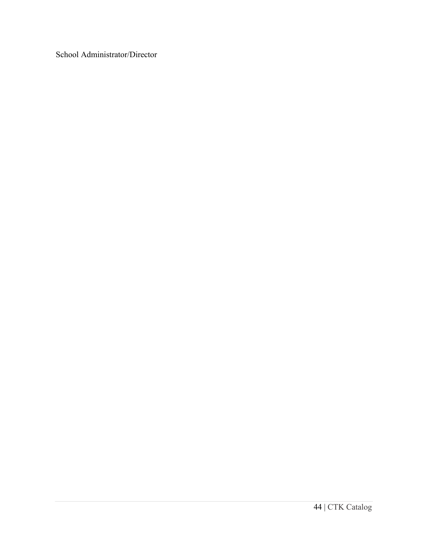School Administrator/Director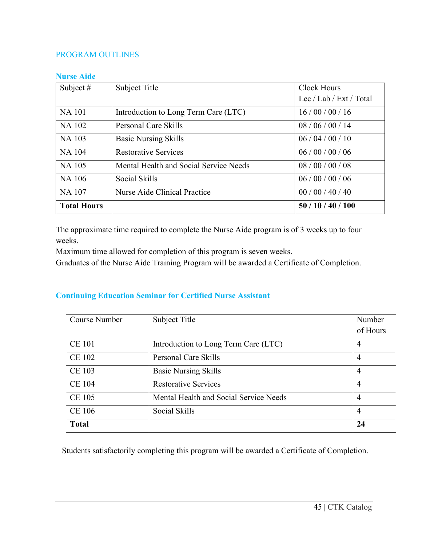### PROGRAM OUTLINES

#### **Nurse Aide**

| Subject #          | Subject Title                          | <b>Clock Hours</b>      |
|--------------------|----------------------------------------|-------------------------|
|                    |                                        | Lec / Lab / Ext / Total |
| <b>NA</b> 101      | Introduction to Long Term Care (LTC)   | 16/00/00/16             |
| <b>NA 102</b>      | Personal Care Skills                   | 08/06/00/14             |
| <b>NA 103</b>      | <b>Basic Nursing Skills</b>            | 06/04/00/10             |
| <b>NA 104</b>      | <b>Restorative Services</b>            | 06/00/00/06             |
| <b>NA 105</b>      | Mental Health and Social Service Needs | 08/00/00/08             |
| <b>NA 106</b>      | Social Skills                          | 06/00/00/06             |
| <b>NA 107</b>      | Nurse Aide Clinical Practice           | 00/00/40/40             |
| <b>Total Hours</b> |                                        | 50/10/40/100            |

The approximate time required to complete the Nurse Aide program is of 3 weeks up to four weeks.

Maximum time allowed for completion of this program is seven weeks.

Graduates of the Nurse Aide Training Program will be awarded a Certificate of Completion.

# **Continuing Education Seminar for Certified Nurse Assistant**

| Course Number | Subject Title                          | Number         |
|---------------|----------------------------------------|----------------|
|               |                                        | of Hours       |
| <b>CE 101</b> | Introduction to Long Term Care (LTC)   | 4              |
| <b>CE 102</b> | <b>Personal Care Skills</b>            | $\overline{4}$ |
| <b>CE 103</b> | <b>Basic Nursing Skills</b>            | $\overline{4}$ |
| <b>CE 104</b> | <b>Restorative Services</b>            | 4              |
| <b>CE 105</b> | Mental Health and Social Service Needs | 4              |
| <b>CE 106</b> | Social Skills                          | $\overline{4}$ |
| <b>Total</b>  |                                        | 24             |

Students satisfactorily completing this program will be awarded a Certificate of Completion.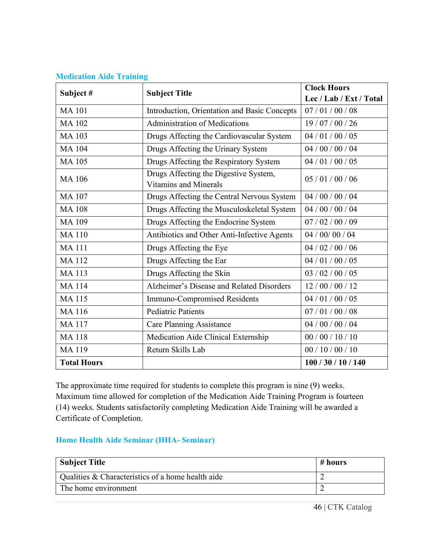|                    |                                                                       | <b>Clock Hours</b>      |  |
|--------------------|-----------------------------------------------------------------------|-------------------------|--|
| Subject#           | <b>Subject Title</b>                                                  | Lec / Lab / Ext / Total |  |
| <b>MA101</b>       | Introduction, Orientation and Basic Concepts                          | 07/01/00/08             |  |
| <b>MA102</b>       | <b>Administration of Medications</b>                                  | 19/07/00/26             |  |
| <b>MA103</b>       | Drugs Affecting the Cardiovascular System                             | 04/01/00/05             |  |
| <b>MA104</b>       | Drugs Affecting the Urinary System                                    | 04 / 00 / 00 / 04       |  |
| <b>MA105</b>       | Drugs Affecting the Respiratory System                                | 04 / 01 / 00 / 05       |  |
| <b>MA106</b>       | Drugs Affecting the Digestive System,<br><b>Vitamins and Minerals</b> | 05/01/00/06             |  |
| <b>MA107</b>       | Drugs Affecting the Central Nervous System                            | 04 / 00 / 00 / 04       |  |
| <b>MA108</b>       | Drugs Affecting the Musculoskeletal System                            | 04 / 00 / 00 / 04       |  |
| <b>MA109</b>       | Drugs Affecting the Endocrine System                                  | 07/02/00/09             |  |
| <b>MA110</b>       | Antibiotics and Other Anti-Infective Agents                           | 04 / 00 / 00 / 04       |  |
| <b>MA111</b>       | Drugs Affecting the Eye                                               | 04 / 02 / 00 / 06       |  |
| <b>MA112</b>       | Drugs Affecting the Ear                                               | 04/01/00/05             |  |
| <b>MA113</b>       | Drugs Affecting the Skin                                              | 03 / 02 / 00 / 05       |  |
| <b>MA114</b>       | Alzheimer's Disease and Related Disorders                             | 12/00/00/12             |  |
| <b>MA115</b>       | Immuno-Compromised Residents                                          | 04/01/00/05             |  |
| <b>MA116</b>       | <b>Pediatric Patients</b>                                             | 07/01/00/08             |  |
| <b>MA117</b>       | <b>Care Planning Assistance</b>                                       | 04/00/00/04             |  |
| <b>MA118</b>       | Medication Aide Clinical Externship                                   | 00/00/10/10             |  |
| <b>MA119</b>       | Return Skills Lab                                                     | 00/10/00/10             |  |
| <b>Total Hours</b> |                                                                       | 100/30/10/140           |  |

### **Medication Aide Training**

The approximate time required for students to complete this program is nine (9) weeks. Maximum time allowed for completion of the Medication Aide Training Program is fourteen (14) weeks. Students satisfactorily completing Medication Aide Training will be awarded a Certificate of Completion.

#### **Home Health Aide Seminar (HHA- Seminar)**

| <b>Subject Title</b>                              | # hours |
|---------------------------------------------------|---------|
| Qualities & Characteristics of a home health aide |         |
| The home environment                              |         |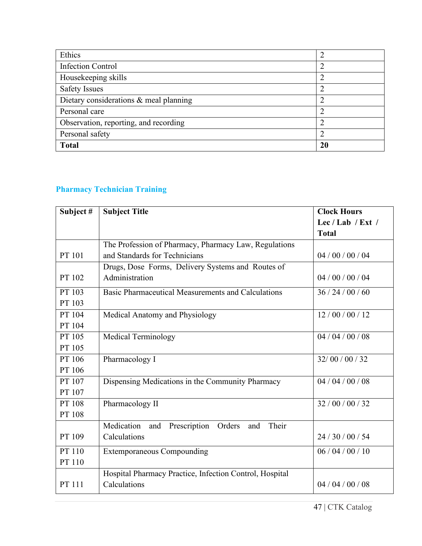| Ethics                                 | $\overline{2}$ |
|----------------------------------------|----------------|
| <b>Infection Control</b>               | $\overline{2}$ |
| Housekeeping skills                    | $\overline{2}$ |
| <b>Safety Issues</b>                   | $\overline{2}$ |
| Dietary considerations & meal planning | $\overline{2}$ |
| Personal care                          | $\overline{2}$ |
| Observation, reporting, and recording  | $\overline{2}$ |
| Personal safety                        | 2              |
| <b>Total</b>                           | 20             |

# **Pharmacy Technician Training**

| Subject # | <b>Subject Title</b>                                     | <b>Clock Hours</b> |
|-----------|----------------------------------------------------------|--------------------|
|           |                                                          | Lec / Lab / Ext /  |
|           |                                                          | <b>Total</b>       |
|           | The Profession of Pharmacy, Pharmacy Law, Regulations    |                    |
| PT 101    | and Standards for Technicians                            | 04 / 00 / 00 / 04  |
|           | Drugs, Dose Forms, Delivery Systems and Routes of        |                    |
| PT 102    | Administration                                           | 04/00/00/04        |
| PT 103    | Basic Pharmaceutical Measurements and Calculations       | 36/24/00/60        |
| PT 103    |                                                          |                    |
| PT 104    | Medical Anatomy and Physiology                           | 12/00/00/12        |
| PT 104    |                                                          |                    |
| PT 105    | <b>Medical Terminology</b>                               | 04/04/00/08        |
| PT 105    |                                                          |                    |
| PT 106    | Pharmacology I                                           | 32/00/00/32        |
| PT 106    |                                                          |                    |
| PT 107    | Dispensing Medications in the Community Pharmacy         | 04/04/00/08        |
| PT 107    |                                                          |                    |
| PT 108    | Pharmacology II                                          | 32 / 00 / 00 / 32  |
| PT 108    |                                                          |                    |
|           | Medication<br>Prescription Orders<br>Their<br>and<br>and |                    |
| PT 109    | Calculations                                             | 24/30/00/54        |
| PT 110    | <b>Extemporaneous Compounding</b>                        | 06/04/00/10        |
| PT 110    |                                                          |                    |
|           | Hospital Pharmacy Practice, Infection Control, Hospital  |                    |
| PT 111    | Calculations                                             | 04/04/00/08        |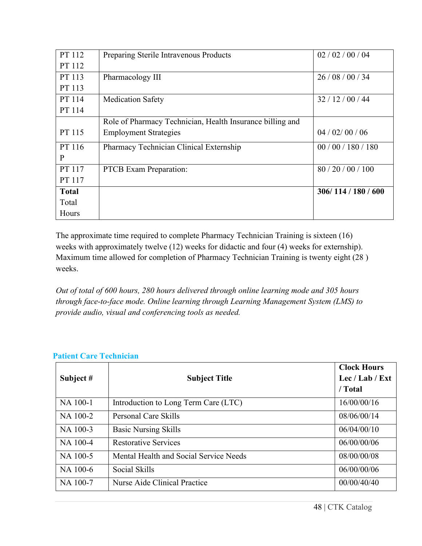| PT 112       | Preparing Sterile Intravenous Products                    | 02 / 02 / 00 / 04 |
|--------------|-----------------------------------------------------------|-------------------|
| PT 112       |                                                           |                   |
| PT 113       | Pharmacology III                                          | 26/08/00/34       |
| PT 113       |                                                           |                   |
| PT 114       | <b>Medication Safety</b>                                  | 32/12/00/44       |
| PT 114       |                                                           |                   |
|              | Role of Pharmacy Technician, Health Insurance billing and |                   |
| PT 115       | <b>Employment Strategies</b>                              | 04 / 02 / 00 / 06 |
| PT 116       | Pharmacy Technician Clinical Externship                   | 00/00/180/180     |
| P            |                                                           |                   |
| PT 117       | <b>PTCB</b> Exam Preparation:                             | 80/20/00/100      |
| PT 117       |                                                           |                   |
| <b>Total</b> |                                                           | 306/114/180/600   |
| Total        |                                                           |                   |
| Hours        |                                                           |                   |

The approximate time required to complete Pharmacy Technician Training is sixteen (16) weeks with approximately twelve (12) weeks for didactic and four (4) weeks for externship). Maximum time allowed for completion of Pharmacy Technician Training is twenty eight (28 ) weeks.

*Out of total of 600 hours, 280 hours delivered through online learning mode and 305 hours through face-to-face mode. Online learning through Learning Management System (LMS) to provide audio, visual and conferencing tools as needed.*

| Subject # | <b>Subject Title</b>                   | <b>Clock Hours</b><br>Lec / Lab / Ext<br>/ Total |
|-----------|----------------------------------------|--------------------------------------------------|
| NA 100-1  | Introduction to Long Term Care (LTC)   | 16/00/00/16                                      |
| NA 100-2  | Personal Care Skills                   | 08/06/00/14                                      |
| NA 100-3  | <b>Basic Nursing Skills</b>            | 06/04/00/10                                      |
| NA 100-4  | <b>Restorative Services</b>            | 06/00/00/06                                      |
| NA 100-5  | Mental Health and Social Service Needs | 08/00/00/08                                      |
| NA 100-6  | Social Skills                          | 06/00/00/06                                      |
| NA 100-7  | Nurse Aide Clinical Practice           | 00/00/40/40                                      |

# **Patient Care Technician**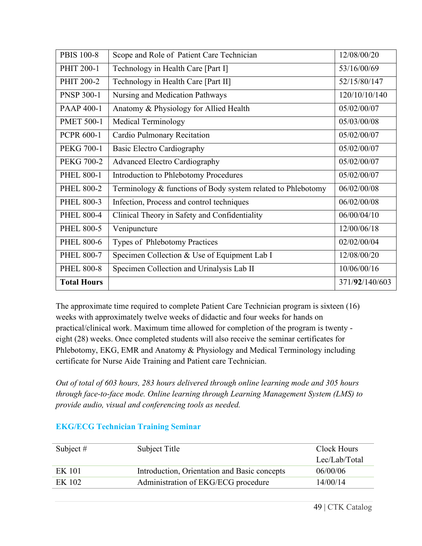| <b>PBIS 100-8</b>  | Scope and Role of Patient Care Technician                    | 12/08/00/20    |
|--------------------|--------------------------------------------------------------|----------------|
| PHIT 200-1         | Technology in Health Care [Part I]                           | 53/16/00/69    |
| PHIT 200-2         | Technology in Health Care [Part II]                          | 52/15/80/147   |
| <b>PNSP 300-1</b>  | Nursing and Medication Pathways                              | 120/10/10/140  |
| <b>PAAP 400-1</b>  | Anatomy & Physiology for Allied Health                       | 05/02/00/07    |
| <b>PMET 500-1</b>  | <b>Medical Terminology</b>                                   | 05/03/00/08    |
| <b>PCPR 600-1</b>  | Cardio Pulmonary Recitation                                  | 05/02/00/07    |
| <b>PEKG 700-1</b>  | <b>Basic Electro Cardiography</b>                            | 05/02/00/07    |
| <b>PEKG 700-2</b>  | <b>Advanced Electro Cardiography</b>                         | 05/02/00/07    |
| <b>PHEL 800-1</b>  | Introduction to Phlebotomy Procedures                        | 05/02/00/07    |
| <b>PHEL 800-2</b>  | Terminology & functions of Body system related to Phlebotomy | 06/02/00/08    |
| <b>PHEL 800-3</b>  | Infection, Process and control techniques                    | 06/02/00/08    |
| <b>PHEL 800-4</b>  | Clinical Theory in Safety and Confidentiality                | 06/00/04/10    |
| <b>PHEL 800-5</b>  | Venipuncture                                                 | 12/00/06/18    |
| <b>PHEL 800-6</b>  | Types of Phlebotomy Practices                                | 02/02/00/04    |
| <b>PHEL 800-7</b>  | Specimen Collection & Use of Equipment Lab I                 | 12/08/00/20    |
| <b>PHEL 800-8</b>  | Specimen Collection and Urinalysis Lab II                    | 10/06/00/16    |
| <b>Total Hours</b> |                                                              | 371/92/140/603 |

The approximate time required to complete Patient Care Technician program is sixteen (16) weeks with approximately twelve weeks of didactic and four weeks for hands on practical/clinical work. Maximum time allowed for completion of the program is twenty eight (28) weeks. Once completed students will also receive the seminar certificates for Phlebotomy, EKG, EMR and Anatomy & Physiology and Medical Terminology including certificate for Nurse Aide Training and Patient care Technician.

*Out of total of 603 hours, 283 hours delivered through online learning mode and 305 hours through face-to-face mode. Online learning through Learning Management System (LMS) to provide audio, visual and conferencing tools as needed.*

| Subject # | Subject Title                                | Clock Hours   |
|-----------|----------------------------------------------|---------------|
|           |                                              | Lec/Lab/Total |
| EK 101    | Introduction, Orientation and Basic concepts | 06/00/06      |
| EK 102    | Administration of EKG/ECG procedure          | 14/00/14      |

# **EKG/ECG Technician Training Seminar**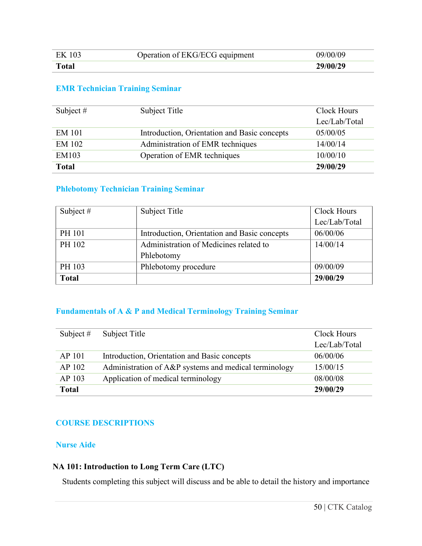| EK 103       | Operation of EKG/ECG equipment | 09/00/09 |
|--------------|--------------------------------|----------|
| <b>Total</b> |                                | 29/00/29 |

# **EMR Technician Training Seminar**

| Subject $#$   | Subject Title                                | Clock Hours   |
|---------------|----------------------------------------------|---------------|
|               |                                              | Lec/Lab/Total |
| <b>EM 101</b> | Introduction, Orientation and Basic concepts | 05/00/05      |
| EM 102        | Administration of EMR techniques             | 14/00/14      |
| EM103         | Operation of EMR techniques                  | 10/00/10      |
| <b>Total</b>  |                                              | 29/00/29      |

### **Phlebotomy Technician Training Seminar**

| Subject $#$  | Subject Title                                | Clock Hours   |
|--------------|----------------------------------------------|---------------|
|              |                                              | Lec/Lab/Total |
| PH 101       | Introduction, Orientation and Basic concepts | 06/00/06      |
| PH 102       | Administration of Medicines related to       | 14/00/14      |
|              | Phlebotomy                                   |               |
| PH 103       | Phlebotomy procedure                         | 09/00/09      |
| <b>Total</b> |                                              | 29/00/29      |

### **Fundamentals of A & P and Medical Terminology Training Seminar**

| Subject $#$  | Subject Title                                         | Clock Hours   |
|--------------|-------------------------------------------------------|---------------|
|              |                                                       | Lec/Lab/Total |
| AP 101       | Introduction, Orientation and Basic concepts          | 06/00/06      |
| AP 102       | Administration of A&P systems and medical terminology | 15/00/15      |
| AP 103       | Application of medical terminology                    | 08/00/08      |
| <b>Total</b> |                                                       | 29/00/29      |

#### **COURSE DESCRIPTIONS**

### **Nurse Aide**

#### **NA 101: Introduction to Long Term Care (LTC)**

Students completing this subject will discuss and be able to detail the history and importance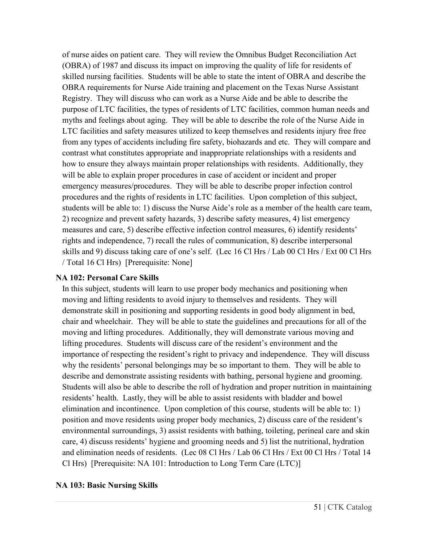of nurse aides on patient care. They will review the Omnibus Budget Reconciliation Act (OBRA) of 1987 and discuss its impact on improving the quality of life for residents of skilled nursing facilities. Students will be able to state the intent of OBRA and describe the OBRA requirements for Nurse Aide training and placement on the Texas Nurse Assistant Registry. They will discuss who can work as a Nurse Aide and be able to describe the purpose of LTC facilities, the types of residents of LTC facilities, common human needs and myths and feelings about aging. They will be able to describe the role of the Nurse Aide in LTC facilities and safety measures utilized to keep themselves and residents injury free free from any types of accidents including fire safety, biohazards and etc. They will compare and contrast what constitutes appropriate and inappropriate relationships with a residents and how to ensure they always maintain proper relationships with residents. Additionally, they will be able to explain proper procedures in case of accident or incident and proper emergency measures/procedures. They will be able to describe proper infection control procedures and the rights of residents in LTC facilities. Upon completion of this subject, students will be able to: 1) discuss the Nurse Aide's role as a member of the health care team, 2) recognize and prevent safety hazards, 3) describe safety measures, 4) list emergency measures and care, 5) describe effective infection control measures, 6) identify residents' rights and independence, 7) recall the rules of communication, 8) describe interpersonal skills and 9) discuss taking care of one's self. (Lec 16 Cl Hrs / Lab 00 Cl Hrs / Ext 00 Cl Hrs / Total 16 Cl Hrs) [Prerequisite: None]

### **NA 102: Personal Care Skills**

In this subject, students will learn to use proper body mechanics and positioning when moving and lifting residents to avoid injury to themselves and residents. They will demonstrate skill in positioning and supporting residents in good body alignment in bed, chair and wheelchair. They will be able to state the guidelines and precautions for all of the moving and lifting procedures. Additionally, they will demonstrate various moving and lifting procedures. Students will discuss care of the resident's environment and the importance of respecting the resident's right to privacy and independence. They will discuss why the residents' personal belongings may be so important to them. They will be able to describe and demonstrate assisting residents with bathing, personal hygiene and grooming. Students will also be able to describe the roll of hydration and proper nutrition in maintaining residents' health. Lastly, they will be able to assist residents with bladder and bowel elimination and incontinence. Upon completion of this course, students will be able to: 1) position and move residents using proper body mechanics, 2) discuss care of the resident's environmental surroundings, 3) assist residents with bathing, toileting, perineal care and skin care, 4) discuss residents' hygiene and grooming needs and 5) list the nutritional, hydration and elimination needs of residents. (Lec 08 Cl Hrs / Lab 06 Cl Hrs / Ext 00 Cl Hrs / Total 14 Cl Hrs) [Prerequisite: NA 101: Introduction to Long Term Care (LTC)]

# **NA 103: Basic Nursing Skills**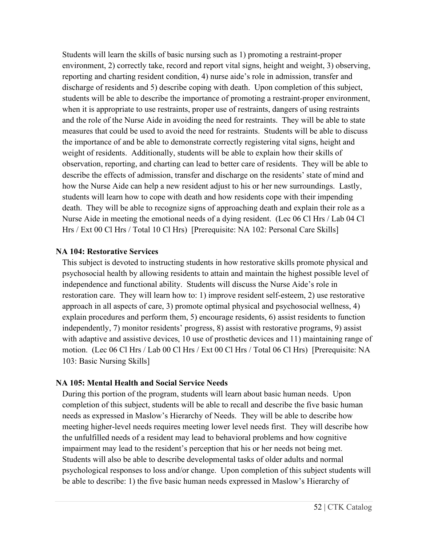Students will learn the skills of basic nursing such as 1) promoting a restraint-proper environment, 2) correctly take, record and report vital signs, height and weight, 3) observing, reporting and charting resident condition, 4) nurse aide's role in admission, transfer and discharge of residents and 5) describe coping with death. Upon completion of this subject, students will be able to describe the importance of promoting a restraint-proper environment, when it is appropriate to use restraints, proper use of restraints, dangers of using restraints and the role of the Nurse Aide in avoiding the need for restraints. They will be able to state measures that could be used to avoid the need for restraints. Students will be able to discuss the importance of and be able to demonstrate correctly registering vital signs, height and weight of residents. Additionally, students will be able to explain how their skills of observation, reporting, and charting can lead to better care of residents. They will be able to describe the effects of admission, transfer and discharge on the residents' state of mind and how the Nurse Aide can help a new resident adjust to his or her new surroundings. Lastly, students will learn how to cope with death and how residents cope with their impending death. They will be able to recognize signs of approaching death and explain their role as a Nurse Aide in meeting the emotional needs of a dying resident. (Lec 06 Cl Hrs / Lab 04 Cl Hrs / Ext 00 Cl Hrs / Total 10 Cl Hrs) [Prerequisite: NA 102: Personal Care Skills]

#### **NA 104: Restorative Services**

This subject is devoted to instructing students in how restorative skills promote physical and psychosocial health by allowing residents to attain and maintain the highest possible level of independence and functional ability. Students will discuss the Nurse Aide's role in restoration care. They will learn how to: 1) improve resident self-esteem, 2) use restorative approach in all aspects of care, 3) promote optimal physical and psychosocial wellness, 4) explain procedures and perform them, 5) encourage residents, 6) assist residents to function independently, 7) monitor residents' progress, 8) assist with restorative programs, 9) assist with adaptive and assistive devices, 10 use of prosthetic devices and 11) maintaining range of motion. (Lec 06 Cl Hrs / Lab 00 Cl Hrs / Ext 00 Cl Hrs / Total 06 Cl Hrs) [Prerequisite: NA 103: Basic Nursing Skills]

#### **NA 105: Mental Health and Social Service Needs**

During this portion of the program, students will learn about basic human needs. Upon completion of this subject, students will be able to recall and describe the five basic human needs as expressed in Maslow's Hierarchy of Needs. They will be able to describe how meeting higher-level needs requires meeting lower level needs first. They will describe how the unfulfilled needs of a resident may lead to behavioral problems and how cognitive impairment may lead to the resident's perception that his or her needs not being met. Students will also be able to describe developmental tasks of older adults and normal psychological responses to loss and/or change. Upon completion of this subject students will be able to describe: 1) the five basic human needs expressed in Maslow's Hierarchy of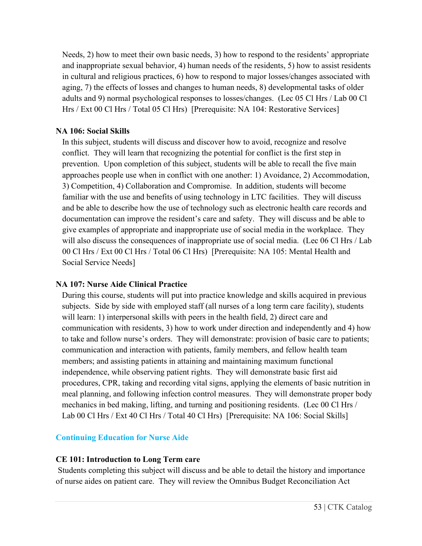Needs, 2) how to meet their own basic needs, 3) how to respond to the residents' appropriate and inappropriate sexual behavior, 4) human needs of the residents, 5) how to assist residents in cultural and religious practices, 6) how to respond to major losses/changes associated with aging, 7) the effects of losses and changes to human needs, 8) developmental tasks of older adults and 9) normal psychological responses to losses/changes. (Lec 05 Cl Hrs / Lab 00 Cl Hrs / Ext 00 Cl Hrs / Total 05 Cl Hrs) [Prerequisite: NA 104: Restorative Services]

### **NA 106: Social Skills**

In this subject, students will discuss and discover how to avoid, recognize and resolve conflict. They will learn that recognizing the potential for conflict is the first step in prevention. Upon completion of this subject, students will be able to recall the five main approaches people use when in conflict with one another: 1) Avoidance, 2) Accommodation, 3) Competition, 4) Collaboration and Compromise. In addition, students will become familiar with the use and benefits of using technology in LTC facilities. They will discuss and be able to describe how the use of technology such as electronic health care records and documentation can improve the resident's care and safety. They will discuss and be able to give examples of appropriate and inappropriate use of social media in the workplace. They will also discuss the consequences of inappropriate use of social media. (Lec 06 Cl Hrs / Lab 00 Cl Hrs / Ext 00 Cl Hrs / Total 06 Cl Hrs) [Prerequisite: NA 105: Mental Health and Social Service Needs]

# **NA 107: Nurse Aide Clinical Practice**

During this course, students will put into practice knowledge and skills acquired in previous subjects. Side by side with employed staff (all nurses of a long term care facility), students will learn: 1) interpersonal skills with peers in the health field, 2) direct care and communication with residents, 3) how to work under direction and independently and 4) how to take and follow nurse's orders. They will demonstrate: provision of basic care to patients; communication and interaction with patients, family members, and fellow health team members; and assisting patients in attaining and maintaining maximum functional independence, while observing patient rights. They will demonstrate basic first aid procedures, CPR, taking and recording vital signs, applying the elements of basic nutrition in meal planning, and following infection control measures. They will demonstrate proper body mechanics in bed making, lifting, and turning and positioning residents. (Lec 00 Cl Hrs / Lab 00 Cl Hrs / Ext 40 Cl Hrs / Total 40 Cl Hrs) [Prerequisite: NA 106: Social Skills]

# **Continuing Education for Nurse Aide**

# **CE 101: Introduction to Long Term care**

Students completing this subject will discuss and be able to detail the history and importance of nurse aides on patient care. They will review the Omnibus Budget Reconciliation Act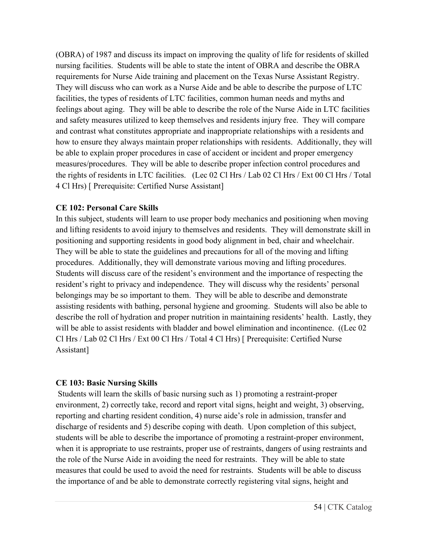(OBRA) of 1987 and discuss its impact on improving the quality of life for residents of skilled nursing facilities. Students will be able to state the intent of OBRA and describe the OBRA requirements for Nurse Aide training and placement on the Texas Nurse Assistant Registry. They will discuss who can work as a Nurse Aide and be able to describe the purpose of LTC facilities, the types of residents of LTC facilities, common human needs and myths and feelings about aging. They will be able to describe the role of the Nurse Aide in LTC facilities and safety measures utilized to keep themselves and residents injury free. They will compare and contrast what constitutes appropriate and inappropriate relationships with a residents and how to ensure they always maintain proper relationships with residents. Additionally, they will be able to explain proper procedures in case of accident or incident and proper emergency measures/procedures. They will be able to describe proper infection control procedures and the rights of residents in LTC facilities. (Lec 02 Cl Hrs / Lab 02 Cl Hrs / Ext 00 Cl Hrs / Total 4 Cl Hrs) [ Prerequisite: Certified Nurse Assistant]

#### **CE 102: Personal Care Skills**

In this subject, students will learn to use proper body mechanics and positioning when moving and lifting residents to avoid injury to themselves and residents. They will demonstrate skill in positioning and supporting residents in good body alignment in bed, chair and wheelchair. They will be able to state the guidelines and precautions for all of the moving and lifting procedures. Additionally, they will demonstrate various moving and lifting procedures. Students will discuss care of the resident's environment and the importance of respecting the resident's right to privacy and independence. They will discuss why the residents' personal belongings may be so important to them. They will be able to describe and demonstrate assisting residents with bathing, personal hygiene and grooming. Students will also be able to describe the roll of hydration and proper nutrition in maintaining residents' health. Lastly, they will be able to assist residents with bladder and bowel elimination and incontinence. ((Lec 02) Cl Hrs / Lab 02 Cl Hrs / Ext 00 Cl Hrs / Total 4 Cl Hrs) [ Prerequisite: Certified Nurse Assistant]

#### **CE 103: Basic Nursing Skills**

Students will learn the skills of basic nursing such as 1) promoting a restraint-proper environment, 2) correctly take, record and report vital signs, height and weight, 3) observing, reporting and charting resident condition, 4) nurse aide's role in admission, transfer and discharge of residents and 5) describe coping with death. Upon completion of this subject, students will be able to describe the importance of promoting a restraint-proper environment, when it is appropriate to use restraints, proper use of restraints, dangers of using restraints and the role of the Nurse Aide in avoiding the need for restraints. They will be able to state measures that could be used to avoid the need for restraints. Students will be able to discuss the importance of and be able to demonstrate correctly registering vital signs, height and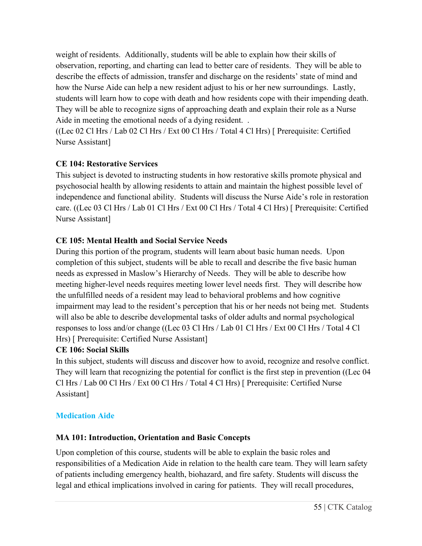weight of residents. Additionally, students will be able to explain how their skills of observation, reporting, and charting can lead to better care of residents. They will be able to describe the effects of admission, transfer and discharge on the residents' state of mind and how the Nurse Aide can help a new resident adjust to his or her new surroundings. Lastly, students will learn how to cope with death and how residents cope with their impending death. They will be able to recognize signs of approaching death and explain their role as a Nurse Aide in meeting the emotional needs of a dying resident. .

((Lec 02 Cl Hrs / Lab 02 Cl Hrs / Ext 00 Cl Hrs / Total 4 Cl Hrs) [ Prerequisite: Certified Nurse Assistant]

# **CE 104: Restorative Services**

This subject is devoted to instructing students in how restorative skills promote physical and psychosocial health by allowing residents to attain and maintain the highest possible level of independence and functional ability. Students will discuss the Nurse Aide's role in restoration care. ((Lec 03 Cl Hrs / Lab 01 Cl Hrs / Ext 00 Cl Hrs / Total 4 Cl Hrs) [ Prerequisite: Certified Nurse Assistant]

# **CE 105: Mental Health and Social Service Needs**

During this portion of the program, students will learn about basic human needs. Upon completion of this subject, students will be able to recall and describe the five basic human needs as expressed in Maslow's Hierarchy of Needs. They will be able to describe how meeting higher-level needs requires meeting lower level needs first. They will describe how the unfulfilled needs of a resident may lead to behavioral problems and how cognitive impairment may lead to the resident's perception that his or her needs not being met. Students will also be able to describe developmental tasks of older adults and normal psychological responses to loss and/or change ((Lec 03 Cl Hrs / Lab 01 Cl Hrs / Ext 00 Cl Hrs / Total 4 Cl Hrs) [ Prerequisite: Certified Nurse Assistant]

# **CE 106: Social Skills**

In this subject, students will discuss and discover how to avoid, recognize and resolve conflict. They will learn that recognizing the potential for conflict is the first step in prevention ((Lec 04 Cl Hrs / Lab 00 Cl Hrs / Ext 00 Cl Hrs / Total 4 Cl Hrs) [ Prerequisite: Certified Nurse Assistant]

# **Medication Aide**

# **MA 101: Introduction, Orientation and Basic Concepts**

Upon completion of this course, students will be able to explain the basic roles and responsibilities of a Medication Aide in relation to the health care team. They will learn safety of patients including emergency health, biohazard, and fire safety. Students will discuss the legal and ethical implications involved in caring for patients. They will recall procedures,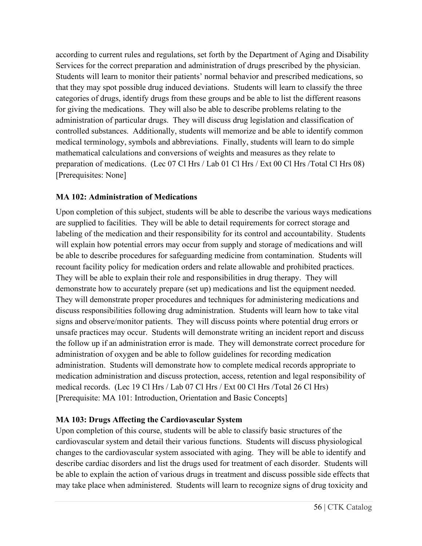according to current rules and regulations, set forth by the Department of Aging and Disability Services for the correct preparation and administration of drugs prescribed by the physician. Students will learn to monitor their patients' normal behavior and prescribed medications, so that they may spot possible drug induced deviations. Students will learn to classify the three categories of drugs, identify drugs from these groups and be able to list the different reasons for giving the medications. They will also be able to describe problems relating to the administration of particular drugs. They will discuss drug legislation and classification of controlled substances. Additionally, students will memorize and be able to identify common medical terminology, symbols and abbreviations. Finally, students will learn to do simple mathematical calculations and conversions of weights and measures as they relate to preparation of medications. (Lec 07 Cl Hrs / Lab 01 Cl Hrs / Ext 00 Cl Hrs /Total Cl Hrs 08) [Prerequisites: None]

# **MA 102: Administration of Medications**

Upon completion of this subject, students will be able to describe the various ways medications are supplied to facilities. They will be able to detail requirements for correct storage and labeling of the medication and their responsibility for its control and accountability. Students will explain how potential errors may occur from supply and storage of medications and will be able to describe procedures for safeguarding medicine from contamination. Students will recount facility policy for medication orders and relate allowable and prohibited practices. They will be able to explain their role and responsibilities in drug therapy. They will demonstrate how to accurately prepare (set up) medications and list the equipment needed. They will demonstrate proper procedures and techniques for administering medications and discuss responsibilities following drug administration. Students will learn how to take vital signs and observe/monitor patients. They will discuss points where potential drug errors or unsafe practices may occur. Students will demonstrate writing an incident report and discuss the follow up if an administration error is made. They will demonstrate correct procedure for administration of oxygen and be able to follow guidelines for recording medication administration. Students will demonstrate how to complete medical records appropriate to medication administration and discuss protection, access, retention and legal responsibility of medical records. (Lec 19 Cl Hrs / Lab 07 Cl Hrs / Ext 00 Cl Hrs /Total 26 Cl Hrs) [Prerequisite: MA 101: Introduction, Orientation and Basic Concepts]

# **MA 103: Drugs Affecting the Cardiovascular System**

Upon completion of this course, students will be able to classify basic structures of the cardiovascular system and detail their various functions. Students will discuss physiological changes to the cardiovascular system associated with aging. They will be able to identify and describe cardiac disorders and list the drugs used for treatment of each disorder. Students will be able to explain the action of various drugs in treatment and discuss possible side effects that may take place when administered. Students will learn to recognize signs of drug toxicity and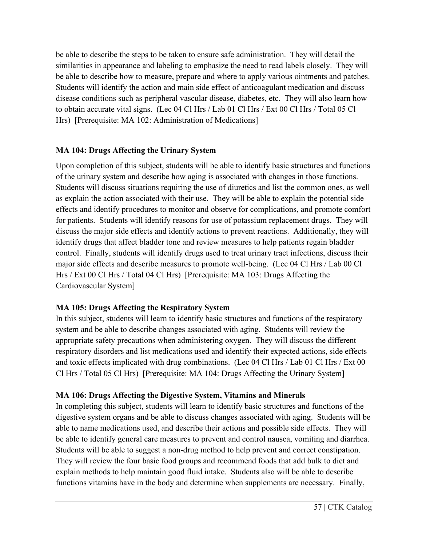be able to describe the steps to be taken to ensure safe administration. They will detail the similarities in appearance and labeling to emphasize the need to read labels closely. They will be able to describe how to measure, prepare and where to apply various ointments and patches. Students will identify the action and main side effect of anticoagulant medication and discuss disease conditions such as peripheral vascular disease, diabetes, etc. They will also learn how to obtain accurate vital signs. (Lec 04 Cl Hrs / Lab 01 Cl Hrs / Ext 00 Cl Hrs / Total 05 Cl Hrs) [Prerequisite: MA 102: Administration of Medications]

### **MA 104: Drugs Affecting the Urinary System**

Upon completion of this subject, students will be able to identify basic structures and functions of the urinary system and describe how aging is associated with changes in those functions. Students will discuss situations requiring the use of diuretics and list the common ones, as well as explain the action associated with their use. They will be able to explain the potential side effects and identify procedures to monitor and observe for complications, and promote comfort for patients. Students will identify reasons for use of potassium replacement drugs. They will discuss the major side effects and identify actions to prevent reactions. Additionally, they will identify drugs that affect bladder tone and review measures to help patients regain bladder control. Finally, students will identify drugs used to treat urinary tract infections, discuss their major side effects and describe measures to promote well-being. (Lec 04 Cl Hrs / Lab 00 Cl Hrs / Ext 00 Cl Hrs / Total 04 Cl Hrs) [Prerequisite: MA 103: Drugs Affecting the Cardiovascular System]

# **MA 105: Drugs Affecting the Respiratory System**

In this subject, students will learn to identify basic structures and functions of the respiratory system and be able to describe changes associated with aging. Students will review the appropriate safety precautions when administering oxygen. They will discuss the different respiratory disorders and list medications used and identify their expected actions, side effects and toxic effects implicated with drug combinations. (Lec 04 Cl Hrs / Lab 01 Cl Hrs / Ext 00 Cl Hrs / Total 05 Cl Hrs) [Prerequisite: MA 104: Drugs Affecting the Urinary System]

# **MA 106: Drugs Affecting the Digestive System, Vitamins and Minerals**

In completing this subject, students will learn to identify basic structures and functions of the digestive system organs and be able to discuss changes associated with aging. Students will be able to name medications used, and describe their actions and possible side effects. They will be able to identify general care measures to prevent and control nausea, vomiting and diarrhea. Students will be able to suggest a non-drug method to help prevent and correct constipation. They will review the four basic food groups and recommend foods that add bulk to diet and explain methods to help maintain good fluid intake. Students also will be able to describe functions vitamins have in the body and determine when supplements are necessary. Finally,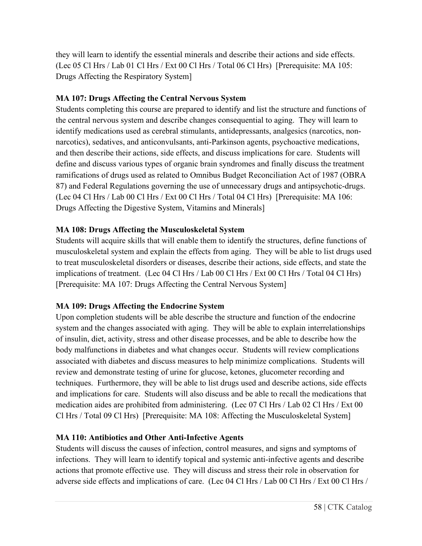they will learn to identify the essential minerals and describe their actions and side effects. (Lec 05 Cl Hrs / Lab 01 Cl Hrs / Ext 00 Cl Hrs / Total 06 Cl Hrs) [Prerequisite: MA 105: Drugs Affecting the Respiratory System]

# **MA 107: Drugs Affecting the Central Nervous System**

Students completing this course are prepared to identify and list the structure and functions of the central nervous system and describe changes consequential to aging. They will learn to identify medications used as cerebral stimulants, antidepressants, analgesics (narcotics, nonnarcotics), sedatives, and anticonvulsants, anti-Parkinson agents, psychoactive medications, and then describe their actions, side effects, and discuss implications for care. Students will define and discuss various types of organic brain syndromes and finally discuss the treatment ramifications of drugs used as related to Omnibus Budget Reconciliation Act of 1987 (OBRA 87) and Federal Regulations governing the use of unnecessary drugs and antipsychotic-drugs. (Lec 04 Cl Hrs / Lab 00 Cl Hrs / Ext 00 Cl Hrs / Total 04 Cl Hrs) [Prerequisite: MA 106: Drugs Affecting the Digestive System, Vitamins and Minerals]

# **MA 108: Drugs Affecting the Musculoskeletal System**

Students will acquire skills that will enable them to identify the structures, define functions of musculoskeletal system and explain the effects from aging. They will be able to list drugs used to treat musculoskeletal disorders or diseases, describe their actions, side effects, and state the implications of treatment. (Lec 04 Cl Hrs / Lab 00 Cl Hrs / Ext 00 Cl Hrs / Total 04 Cl Hrs) [Prerequisite: MA 107: Drugs Affecting the Central Nervous System]

# **MA 109: Drugs Affecting the Endocrine System**

Upon completion students will be able describe the structure and function of the endocrine system and the changes associated with aging. They will be able to explain interrelationships of insulin, diet, activity, stress and other disease processes, and be able to describe how the body malfunctions in diabetes and what changes occur. Students will review complications associated with diabetes and discuss measures to help minimize complications. Students will review and demonstrate testing of urine for glucose, ketones, glucometer recording and techniques. Furthermore, they will be able to list drugs used and describe actions, side effects and implications for care. Students will also discuss and be able to recall the medications that medication aides are prohibited from administering. (Lec 07 Cl Hrs / Lab 02 Cl Hrs / Ext 00 Cl Hrs / Total 09 Cl Hrs) [Prerequisite: MA 108: Affecting the Musculoskeletal System]

# **MA 110: Antibiotics and Other Anti-Infective Agents**

Students will discuss the causes of infection, control measures, and signs and symptoms of infections. They will learn to identify topical and systemic anti-infective agents and describe actions that promote effective use. They will discuss and stress their role in observation for adverse side effects and implications of care. (Lec 04 Cl Hrs / Lab 00 Cl Hrs / Ext 00 Cl Hrs /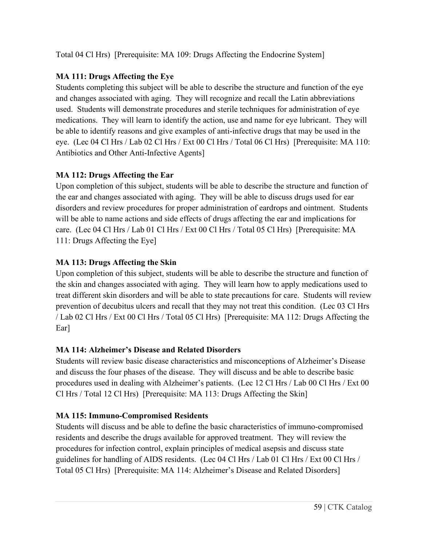Total 04 Cl Hrs) [Prerequisite: MA 109: Drugs Affecting the Endocrine System]

# **MA 111: Drugs Affecting the Eye**

Students completing this subject will be able to describe the structure and function of the eye and changes associated with aging. They will recognize and recall the Latin abbreviations used. Students will demonstrate procedures and sterile techniques for administration of eye medications. They will learn to identify the action, use and name for eye lubricant. They will be able to identify reasons and give examples of anti-infective drugs that may be used in the eye. (Lec 04 Cl Hrs / Lab 02 Cl Hrs / Ext 00 Cl Hrs / Total 06 Cl Hrs) [Prerequisite: MA 110: Antibiotics and Other Anti-Infective Agents]

# **MA 112: Drugs Affecting the Ear**

Upon completion of this subject, students will be able to describe the structure and function of the ear and changes associated with aging. They will be able to discuss drugs used for ear disorders and review procedures for proper administration of eardrops and ointment. Students will be able to name actions and side effects of drugs affecting the ear and implications for care. (Lec 04 Cl Hrs / Lab 01 Cl Hrs / Ext 00 Cl Hrs / Total 05 Cl Hrs) [Prerequisite: MA 111: Drugs Affecting the Eye]

# **MA 113: Drugs Affecting the Skin**

Upon completion of this subject, students will be able to describe the structure and function of the skin and changes associated with aging. They will learn how to apply medications used to treat different skin disorders and will be able to state precautions for care. Students will review prevention of decubitus ulcers and recall that they may not treat this condition. (Lec 03 Cl Hrs / Lab 02 Cl Hrs / Ext 00 Cl Hrs / Total 05 Cl Hrs) [Prerequisite: MA 112: Drugs Affecting the Ear]

# **MA 114: Alzheimer's Disease and Related Disorders**

Students will review basic disease characteristics and misconceptions of Alzheimer's Disease and discuss the four phases of the disease. They will discuss and be able to describe basic procedures used in dealing with Alzheimer's patients. (Lec 12 Cl Hrs / Lab 00 Cl Hrs / Ext 00 Cl Hrs / Total 12 Cl Hrs) [Prerequisite: MA 113: Drugs Affecting the Skin]

# **MA 115: Immuno-Compromised Residents**

Students will discuss and be able to define the basic characteristics of immuno-compromised residents and describe the drugs available for approved treatment. They will review the procedures for infection control, explain principles of medical asepsis and discuss state guidelines for handling of AIDS residents. (Lec 04 Cl Hrs / Lab 01 Cl Hrs / Ext 00 Cl Hrs / Total 05 Cl Hrs) [Prerequisite: MA 114: Alzheimer's Disease and Related Disorders]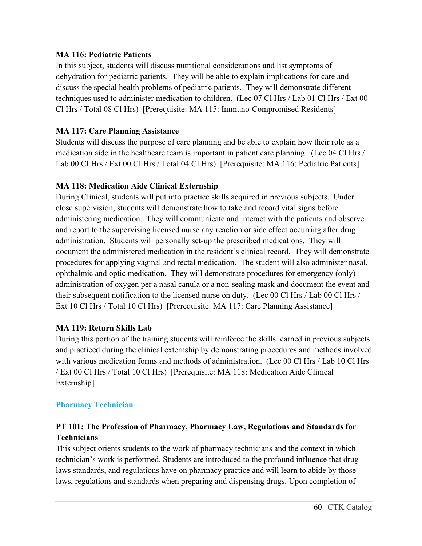#### **MA 116: Pediatric Patients**

In this subject, students will discuss nutritional considerations and list symptoms of dehydration for pediatric patients. They will be able to explain implications for care and discuss the special health problems of pediatric patients. They will demonstrate different techniques used to administer medication to children. (Lec 07 Cl Hrs / Lab 01 Cl Hrs / Ext 00 Cl Hrs / Total 08 Cl Hrs) [Prerequisite: MA 115: Immuno-Compromised Residents]

# **MA 117: Care Planning Assistance**

Students will discuss the purpose of care planning and be able to explain how their role as a medication aide in the healthcare team is important in patient care planning. (Lec 04 Cl Hrs / Lab 00 Cl Hrs / Ext 00 Cl Hrs / Total 04 Cl Hrs) [Prerequisite: MA 116: Pediatric Patients]

### **MA 118: Medication Aide Clinical Externship**

During Clinical, students will put into practice skills acquired in previous subjects. Under close supervision, students will demonstrate how to take and record vital signs before administering medication. They will communicate and interact with the patients and observe and report to the supervising licensed nurse any reaction or side effect occurring after drug administration. Students will personally set-up the prescribed medications. They will document the administered medication in the resident's clinical record. They will demonstrate procedures for applying vaginal and rectal medication. The student will also administer nasal, ophthalmic and optic medication. They will demonstrate procedures for emergency (only) administration of oxygen per a nasal canula or a non-sealing mask and document the event and their subsequent notification to the licensed nurse on duty. (Lec 00 Cl Hrs / Lab 00 Cl Hrs / Ext 10 Cl Hrs / Total 10 Cl Hrs) [Prerequisite: MA 117: Care Planning Assistance]

#### **MA 119: Return Skills Lab**

During this portion of the training students will reinforce the skills learned in previous subjects and practiced during the clinical externship by demonstrating procedures and methods involved with various medication forms and methods of administration. (Lec 00 Cl Hrs / Lab 10 Cl Hrs / Ext 00 Cl Hrs / Total 10 Cl Hrs) [Prerequisite: MA 118: Medication Aide Clinical Externship]

#### **Pharmacy Technician**

# **PT 101: The Profession of Pharmacy, Pharmacy Law, Regulations and Standards for Technicians**

This subject orients students to the work of pharmacy technicians and the context in which technician's work is performed. Students are introduced to the profound influence that drug laws standards, and regulations have on pharmacy practice and will learn to abide by those laws, regulations and standards when preparing and dispensing drugs. Upon completion of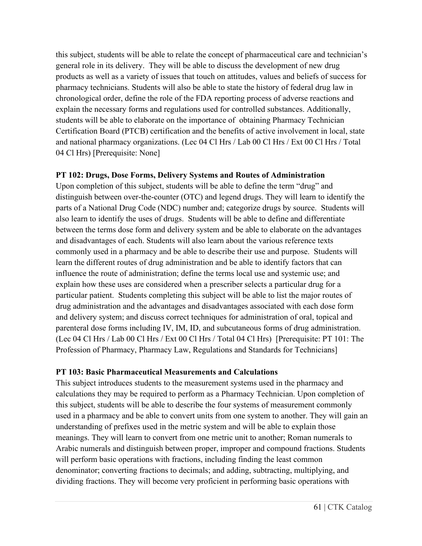this subject, students will be able to relate the concept of pharmaceutical care and technician's general role in its delivery. They will be able to discuss the development of new drug products as well as a variety of issues that touch on attitudes, values and beliefs of success for pharmacy technicians. Students will also be able to state the history of federal drug law in chronological order, define the role of the FDA reporting process of adverse reactions and explain the necessary forms and regulations used for controlled substances. Additionally, students will be able to elaborate on the importance of obtaining Pharmacy Technician Certification Board (PTCB) certification and the benefits of active involvement in local, state and national pharmacy organizations. (Lec 04 Cl Hrs / Lab 00 Cl Hrs / Ext 00 Cl Hrs / Total 04 Cl Hrs) [Prerequisite: None]

### **PT 102: Drugs, Dose Forms, Delivery Systems and Routes of Administration**

Upon completion of this subject, students will be able to define the term "drug" and distinguish between over-the-counter (OTC) and legend drugs. They will learn to identify the parts of a National Drug Code (NDC) number and; categorize drugs by source. Students will also learn to identify the uses of drugs. Students will be able to define and differentiate between the terms dose form and delivery system and be able to elaborate on the advantages and disadvantages of each. Students will also learn about the various reference texts commonly used in a pharmacy and be able to describe their use and purpose. Students will learn the different routes of drug administration and be able to identify factors that can influence the route of administration; define the terms local use and systemic use; and explain how these uses are considered when a prescriber selects a particular drug for a particular patient. Students completing this subject will be able to list the major routes of drug administration and the advantages and disadvantages associated with each dose form and delivery system; and discuss correct techniques for administration of oral, topical and parenteral dose forms including IV, IM, ID, and subcutaneous forms of drug administration. (Lec 04 Cl Hrs / Lab 00 Cl Hrs / Ext 00 Cl Hrs / Total 04 Cl Hrs) [Prerequisite: PT 101: The Profession of Pharmacy, Pharmacy Law, Regulations and Standards for Technicians]

# **PT 103: Basic Pharmaceutical Measurements and Calculations**

This subject introduces students to the measurement systems used in the pharmacy and calculations they may be required to perform as a Pharmacy Technician. Upon completion of this subject, students will be able to describe the four systems of measurement commonly used in a pharmacy and be able to convert units from one system to another. They will gain an understanding of prefixes used in the metric system and will be able to explain those meanings. They will learn to convert from one metric unit to another; Roman numerals to Arabic numerals and distinguish between proper, improper and compound fractions. Students will perform basic operations with fractions, including finding the least common denominator; converting fractions to decimals; and adding, subtracting, multiplying, and dividing fractions. They will become very proficient in performing basic operations with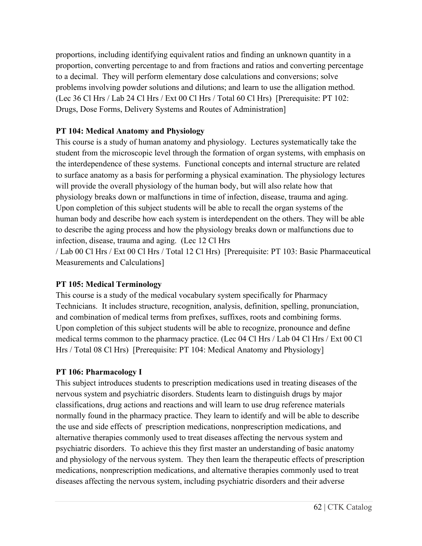proportions, including identifying equivalent ratios and finding an unknown quantity in a proportion, converting percentage to and from fractions and ratios and converting percentage to a decimal. They will perform elementary dose calculations and conversions; solve problems involving powder solutions and dilutions; and learn to use the alligation method. (Lec 36 Cl Hrs / Lab 24 Cl Hrs / Ext 00 Cl Hrs / Total 60 Cl Hrs) [Prerequisite: PT 102: Drugs, Dose Forms, Delivery Systems and Routes of Administration]

# **PT 104: Medical Anatomy and Physiology**

This course is a study of human anatomy and physiology. Lectures systematically take the student from the microscopic level through the formation of organ systems, with emphasis on the interdependence of these systems. Functional concepts and internal structure are related to surface anatomy as a basis for performing a physical examination. The physiology lectures will provide the overall physiology of the human body, but will also relate how that physiology breaks down or malfunctions in time of infection, disease, trauma and aging. Upon completion of this subject students will be able to recall the organ systems of the human body and describe how each system is interdependent on the others. They will be able to describe the aging process and how the physiology breaks down or malfunctions due to infection, disease, trauma and aging. (Lec 12 Cl Hrs

/ Lab 00 Cl Hrs / Ext 00 Cl Hrs / Total 12 Cl Hrs) [Prerequisite: PT 103: Basic Pharmaceutical Measurements and Calculations]

#### **PT 105: Medical Terminology**

This course is a study of the medical vocabulary system specifically for Pharmacy Technicians. It includes structure, recognition, analysis, definition, spelling, pronunciation, and combination of medical terms from prefixes, suffixes, roots and combining forms. Upon completion of this subject students will be able to recognize, pronounce and define medical terms common to the pharmacy practice. (Lec 04 Cl Hrs / Lab 04 Cl Hrs / Ext 00 Cl Hrs / Total 08 Cl Hrs) [Prerequisite: PT 104: Medical Anatomy and Physiology]

# **PT 106: Pharmacology I**

This subject introduces students to prescription medications used in treating diseases of the nervous system and psychiatric disorders. Students learn to distinguish drugs by major classifications, drug actions and reactions and will learn to use drug reference materials normally found in the pharmacy practice. They learn to identify and will be able to describe the use and side effects of prescription medications, nonprescription medications, and alternative therapies commonly used to treat diseases affecting the nervous system and psychiatric disorders. To achieve this they first master an understanding of basic anatomy and physiology of the nervous system. They then learn the therapeutic effects of prescription medications, nonprescription medications, and alternative therapies commonly used to treat diseases affecting the nervous system, including psychiatric disorders and their adverse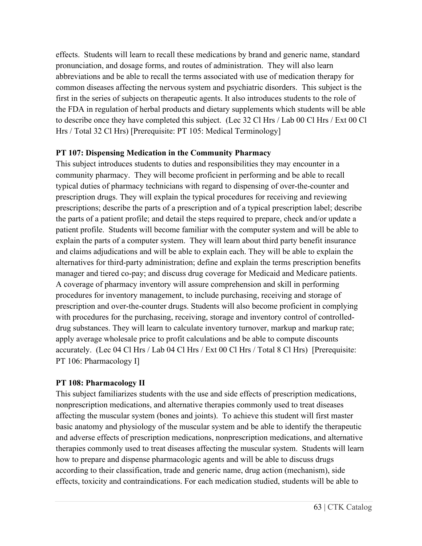effects. Students will learn to recall these medications by brand and generic name, standard pronunciation, and dosage forms, and routes of administration. They will also learn abbreviations and be able to recall the terms associated with use of medication therapy for common diseases affecting the nervous system and psychiatric disorders. This subject is the first in the series of subjects on therapeutic agents. It also introduces students to the role of the FDA in regulation of herbal products and dietary supplements which students will be able to describe once they have completed this subject. (Lec 32 Cl Hrs / Lab 00 Cl Hrs / Ext 00 Cl Hrs / Total 32 Cl Hrs) [Prerequisite: PT 105: Medical Terminology]

#### **PT 107: Dispensing Medication in the Community Pharmacy**

This subject introduces students to duties and responsibilities they may encounter in a community pharmacy. They will become proficient in performing and be able to recall typical duties of pharmacy technicians with regard to dispensing of over-the-counter and prescription drugs. They will explain the typical procedures for receiving and reviewing prescriptions; describe the parts of a prescription and of a typical prescription label; describe the parts of a patient profile; and detail the steps required to prepare, check and/or update a patient profile. Students will become familiar with the computer system and will be able to explain the parts of a computer system. They will learn about third party benefit insurance and claims adjudications and will be able to explain each. They will be able to explain the alternatives for third-party administration; define and explain the terms prescription benefits manager and tiered co-pay; and discuss drug coverage for Medicaid and Medicare patients. A coverage of pharmacy inventory will assure comprehension and skill in performing procedures for inventory management, to include purchasing, receiving and storage of prescription and over-the-counter drugs. Students will also become proficient in complying with procedures for the purchasing, receiving, storage and inventory control of controlleddrug substances. They will learn to calculate inventory turnover, markup and markup rate; apply average wholesale price to profit calculations and be able to compute discounts accurately. (Lec 04 Cl Hrs / Lab 04 Cl Hrs / Ext 00 Cl Hrs / Total 8 Cl Hrs) [Prerequisite: PT 106: Pharmacology I]

#### **PT 108: Pharmacology II**

This subject familiarizes students with the use and side effects of prescription medications, nonprescription medications, and alternative therapies commonly used to treat diseases affecting the muscular system (bones and joints). To achieve this student will first master basic anatomy and physiology of the muscular system and be able to identify the therapeutic and adverse effects of prescription medications, nonprescription medications, and alternative therapies commonly used to treat diseases affecting the muscular system. Students will learn how to prepare and dispense pharmacologic agents and will be able to discuss drugs according to their classification, trade and generic name, drug action (mechanism), side effects, toxicity and contraindications. For each medication studied, students will be able to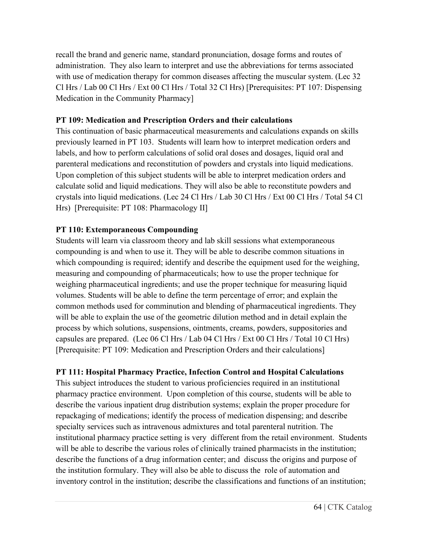recall the brand and generic name, standard pronunciation, dosage forms and routes of administration. They also learn to interpret and use the abbreviations for terms associated with use of medication therapy for common diseases affecting the muscular system. (Lec 32) Cl Hrs / Lab 00 Cl Hrs / Ext 00 Cl Hrs / Total 32 Cl Hrs) [Prerequisites: PT 107: Dispensing Medication in the Community Pharmacy]

### **PT 109: Medication and Prescription Orders and their calculations**

This continuation of basic pharmaceutical measurements and calculations expands on skills previously learned in PT 103. Students will learn how to interpret medication orders and labels, and how to perform calculations of solid oral doses and dosages, liquid oral and parenteral medications and reconstitution of powders and crystals into liquid medications. Upon completion of this subject students will be able to interpret medication orders and calculate solid and liquid medications. They will also be able to reconstitute powders and crystals into liquid medications. (Lec 24 Cl Hrs / Lab 30 Cl Hrs / Ext 00 Cl Hrs / Total 54 Cl Hrs) [Prerequisite: PT 108: Pharmacology II]

# **PT 110: Extemporaneous Compounding**

Students will learn via classroom theory and lab skill sessions what extemporaneous compounding is and when to use it. They will be able to describe common situations in which compounding is required; identify and describe the equipment used for the weighing, measuring and compounding of pharmaceuticals; how to use the proper technique for weighing pharmaceutical ingredients; and use the proper technique for measuring liquid volumes. Students will be able to define the term percentage of error; and explain the common methods used for comminution and blending of pharmaceutical ingredients. They will be able to explain the use of the geometric dilution method and in detail explain the process by which solutions, suspensions, ointments, creams, powders, suppositories and capsules are prepared. (Lec 06 Cl Hrs / Lab 04 Cl Hrs / Ext 00 Cl Hrs / Total 10 Cl Hrs) [Prerequisite: PT 109: Medication and Prescription Orders and their calculations]

# **PT 111: Hospital Pharmacy Practice, Infection Control and Hospital Calculations**

This subject introduces the student to various proficiencies required in an institutional pharmacy practice environment. Upon completion of this course, students will be able to describe the various inpatient drug distribution systems; explain the proper procedure for repackaging of medications; identify the process of medication dispensing; and describe specialty services such as intravenous admixtures and total parenteral nutrition. The institutional pharmacy practice setting is very different from the retail environment. Students will be able to describe the various roles of clinically trained pharmacists in the institution; describe the functions of a drug information center; and discuss the origins and purpose of the institution formulary. They will also be able to discuss the role of automation and inventory control in the institution; describe the classifications and functions of an institution;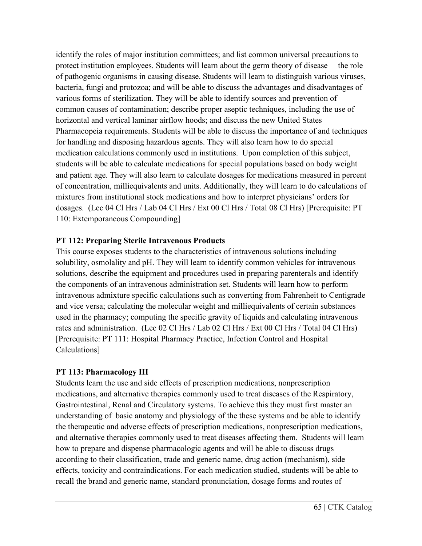identify the roles of major institution committees; and list common universal precautions to protect institution employees. Students will learn about the germ theory of disease— the role of pathogenic organisms in causing disease. Students will learn to distinguish various viruses, bacteria, fungi and protozoa; and will be able to discuss the advantages and disadvantages of various forms of sterilization. They will be able to identify sources and prevention of common causes of contamination; describe proper aseptic techniques, including the use of horizontal and vertical laminar airflow hoods; and discuss the new United States Pharmacopeia requirements. Students will be able to discuss the importance of and techniques for handling and disposing hazardous agents. They will also learn how to do special medication calculations commonly used in institutions. Upon completion of this subject, students will be able to calculate medications for special populations based on body weight and patient age. They will also learn to calculate dosages for medications measured in percent of concentration, milliequivalents and units. Additionally, they will learn to do calculations of mixtures from institutional stock medications and how to interpret physicians' orders for dosages. (Lec 04 Cl Hrs / Lab 04 Cl Hrs / Ext 00 Cl Hrs / Total 08 Cl Hrs) [Prerequisite: PT 110: Extemporaneous Compounding]

### **PT 112: Preparing Sterile Intravenous Products**

This course exposes students to the characteristics of intravenous solutions including solubility, osmolality and pH. They will learn to identify common vehicles for intravenous solutions, describe the equipment and procedures used in preparing parenterals and identify the components of an intravenous administration set. Students will learn how to perform intravenous admixture specific calculations such as converting from Fahrenheit to Centigrade and vice versa; calculating the molecular weight and milliequivalents of certain substances used in the pharmacy; computing the specific gravity of liquids and calculating intravenous rates and administration. (Lec 02 Cl Hrs / Lab 02 Cl Hrs / Ext 00 Cl Hrs / Total 04 Cl Hrs) [Prerequisite: PT 111: Hospital Pharmacy Practice, Infection Control and Hospital Calculations]

#### **PT 113: Pharmacology III**

Students learn the use and side effects of prescription medications, nonprescription medications, and alternative therapies commonly used to treat diseases of the Respiratory, Gastrointestinal, Renal and Circulatory systems. To achieve this they must first master an understanding of basic anatomy and physiology of the these systems and be able to identify the therapeutic and adverse effects of prescription medications, nonprescription medications, and alternative therapies commonly used to treat diseases affecting them. Students will learn how to prepare and dispense pharmacologic agents and will be able to discuss drugs according to their classification, trade and generic name, drug action (mechanism), side effects, toxicity and contraindications. For each medication studied, students will be able to recall the brand and generic name, standard pronunciation, dosage forms and routes of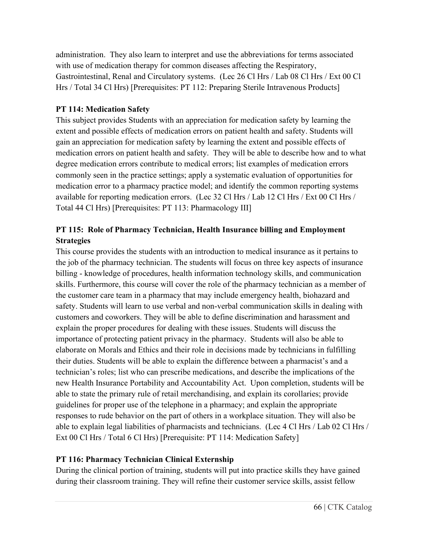administration. They also learn to interpret and use the abbreviations for terms associated with use of medication therapy for common diseases affecting the Respiratory, Gastrointestinal, Renal and Circulatory systems. (Lec 26 Cl Hrs / Lab 08 Cl Hrs / Ext 00 Cl Hrs / Total 34 Cl Hrs) [Prerequisites: PT 112: Preparing Sterile Intravenous Products]

# **PT 114: Medication Safety**

This subject provides Students with an appreciation for medication safety by learning the extent and possible effects of medication errors on patient health and safety. Students will gain an appreciation for medication safety by learning the extent and possible effects of medication errors on patient health and safety. They will be able to describe how and to what degree medication errors contribute to medical errors; list examples of medication errors commonly seen in the practice settings; apply a systematic evaluation of opportunities for medication error to a pharmacy practice model; and identify the common reporting systems available for reporting medication errors. (Lec 32 Cl Hrs / Lab 12 Cl Hrs / Ext 00 Cl Hrs / Total 44 Cl Hrs) [Prerequisites: PT 113: Pharmacology III]

# **PT 115: Role of Pharmacy Technician, Health Insurance billing and Employment Strategies**

This course provides the students with an introduction to medical insurance as it pertains to the job of the pharmacy technician. The students will focus on three key aspects of insurance billing - knowledge of procedures, health information technology skills, and communication skills. Furthermore, this course will cover the role of the pharmacy technician as a member of the customer care team in a pharmacy that may include emergency health, biohazard and safety. Students will learn to use verbal and non-verbal communication skills in dealing with customers and coworkers. They will be able to define discrimination and harassment and explain the proper procedures for dealing with these issues. Students will discuss the importance of protecting patient privacy in the pharmacy. Students will also be able to elaborate on Morals and Ethics and their role in decisions made by technicians in fulfilling their duties. Students will be able to explain the difference between a pharmacist's and a technician's roles; list who can prescribe medications, and describe the implications of the new Health Insurance Portability and Accountability Act. Upon completion, students will be able to state the primary rule of retail merchandising, and explain its corollaries; provide guidelines for proper use of the telephone in a pharmacy; and explain the appropriate responses to rude behavior on the part of others in a workplace situation. They will also be able to explain legal liabilities of pharmacists and technicians. (Lec 4 Cl Hrs / Lab 02 Cl Hrs / Ext 00 Cl Hrs / Total 6 Cl Hrs) [Prerequisite: PT 114: Medication Safety]

# **PT 116: Pharmacy Technician Clinical Externship**

During the clinical portion of training, students will put into practice skills they have gained during their classroom training. They will refine their customer service skills, assist fellow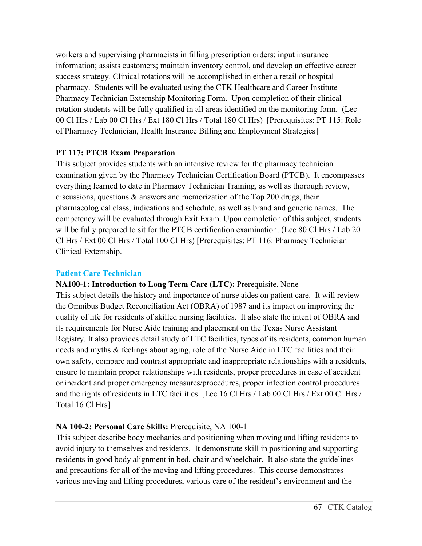workers and supervising pharmacists in filling prescription orders; input insurance information; assists customers; maintain inventory control, and develop an effective career success strategy. Clinical rotations will be accomplished in either a retail or hospital pharmacy. Students will be evaluated using the CTK Healthcare and Career Institute Pharmacy Technician Externship Monitoring Form. Upon completion of their clinical rotation students will be fully qualified in all areas identified on the monitoring form. (Lec 00 Cl Hrs / Lab 00 Cl Hrs / Ext 180 Cl Hrs / Total 180 Cl Hrs) [Prerequisites: PT 115: Role of Pharmacy Technician, Health Insurance Billing and Employment Strategies]

# **PT 117: PTCB Exam Preparation**

This subject provides students with an intensive review for the pharmacy technician examination given by the Pharmacy Technician Certification Board (PTCB). It encompasses everything learned to date in Pharmacy Technician Training, as well as thorough review, discussions, questions & answers and memorization of the Top 200 drugs, their pharmacological class, indications and schedule, as well as brand and generic names. The competency will be evaluated through Exit Exam. Upon completion of this subject, students will be fully prepared to sit for the PTCB certification examination. (Lec 80 Cl Hrs / Lab 20) Cl Hrs / Ext 00 Cl Hrs / Total 100 Cl Hrs) [Prerequisites: PT 116: Pharmacy Technician Clinical Externship.

#### **Patient Care Technician**

**NA100-1: Introduction to Long Term Care (LTC):** Prerequisite, None This subject details the history and importance of nurse aides on patient care. It will review the Omnibus Budget Reconciliation Act (OBRA) of 1987 and its impact on improving the quality of life for residents of skilled nursing facilities. It also state the intent of OBRA and its requirements for Nurse Aide training and placement on the Texas Nurse Assistant Registry. It also provides detail study of LTC facilities, types of its residents, common human needs and myths & feelings about aging, role of the Nurse Aide in LTC facilities and their own safety, compare and contrast appropriate and inappropriate relationships with a residents, ensure to maintain proper relationships with residents, proper procedures in case of accident or incident and proper emergency measures/procedures, proper infection control procedures and the rights of residents in LTC facilities. [Lec 16 Cl Hrs / Lab 00 Cl Hrs / Ext 00 Cl Hrs / Total 16 Cl Hrs]

# **NA 100-2: Personal Care Skills:** Prerequisite, NA 100-1

This subject describe body mechanics and positioning when moving and lifting residents to avoid injury to themselves and residents. It demonstrate skill in positioning and supporting residents in good body alignment in bed, chair and wheelchair. It also state the guidelines and precautions for all of the moving and lifting procedures. This course demonstrates various moving and lifting procedures, various care of the resident's environment and the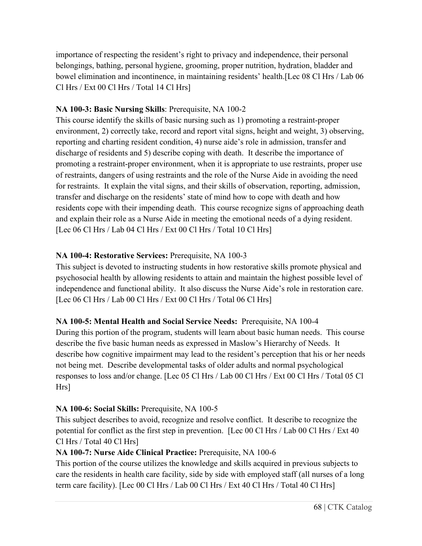importance of respecting the resident's right to privacy and independence, their personal belongings, bathing, personal hygiene, grooming, proper nutrition, hydration, bladder and bowel elimination and incontinence, in maintaining residents' health.[Lec 08 Cl Hrs / Lab 06 Cl Hrs / Ext 00 Cl Hrs / Total 14 Cl Hrs]

# **NA 100-3: Basic Nursing Skills**: Prerequisite, NA 100-2

This course identify the skills of basic nursing such as 1) promoting a restraint-proper environment, 2) correctly take, record and report vital signs, height and weight, 3) observing, reporting and charting resident condition, 4) nurse aide's role in admission, transfer and discharge of residents and 5) describe coping with death. It describe the importance of promoting a restraint-proper environment, when it is appropriate to use restraints, proper use of restraints, dangers of using restraints and the role of the Nurse Aide in avoiding the need for restraints. It explain the vital signs, and their skills of observation, reporting, admission, transfer and discharge on the residents' state of mind how to cope with death and how residents cope with their impending death. This course recognize signs of approaching death and explain their role as a Nurse Aide in meeting the emotional needs of a dying resident. [Lec 06 Cl Hrs / Lab 04 Cl Hrs / Ext 00 Cl Hrs / Total 10 Cl Hrs]

# **NA 100-4: Restorative Services:** Prerequisite, NA 100-3

This subject is devoted to instructing students in how restorative skills promote physical and psychosocial health by allowing residents to attain and maintain the highest possible level of independence and functional ability. It also discuss the Nurse Aide's role in restoration care. [Lec 06 Cl Hrs / Lab 00 Cl Hrs / Ext 00 Cl Hrs / Total 06 Cl Hrs]

# **NA 100-5: Mental Health and Social Service Needs:** Prerequisite, NA 100-4

During this portion of the program, students will learn about basic human needs. This course describe the five basic human needs as expressed in Maslow's Hierarchy of Needs. It describe how cognitive impairment may lead to the resident's perception that his or her needs not being met. Describe developmental tasks of older adults and normal psychological responses to loss and/or change. [Lec 05 Cl Hrs / Lab 00 Cl Hrs / Ext 00 Cl Hrs / Total 05 Cl Hrs]

# **NA 100-6: Social Skills:** Prerequisite, NA 100-5

This subject describes to avoid, recognize and resolve conflict. It describe to recognize the potential for conflict as the first step in prevention. [Lec 00 Cl Hrs / Lab 00 Cl Hrs / Ext 40 Cl Hrs / Total 40 Cl Hrs]

# **NA 100-7: Nurse Aide Clinical Practice:** Prerequisite, NA 100-6

This portion of the course utilizes the knowledge and skills acquired in previous subjects to care the residents in health care facility, side by side with employed staff (all nurses of a long term care facility). [Lec 00 Cl Hrs / Lab 00 Cl Hrs / Ext 40 Cl Hrs / Total 40 Cl Hrs]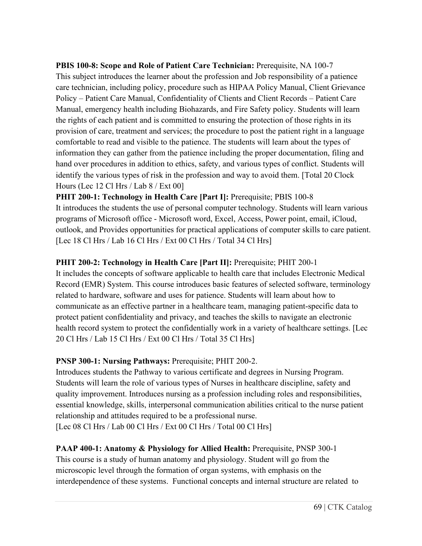**PBIS 100-8: Scope and Role of Patient Care Technician:** Prerequisite, NA 100-7 This subject introduces the learner about the profession and Job responsibility of a patience care technician, including policy, procedure such as HIPAA Policy Manual, Client Grievance Policy – Patient Care Manual, Confidentiality of Clients and Client Records – Patient Care Manual, emergency health including Biohazards, and Fire Safety policy. Students will learn the rights of each patient and is committed to ensuring the protection of those rights in its provision of care, treatment and services; the procedure to post the patient right in a language comfortable to read and visible to the patience. The students will learn about the types of information they can gather from the patience including the proper documentation, filing and hand over procedures in addition to ethics, safety, and various types of conflict. Students will identify the various types of risk in the profession and way to avoid them. [Total 20 Clock Hours (Lec 12 Cl Hrs / Lab 8 / Ext 00]

**PHIT 200-1: Technology in Health Care [Part I]:** Prerequisite; PBIS 100-8 It introduces the students the use of personal computer technology. Students will learn various programs of Microsoft office - Microsoft word, Excel, Access, Power point, email, iCloud, outlook, and Provides opportunities for practical applications of computer skills to care patient. [Lec 18 Cl Hrs / Lab 16 Cl Hrs / Ext 00 Cl Hrs / Total 34 Cl Hrs]

### **PHIT 200-2: Technology in Health Care [Part II]:** Prerequisite; PHIT 200-1

It includes the concepts of software applicable to health care that includes Electronic Medical Record (EMR) System. This course introduces basic features of selected software, terminology related to hardware, software and uses for patience. Students will learn about how to communicate as an effective partner in a healthcare team, managing patient-specific data to protect patient confidentiality and privacy, and teaches the skills to navigate an electronic health record system to protect the confidentially work in a variety of healthcare settings. [Lec 20 Cl Hrs / Lab 15 Cl Hrs / Ext 00 Cl Hrs / Total 35 Cl Hrs]

# **PNSP 300-1: Nursing Pathways: Prerequisite; PHIT 200-2.**

Introduces students the Pathway to various certificate and degrees in Nursing Program. Students will learn the role of various types of Nurses in healthcare discipline, safety and quality improvement. Introduces nursing as a profession including roles and responsibilities, essential knowledge, skills, interpersonal communication abilities critical to the nurse patient relationship and attitudes required to be a professional nurse.

[Lec 08 Cl Hrs / Lab 00 Cl Hrs / Ext 00 Cl Hrs / Total 00 Cl Hrs]

# **PAAP 400-1: Anatomy & Physiology for Allied Health: Prerequisite, PNSP 300-1**

This course is a study of human anatomy and physiology. Student will go from the microscopic level through the formation of organ systems, with emphasis on the interdependence of these systems. Functional concepts and internal structure are related to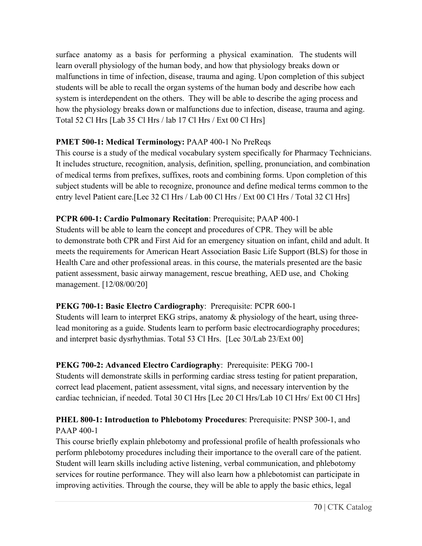surface anatomy as a basis for performing a physical examination. The students will learn overall physiology of the human body, and how that physiology breaks down or malfunctions in time of infection, disease, trauma and aging. Upon completion of this subject students will be able to recall the organ systems of the human body and describe how each system is interdependent on the others. They will be able to describe the aging process and how the physiology breaks down or malfunctions due to infection, disease, trauma and aging. Total 52 Cl Hrs [Lab 35 Cl Hrs / lab 17 Cl Hrs / Ext 00 Cl Hrs]

# **PMET 500-1: Medical Terminology:** PAAP 400-1 No PreReqs

This course is a study of the medical vocabulary system specifically for Pharmacy Technicians. It includes structure, recognition, analysis, definition, spelling, pronunciation, and combination of medical terms from prefixes, suffixes, roots and combining forms. Upon completion of this subject students will be able to recognize, pronounce and define medical terms common to the entry level Patient care.[Lec 32 Cl Hrs / Lab 00 Cl Hrs / Ext 00 Cl Hrs / Total 32 Cl Hrs]

# **PCPR 600-1: Cardio Pulmonary Recitation**: Prerequisite; PAAP 400-1

Students will be able to learn the concept and procedures of CPR. They will be able to demonstrate both CPR and First Aid for an emergency situation on infant, child and adult. It meets the requirements for American Heart Association Basic Life Support (BLS) for those in Health Care and other professional areas. in this course, the materials presented are the basic patient assessment, basic airway management, rescue breathing, AED use, and Choking management. [12/08/00/20]

# **PEKG 700-1: Basic Electro Cardiography**: Prerequisite: PCPR 600-1

Students will learn to interpret EKG strips, anatomy & physiology of the heart, using threelead monitoring as a guide. Students learn to perform basic electrocardiography procedures; and interpret basic dysrhythmias. Total 53 Cl Hrs. [Lec 30/Lab 23/Ext 00]

# **PEKG 700-2: Advanced Electro Cardiography**: Prerequisite: PEKG 700-1

Students will demonstrate skills in performing cardiac stress testing for patient preparation, correct lead placement, patient assessment, vital signs, and necessary intervention by the cardiac technician, if needed. Total 30 Cl Hrs [Lec 20 Cl Hrs/Lab 10 Cl Hrs/ Ext 00 Cl Hrs]

# **PHEL 800-1: Introduction to Phlebotomy Procedures**: Prerequisite: PNSP 300-1, and PAAP 400-1

This course briefly explain phlebotomy and professional profile of health professionals who perform phlebotomy procedures including their importance to the overall care of the patient. Student will learn skills including active listening, verbal communication, and phlebotomy services for routine performance. They will also learn how a phlebotomist can participate in improving activities. Through the course, they will be able to apply the basic ethics, legal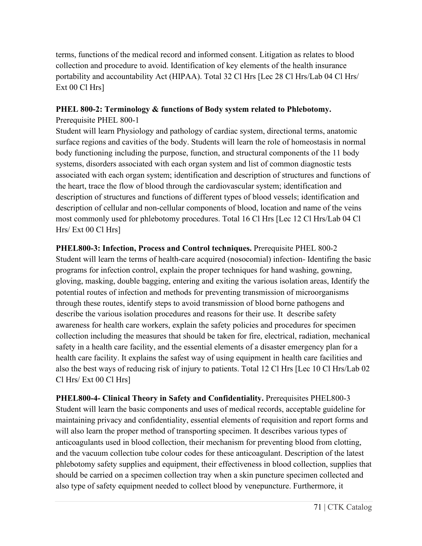terms, functions of the medical record and informed consent. Litigation as relates to blood collection and procedure to avoid. Identification of key elements of the health insurance portability and accountability Act (HIPAA). Total 32 Cl Hrs [Lec 28 Cl Hrs/Lab 04 Cl Hrs/ Ext 00 Cl Hrs]

# **PHEL 800-2: Terminology & functions of Body system related to Phlebotomy.**

Prerequisite PHEL 800-1

Student will learn Physiology and pathology of cardiac system, directional terms, anatomic surface regions and cavities of the body. Students will learn the role of homeostasis in normal body functioning including the purpose, function, and structural components of the 11 body systems, disorders associated with each organ system and list of common diagnostic tests associated with each organ system; identification and description of structures and functions of the heart, trace the flow of blood through the cardiovascular system; identification and description of structures and functions of different types of blood vessels; identification and description of cellular and non-cellular components of blood, location and name of the veins most commonly used for phlebotomy procedures. Total 16 Cl Hrs [Lec 12 Cl Hrs/Lab 04 Cl Hrs/ Ext 00 Cl Hrs]

**PHEL800-3: Infection, Process and Control techniques.** Prerequisite PHEL 800-2 Student will learn the terms of health-care acquired (nosocomial) infection- Identifing the basic programs for infection control, explain the proper techniques for hand washing, gowning, gloving, masking, double bagging, entering and exiting the various isolation areas, Identify the potential routes of infection and methods for preventing transmission of microorganisms through these routes, identify steps to avoid transmission of blood borne pathogens and describe the various isolation procedures and reasons for their use. It describe safety awareness for health care workers, explain the safety policies and procedures for specimen collection including the measures that should be taken for fire, electrical, radiation, mechanical safety in a health care facility, and the essential elements of a disaster emergency plan for a health care facility. It explains the safest way of using equipment in health care facilities and also the best ways of reducing risk of injury to patients. Total 12 Cl Hrs [Lec 10 Cl Hrs/Lab 02 Cl Hrs/ Ext 00 Cl Hrs]

**PHEL800-4- Clinical Theory in Safety and Confidentiality.** Prerequisites PHEL800-3 Student will learn the basic components and uses of medical records, acceptable guideline for maintaining privacy and confidentiality, essential elements of requisition and report forms and will also learn the proper method of transporting specimen. It describes various types of anticoagulants used in blood collection, their mechanism for preventing blood from clotting, and the vacuum collection tube colour codes for these anticoagulant. Description of the latest phlebotomy safety supplies and equipment, their effectiveness in blood collection, supplies that should be carried on a specimen collection tray when a skin puncture specimen collected and also type of safety equipment needed to collect blood by venepuncture. Furthermore, it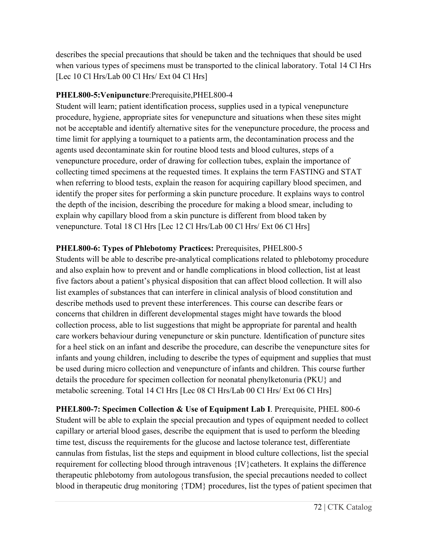describes the special precautions that should be taken and the techniques that should be used when various types of specimens must be transported to the clinical laboratory. Total 14 Cl Hrs [Lec 10 Cl Hrs/Lab 00 Cl Hrs/ Ext 04 Cl Hrs]

# **PHEL800-5:Venipuncture**:Prerequisite,PHEL800-4

Student will learn; patient identification process, supplies used in a typical venepuncture procedure, hygiene, appropriate sites for venepuncture and situations when these sites might not be acceptable and identify alternative sites for the venepuncture procedure, the process and time limit for applying a tourniquet to a patients arm, the decontamination process and the agents used decontaminate skin for routine blood tests and blood cultures, steps of a venepuncture procedure, order of drawing for collection tubes, explain the importance of collecting timed specimens at the requested times. It explains the term FASTING and STAT when referring to blood tests, explain the reason for acquiring capillary blood specimen, and identify the proper sites for performing a skin puncture procedure. It explains ways to control the depth of the incision, describing the procedure for making a blood smear, including to explain why capillary blood from a skin puncture is different from blood taken by venepuncture. Total 18 Cl Hrs [Lec 12 Cl Hrs/Lab 00 Cl Hrs/ Ext 06 Cl Hrs]

# **PHEL800-6: Types of Phlebotomy Practices:** Prerequisites, PHEL800-5

Students will be able to describe pre-analytical complications related to phlebotomy procedure and also explain how to prevent and or handle complications in blood collection, list at least five factors about a patient's physical disposition that can affect blood collection. It will also list examples of substances that can interfere in clinical analysis of blood constitution and describe methods used to prevent these interferences. This course can describe fears or concerns that children in different developmental stages might have towards the blood collection process, able to list suggestions that might be appropriate for parental and health care workers behaviour during venepuncture or skin puncture. Identification of puncture sites for a heel stick on an infant and describe the procedure, can describe the venepuncture sites for infants and young children, including to describe the types of equipment and supplies that must be used during micro collection and venepuncture of infants and children. This course further details the procedure for specimen collection for neonatal phenylketonuria (PKU} and metabolic screening. Total 14 Cl Hrs [Lec 08 Cl Hrs/Lab 00 Cl Hrs/ Ext 06 Cl Hrs]

**PHEL800-7: Specimen Collection & Use of Equipment Lab I**. Prerequisite, PHEL 800-6 Student will be able to explain the special precaution and types of equipment needed to collect capillary or arterial blood gases, describe the equipment that is used to perform the bleeding time test, discuss the requirements for the glucose and lactose tolerance test, differentiate cannulas from fistulas, list the steps and equipment in blood culture collections, list the special requirement for collecting blood through intravenous {IV}catheters. It explains the difference therapeutic phlebotomy from autologous transfusion, the special precautions needed to collect blood in therapeutic drug monitoring {TDM} procedures, list the types of patient specimen that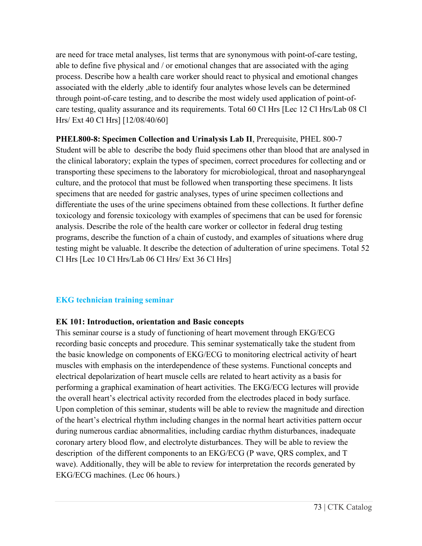are need for trace metal analyses, list terms that are synonymous with point-of-care testing, able to define five physical and / or emotional changes that are associated with the aging process. Describe how a health care worker should react to physical and emotional changes associated with the elderly ,able to identify four analytes whose levels can be determined through point-of-care testing, and to describe the most widely used application of point-ofcare testing, quality assurance and its requirements. Total 60 Cl Hrs [Lec 12 Cl Hrs/Lab 08 Cl Hrs/ Ext 40 Cl Hrs] [12/08/40/60]

**PHEL800-8: Specimen Collection and Urinalysis Lab II**, Prerequisite, PHEL 800-7 Student will be able to describe the body fluid specimens other than blood that are analysed in the clinical laboratory; explain the types of specimen, correct procedures for collecting and or transporting these specimens to the laboratory for microbiological, throat and nasopharyngeal culture, and the protocol that must be followed when transporting these specimens. It lists specimens that are needed for gastric analyses, types of urine specimen collections and differentiate the uses of the urine specimens obtained from these collections. It further define toxicology and forensic toxicology with examples of specimens that can be used for forensic analysis. Describe the role of the health care worker or collector in federal drug testing programs, describe the function of a chain of custody, and examples of situations where drug testing might be valuable. It describe the detection of adulteration of urine specimens. Total 52 Cl Hrs [Lec 10 Cl Hrs/Lab 06 Cl Hrs/ Ext 36 Cl Hrs]

### **EKG technician training seminar**

### **EK 101: Introduction, orientation and Basic concepts**

This seminar course is a study of functioning of heart movement through EKG/ECG recording basic concepts and procedure. This seminar systematically take the student from the basic knowledge on components of EKG/ECG to monitoring electrical activity of heart muscles with emphasis on the interdependence of these systems. Functional concepts and electrical depolarization of heart muscle cells are related to heart activity as a basis for performing a graphical examination of heart activities. The EKG/ECG lectures will provide the overall heart's electrical activity recorded from the electrodes placed in body surface. Upon completion of this seminar, students will be able to review the magnitude and direction of the heart's electrical rhythm including changes in the normal heart activities pattern occur during numerous cardiac abnormalities, including cardiac rhythm disturbances, inadequate coronary artery blood flow, and electrolyte disturbances. They will be able to review the description of the different components to an EKG/ECG (P wave, QRS complex, and T wave). Additionally, they will be able to review for interpretation the records generated by EKG/ECG machines. (Lec 06 hours.)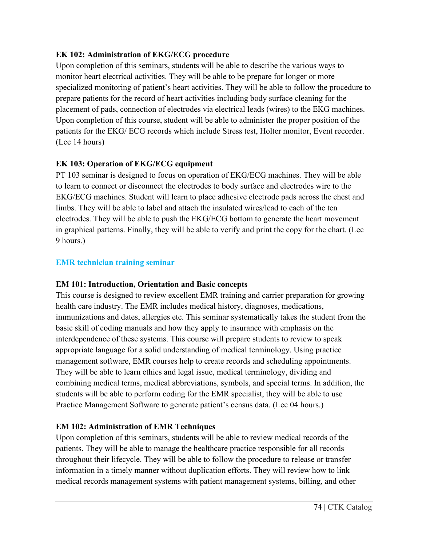## **EK 102: Administration of EKG/ECG procedure**

Upon completion of this seminars, students will be able to describe the various ways to monitor heart electrical activities. They will be able to be prepare for longer or more specialized monitoring of patient's heart activities. They will be able to follow the procedure to prepare patients for the record of heart activities including body surface cleaning for the placement of pads, connection of electrodes via electrical leads (wires) to the EKG machines. Upon completion of this course, student will be able to administer the proper position of the patients for the EKG/ ECG records which include Stress test, Holter monitor, Event recorder. (Lec 14 hours)

# **EK 103: Operation of EKG/ECG equipment**

PT 103 seminar is designed to focus on operation of EKG/ECG machines. They will be able to learn to connect or disconnect the electrodes to body surface and electrodes wire to the EKG/ECG machines. Student will learn to place adhesive electrode pads across the chest and limbs. They will be able to label and attach the insulated wires/lead to each of the ten electrodes. They will be able to push the EKG/ECG bottom to generate the heart movement in graphical patterns. Finally, they will be able to verify and print the copy for the chart. (Lec 9 hours.)

## **EMR technician training seminar**

# **EM 101: Introduction, Orientation and Basic concepts**

This course is designed to review excellent EMR training and carrier preparation for growing health care industry. The EMR includes medical history, diagnoses, medications, immunizations and dates, allergies etc. This seminar systematically takes the student from the basic skill of coding manuals and how they apply to insurance with emphasis on the interdependence of these systems. This course will prepare students to review to speak appropriate language for a solid understanding of medical terminology. Using practice management software, EMR courses help to create records and scheduling appointments. They will be able to learn ethics and legal issue, medical terminology, dividing and combining medical terms, medical abbreviations, symbols, and special terms. In addition, the students will be able to perform coding for the EMR specialist, they will be able to use Practice Management Software to generate patient's census data. (Lec 04 hours.)

# **EM 102: Administration of EMR Techniques**

Upon completion of this seminars, students will be able to review medical records of the patients. They will be able to manage the healthcare practice responsible for all records throughout their lifecycle. They will be able to follow the procedure to release or transfer information in a timely manner without duplication efforts. They will review how to link medical records management systems with patient management systems, billing, and other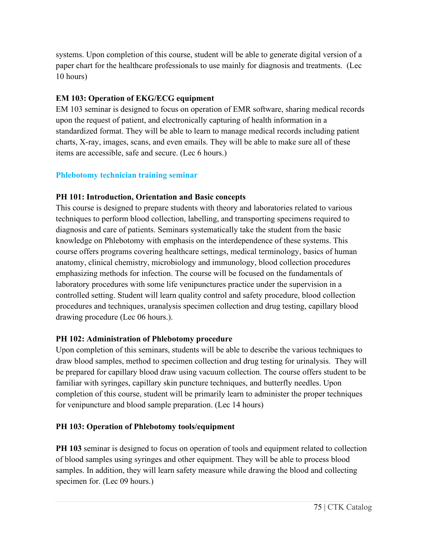systems. Upon completion of this course, student will be able to generate digital version of a paper chart for the healthcare professionals to use mainly for diagnosis and treatments. (Lec 10 hours)

# **EM 103: Operation of EKG/ECG equipment**

EM 103 seminar is designed to focus on operation of EMR software, sharing medical records upon the request of patient, and electronically capturing of health information in a standardized format. They will be able to learn to manage medical records including patient charts, X-ray, images, scans, and even emails. They will be able to make sure all of these items are accessible, safe and secure. (Lec 6 hours.)

# **Phlebotomy technician training seminar**

## **PH 101: Introduction, Orientation and Basic concepts**

This course is designed to prepare students with theory and laboratories related to various techniques to perform blood collection, labelling, and transporting specimens required to diagnosis and care of patients. Seminars systematically take the student from the basic knowledge on Phlebotomy with emphasis on the interdependence of these systems. This course offers programs covering healthcare settings, medical terminology, basics of human anatomy, clinical chemistry, microbiology and immunology, blood collection procedures emphasizing methods for infection. The course will be focused on the fundamentals of laboratory procedures with some life venipunctures practice under the supervision in a controlled setting. Student will learn quality control and safety procedure, blood collection procedures and techniques, uranalysis specimen collection and drug testing, capillary blood drawing procedure (Lec 06 hours.).

### **PH 102: Administration of Phlebotomy procedure**

Upon completion of this seminars, students will be able to describe the various techniques to draw blood samples, method to specimen collection and drug testing for urinalysis. They will be prepared for capillary blood draw using vacuum collection. The course offers student to be familiar with syringes, capillary skin puncture techniques, and butterfly needles. Upon completion of this course, student will be primarily learn to administer the proper techniques for venipuncture and blood sample preparation. (Lec 14 hours)

### **PH 103: Operation of Phlebotomy tools/equipment**

**PH 103** seminar is designed to focus on operation of tools and equipment related to collection of blood samples using syringes and other equipment. They will be able to process blood samples. In addition, they will learn safety measure while drawing the blood and collecting specimen for. (Lec 09 hours.)